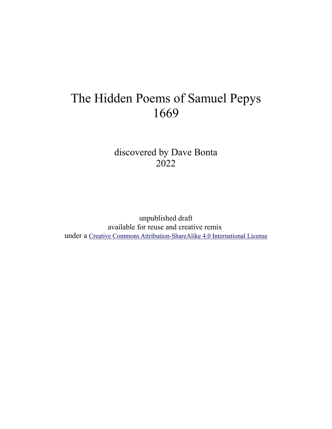# The Hidden Poems of Samuel Pepys 1669

discovered by Dave Bonta 2022

unpublished draft available for reuse and creative remix under a [Creative Commons Attribution-ShareAlike 4.0 International License](https://creativecommons.org/licenses/by-sa/4.0/)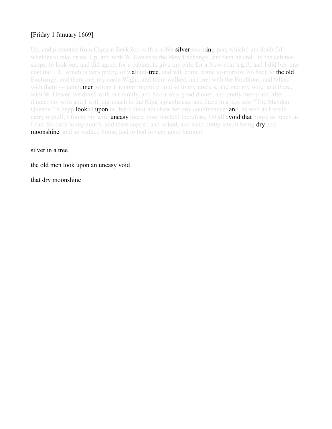# [Friday 1 January 1669]

Up, and presented from Captain Beckford with a noble **silver** warming-pan, which I am doubtful whether to take or no. Up, and with W. Hewer to the New Exchange, and then he and I to the cabinetshops, to look out, and did agree, for a cabinet to give my wife for a New-year's gift; and I did buy one cost me 11l., which is very pretty, of walnutt-tree, and will come home to-morrow. So back to the old Exchange, and there met my uncle Wight; and there walked, and met with the Houblons, and talked with them — gentlemen whom I honour mightily: and so to my uncle's, and met my wife; and there, with W. Hewer, we dined with our family, and had a very good dinner, and pretty merry and after dinner, my wife and I with our coach to the King's playhouse, and there in a box saw "The Mayden Queene." Knepp **looked upon** us, but I durst not shew her any countenance; and, as well as I could carry myself, I found my wife **uneasy** there, poor wretch! therefore, I shall avoid that house as much as I can. So back to my aunt's, and there supped and talked, and staid pretty late, it being dry and **moonshine**, and so walked home, and to bed in very good humour.

silver in a tree

the old men look upon an uneasy void

that dry moonshine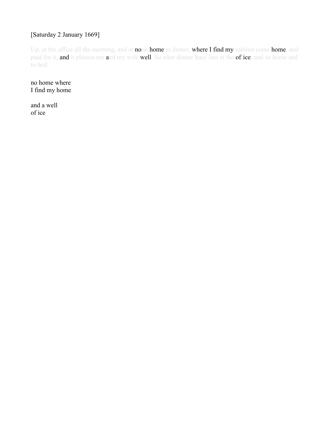# [Saturday 2 January 1669]

Up, at the office all the morning, and at noon home to dinner, where I find my cabinet come home, and paid for it, and it pleases me and my wife well. So after dinner busy late at the office, and so home and to bed.

no home where I find my home

and a well of ice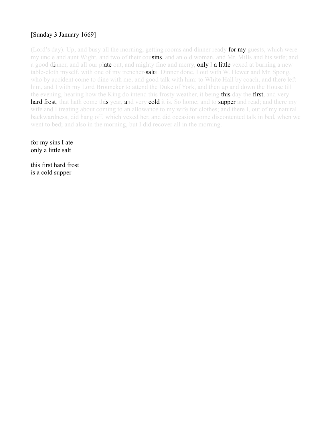# [Sunday 3 January 1669]

(Lord's day). Up, and busy all the morning, getting rooms and dinner ready **for my** guests, which were my uncle and aunt Wight, and two of their cousins, and an old woman, and Mr. Mills and his wife; and a good dinner, and all our plate out, and mighty fine and merry, only I a little vexed at burning a new table-cloth myself, with one of my trencher-**salt**s. Dinner done, I out with W. Hewer and Mr. Spong, who by accident come to dine with me, and good talk with him: to White Hall by coach, and there left him, and I with my Lord Brouncker to attend the Duke of York, and then up and down the House till the evening, hearing how the King do intend this frosty weather, it being this day the first, and very hard frost, that hath come this year, and very cold it is. So home; and to supper and read; and there my wife and I treating about coming to an allowance to my wife for clothes; and there I, out of my natural backwardness, did hang off, which vexed her, and did occasion some discontented talk in bed, when we went to bed; and also in the morning, but I did recover all in the morning.

for my sins I ate only a little salt

this first hard frost is a cold supper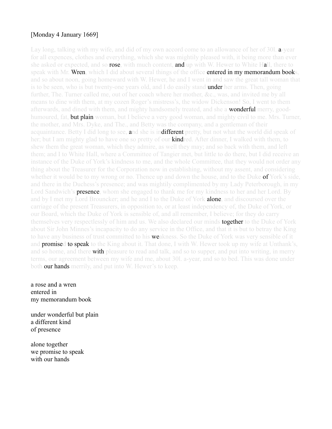## [Monday 4 January 1669]

Lay long, talking with my wife, and did of my own accord come to an allowance of her of 30l. **a**-year for all expences, clothes and everything, which she was mightily pleased with, it being more than ever she asked or expected, and so **rose**, with much content, **and** up with W. Hewer to White Hall, there to speak with Mr. Wren, which I did about several things of the office entered in my memorandum books, and so about noon, going homeward with W. Hewer, he and I went in and saw the great tall woman that is to be seen, who is but twenty-one years old, and I do easily stand **under her** arms. Then, going further, The. Turner called me, out of her coach where her mother, &c., was, and invited me by all means to dine with them, at my cozen Roger's mistress's, the widow Dickenson! So, I went to them afterwards, and dined with them, and mighty handsomely treated, and she a **wonderful** merry, goodhumoured, fat, **but plain** woman, but I believe a very good woman, and mighty civil to me. Mrs. Turner, the mother, and Mrs. Dyke, and The., and Betty was the company, and a gentleman of their acquaintance. Betty I did long to see, and she is indifferent pretty, but not what the world did speak of her; but I am mighty glad to have one so pretty of our **kindred**. After dinner, I walked with them, to shew them the great woman, which they admire, as well they may; and so back with them, and left them; and I to White Hall, where a Committee of Tangier met, but little to do there, but I did receive an instance of the Duke of York's kindness to me, and the whole Committee, that they would not order any thing about the Treasurer for the Corporation now in establishing, without my assent, and considering whether it would be to my wrong or no. Thence up and down the house, and to the Duke of York's side, and there in the Duchess's presence; and was mightily complimented by my Lady Peterborough, in my Lord Sandwich's **presence**, whom she engaged to thank me for my kindness to her and her Lord. By and by I met my Lord Brouncker; and he and I to the Duke of York **alone**, and discoursed over the carriage of the present Treasurers, in opposition to, or at least independency of, the Duke of York, or our Board, which the Duke of York is sensible of, and all remember, I believe; for they do carry themselves very respectlessly of him and us. We also declared our minds **together** to the Duke of York about Sir John Minnes's incapacity to do any service in the Office, and that it is but to betray the King to have any business of trust committed to his **weakness**. So the Duke of York was very sensible of it and **promised to speak** to the King about it. That done, I with W. Hewer took up my wife at Unthank's, and so home, and there with pleasure to read and talk, and so to supper, and put into writing, in merry terms, our agreement between my wife and me, about 30l. a-year, and so to bed. This was done under both our hands merrily, and put into W. Hewer's to keep.

a rose and a wren entered in my memorandum book

under wonderful but plain a different kind of presence

alone together we promise to speak with our hands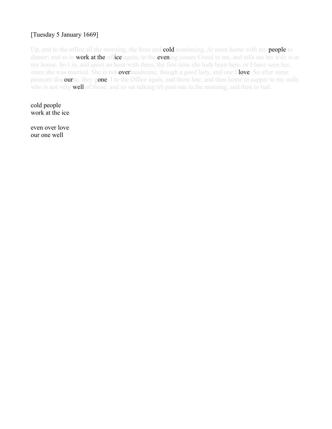# [Tuesday 5 January 1669]

Up, and to the office all the morning, the frost and **cold** continuing. At noon home with my **people** to dinner; and so to **work at the office** again; in the **even**ing comes Creed to me, and tells me his wife is at my house. So I in, and spent an hour with them, the first time she hath been here, or I have seen her, since she was married. She is not **overhand** some, though a good lady, and one I **love**. So after some pleasant discourse, they gone, I to the Office again, and there late, and then home to supper to my wife, who is not very **well** of those, and so sat talking till past one in the morning, and then to bed.

cold people work at the ice

even over love our one well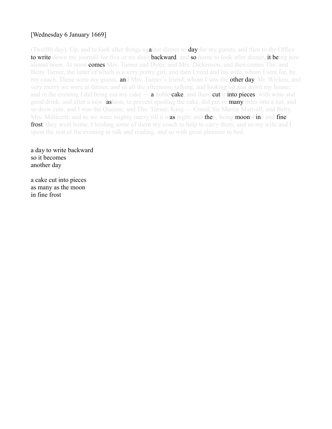# [Wednesday 6 January 1669]

(Twelfth day). Up, and to look after things against dinner to-day for my guests, and then to the Office to write down my journall for five or six days backward, and so home to look after dinner, it being now almost noon. At noon **comes** Mrs. Turner and Dyke, and Mrs. Dickenson, and then comes The. and Betty Turner, the latter of which is a very pretty girl; and then Creed and his wife, whom I sent for, by my coach. These were my guests, **an**d Mrs. Turner's friend, whom I saw the **other day**, Mr. Wicken, and very merry we were at dinner, and so all the afternoon, talking, and looking up and down my house; and in the evening I did bring out my cake —  $a$  noble cake, and there cut it into pieces, with wine and good drink: and after a new fashion, to prevent spoiling the cake, did put so many titles into a hat, and so drew cuts; and I was the Queene; and The. Turner, King — Creed, Sir Martin Marr-all; and Betty, Mrs. Millicent: and so we were mighty merry till it was night; and then, being moonshine and fine frost, they went home, I lending some of them my coach to help to carry them, and so my wife and I spent the rest of the evening in talk and reading, and so with great pleasure to bed.

a day to write backward so it becomes another day

a cake cut into pieces as many as the moon in fine frost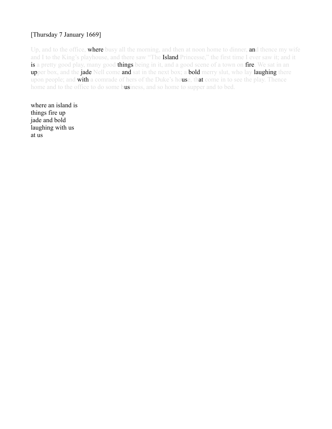# [Thursday 7 January 1669]

Up, and to the office, where busy all the morning, and then at noon home to dinner, and thence my wife and I to the King's playhouse, and there saw "The Island Princesse," the first time I ever saw it; and it is a pretty good play, many good things being in it, and a good scene of a town on fire. We sat in an upper box, and the jade Nell come and sat in the next box; a bold merry slut, who lay laughing there upon people; and with a comrade of hers of the Duke's house, that come in to see the play. Thence home and to the office to do some business, and so home to supper and to bed.

where an island is things fire up jade and bold laughing with us at us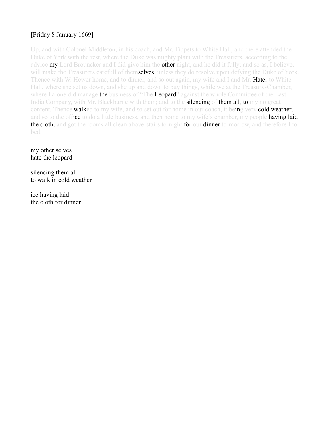# [Friday 8 January 1669]

Up, and with Colonel Middleton, in his coach, and Mr. Tippets to White Hall; and there attended the Duke of York with the rest, where the Duke was mighty plain with the Treasurers, according to the advice **my** Lord Brouncker and I did give him the **other** night, and he did it fully; and so as, I believe, will make the Treasurers carefull of themselves, unless they do resolve upon defying the Duke of York. Thence with W. Hewer home, and to dinner, and so out again, my wife and I and Mr. **Hate**r to White Hall, where she set us down, and she up and down to buy things, while we at the Treasury-Chamber, where I alone did manage the business of "The Leopard" against the whole Committee of the East India Company, with Mr. Blackburne with them; and to the **silencing of them all, to** my no great content. Thence walked to my wife, and so set out for home in our coach, it being very cold weather, and so to the office to do a little business, and then home to my wife's chamber, my people **having laid** the cloth, and got the rooms all clean above-stairs to-night for our dinner to-morrow, and therefore I to bed.

my other selves hate the leopard

silencing them all to walk in cold weather

ice having laid the cloth for dinner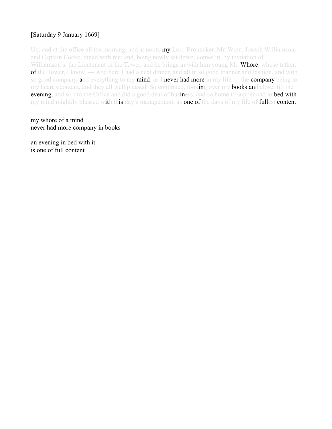# [Saturday 9 January 1669]

Up, and at the office all the morning, and at noon, **my** Lord Brouncker, Mr. Wren, Joseph Williamson, and Captain Cocke, dined with me; and, being newly sat down, comes in, by invitation of Williamson's, the Lieutenant of the Tower, and he brings in with him young Mr. Whore, whose father, of the Tower, I know. — And here I had a neat dinner, and all in so good manner and fashion, and with so good company, and everything to my mind, as I never had more in my life — the company being to my heart's content, and they all well pleased. So continued, looking over my **books an**d closet till the evening, and so I to the Office and did a good deal of business, and so home to supper and to bed with my mind mightily pleased with this day's management, as one of the days of my life of fullest content.

my whore of a mind never had more company in books

an evening in bed with it is one of full content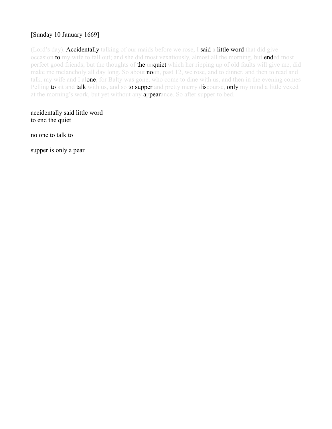# [Sunday 10 January 1669]

(Lord's day). Accidentally talking of our maids before we rose, I said a little word that did give occasion to my wife to fall out; and she did most vexatiously, almost all the morning, but ended most perfect good friends; but the thoughts of the unquiet which her ripping up of old faults will give me, did make me melancholy all day long. So about **no**on, past 12, we rose, and to dinner, and then to read and talk, my wife and I alone, for Balty was gone, who come to dine with us, and then in the evening comes Pelling to sit and talk with us, and so to supper and pretty merry discourse, only my mind a little vexed at the morning's work, but yet without any **appearance**. So after supper to bed.

accidentally said little word to end the quiet

no one to talk to

supper is only a pear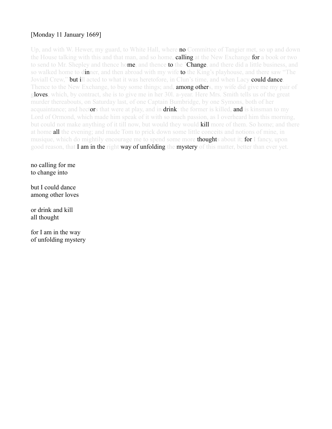# [Monday 11 January 1669]

Up, and with W. Hewer, my guard, to White Hall, where **no** Committee of Tangier met, so up and down the House talking with this and that man, and so home, **calling** at the New Exchange **for** a book or two to send to Mr. Shepley and thence home, and thence to the 'Change, and there did a little business, and so walked home to dinner, and then abroad with my wife to the King's playhouse, and there saw "The Joviall Crew," **but i**ll acted to what it was heretofore, in Clun's time, and when Lacy **could dance**. Thence to the New Exchange, to buy some things; and, **among other**s, my wife did give me my pair of gloves, which, by contract, she is to give me in her 301. a-year. Here Mrs. Smith tells us of the great murder thereabouts, on Saturday last, of one Captain Bumbridge, by one Symons, both of her acquaintance; and hectors that were at play, and in drink: the former is killed, and is kinsman to my Lord of Ormond, which made him speak of it with so much passion, as I overheard him this morning. but could not make anything of it till now, but would they would **kill** more of them. So home; and there at home **all** the evening; and made Tom to prick down some little conceits and notions of mine, in musique, which do mightily encourage me to spend some more **thought**s about it; for I fancy, upon good reason, that **I am in the right way of unfolding the mystery** of this matter, better than ever yet.

no calling for me to change into

but I could dance among other loves

or drink and kill all thought

for I am in the way of unfolding mystery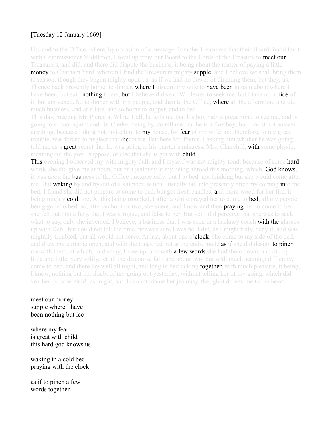# [Tuesday 12 January 1669]

Up, and to the Office, where, by occasion of a message from the Treasurers that their Board found fault with Commissioner Middleton, I went up from our Board to the Lords of the Treasury to meet our Treasurers, and did, and there did dispute the business, it being about the matter of paying a little **money** to Chatham Yard, wherein I find the Treasurers mighty **supple**, and I believe we shall bring them to reason, though they begun mighty upon us, as if we had no power of directing them, but they, us. Thence back presently home, to dinner, where I discern my wife to have been in pain about where I have been, but said **nothing** to me, **but** I believe did send W. Hewer to seek me, but I take no not**ice** of it, but am vexed. So to dinner with my people, and then to the Office, **where all** the afternoon, and did much business, and at it late, and so home to supper, and to bed.

This day, meeting Mr. Pierce at White Hall, he tells me that his boy hath a great mind to see me, and is going to school again; and Dr. Clerke, being by, do tell me that he is a fine boy; but I durst not answer anything, because I durst not invite him to **my** house, for **fear** of my wife; and therefore, to my great trouble, was forced to neglect that discourse. But here Mr. Pierce, I asking him whither he was going, told me as a **great** secret that he was going to his master's mistress, Mrs. Churchill, with some physic; meaning for the pox I suppose, or else that she is got with **child**.

This evening I observed my wife mighty dull, and I myself was not mighty fond, because of some hard words she did give me at noon, out of a jealousy at my being abroad this morning, which, **God knows**, it was upon the business of the Office unexpectedly: but I to bed, not thinking but she would come after me. But waking by and by out of a slumber, which I usually fall into presently after my coming into the bed, I found she did not prepare to come to bed, but got fresh candles, and more wood for her fire, it being mighty **cold**, too. At this being troubled, I after a while prayed her to come to **bed**, all my people being gone to bed; so, after an hour or two, she silent, and I now and then **praying** her to come to bed, she fell out into a fury, that I was a rogue, and false to her. But yet I did perceive that she was to seek what to say, only she invented, I believe, a business that I was seen in a hackney coach **with the** glasses up with Deb., but could not tell the time, nor was sure I was he. I did, as I might truly, deny it, and was mightily troubled, but all would not serve. At last, about one **o'clock**, she come to my side of the bed, and drew my curtaine open, and with the tongs red hot at the ends, made **as if** she did design **to pinch** me with them, at which, in dismay, I rose up, and with **a few words** she laid them down; and did by little and little, very sillily, let all the discourse fall; and about two, but with much seeming difficulty, come to bed, and there lay well all night, and long in bed talking **together**, with much pleasure, it being, I know, nothing but her doubt of my going out yesterday, without telling her of my going, which did vex her, poor wretch! last night, and I cannot blame her jealousy, though it do vex me to the heart.

meet our money supple where I have been nothing but ice

where my fear is great with child this hard god knows us

waking in a cold bed praying with the clock

as if to pinch a few words together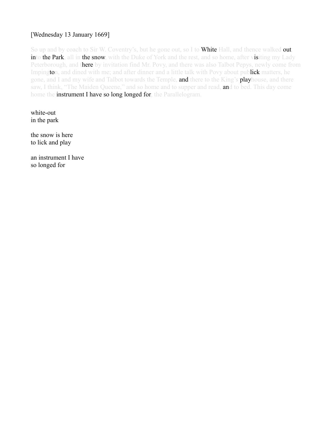# [Wednesday 13 January 1669]

So up and by coach to Sir W. Coventry's, but he gone out, so I to **White** Hall, and thence walked **out** into the Park, all in the snow, with the Duke of York and the rest, and so home, after visiting my Lady Peterborough, and there by invitation find Mr. Povy, and there was also Talbot Pepys, newly come from Impington, and dined with me; and after dinner and a little talk with Povy about publick matters, he gone, and I and my wife and Talbot towards the Temple, **and** there to the King's **play**house, and there saw, I think, "The Maiden Queene," and so home and to supper and read, and to bed. This day come home the instrument I have so long longed for, the Parallelogram.

white-out in the park

the snow is here to lick and play

an instrument I have so longed for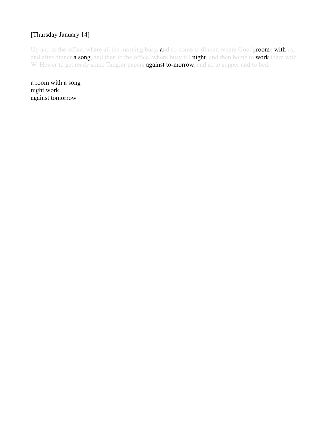# [Thursday January 14]

Up and to the office, where all the morning busy, and so home to dinner, where Goodgroome with us, and after dinner a song, and then to the office, where busy till night, and then home to work there with W. Hewer to get ready some Tangier papers **against to-morrow**, and so to supper and to bed.

a room with a song night work against tomorrow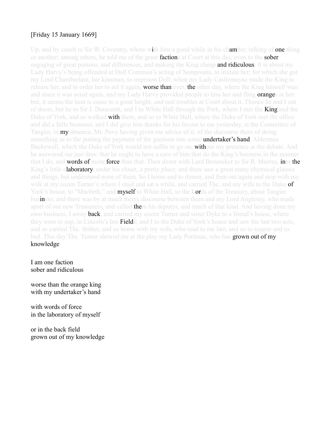# [Friday 15 January 1669]

Up, and by coach to Sir W. Coventry, where with him a good while in his chamber, talking of one thing or another; among others, he told me of the great **factions** at Court at this day, even to the **sober** engaging of great persons, and differences, and making the King cheap and ridiculous. It is about my Lady Harvy's being offended at Doll Common's acting of Sempronia, to imitate her; for which she got my Lord Chamberlain, her kinsman, to imprison Doll: when my Lady Castlemayne made the King to release her, and to order her to act it again, **worse than** ever, the other day, where the King himself was: and since it was acted again, and my Lady Harvy provided people to hiss her and fling **orange**s at her: but, it seems the heat is come to a great height, and real troubles at Court about it. Thence he and I out of doors, but he to Sir J. Duncomb, and I to White Hall through the Park, where I met the **King** and the Duke of York, and so walked **with** them, and so to White Hall, where the Duke of York met the office and did a little business; and I did give him thanks for his favour to me yesterday, at the Committee of Tangier, in **my** absence, Mr. Povy having given me advice of it, of the discourse there of doing something as to the putting the payment of the garrison into some undertaker's hand, Alderman Backewell, which the Duke of York would not suffer to go on, **with**out my presence at the debate. And he answered me just thus: that he ought to have a care of him that do the King's business in the manner that I do, and words of more force than that. Then down with Lord Brouncker to Sir R. Murray, into the King's little elaboratory, under his closet, a pretty place; and there saw a great many chymical glasses and things, but understood none of them. So I home and to dinner, and then out again and stop with my wife at my cozen Turner's where I staid and sat a while, and carried The. and my wife to the Duke of York's house, to "Macbeth," and myself to White Hall, to the Lords of the Treasury, about Tangier business; and there was by at much merry discourse between them and my Lord Anglesey, who made sport of our new Treasurers, and called **the**m his deputys, and much of that kind. And having done my own business, I away **back**, and carried my cozen Turner and sister Dyke to a friend's house, where they were to sup, in Lincoln's Inn **Field**s; and I to the Duke of York's house and saw the last two acts, and so carried The. thither, and so home with my wife, who read to me late, and so to supper and to bed. This day The. Turner shewed me at the play my Lady Portman, who has **grown out of my** knowledge.

I am one faction sober and ridiculous

worse than the orange king with my undertaker's hand

with words of force in the laboratory of myself

or in the back field grown out of my knowledge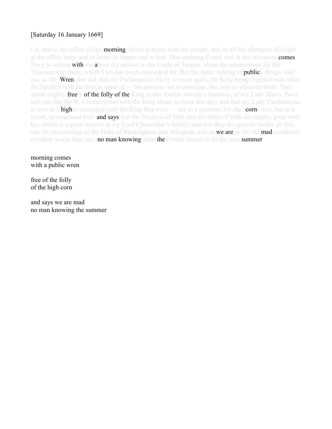# [Saturday 16 January 1669]

Up, and to the office all the **morning**, dined at home with my people, and so all the afternoon till night at the office busy, and so home to supper and to bed. This morning Creed, and in the afternoon **comes** Povy, to advise with me about my answer to the Lords of Tangier, about the propositions for the Treasurership there, which I am not much concerned for. But the latter, talking of **public**k things, told me, as Mr. Wren also did, that the Parliament is likely to meet again, the King being frighted with what the Speaker hath put him in mind of — his promise not to prorogue, but only to adjourne them. They speak mighty freely of the folly of the King in this foolish woman's business, of my Lady Harvy. Povy tells me that Sir W. Coventry was with the King alone, an hour this day; and that my Lady Castlemayne is now in a **higher** command over the King than ever — not as a mistress, for she scorns him, but as a tyrant, to command him: **and says** that the Duchess of York and the Duke of York are mighty great with her, which is a great interest to my Lord Chancellor's family; and that they do agree to hinder all they can the proceedings of the Duke of Buckingham and Arlington: and so we are in the old mad condition, or rather worse than any; **no man knowing** what the French intend to do the next summer.

morning comes with a public wren

free of the folly of the high corn

and says we are mad no man knowing the summer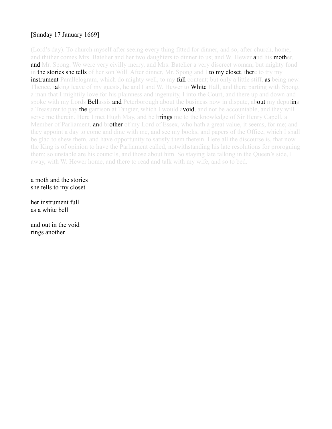# [Sunday 17 January 1669]

(Lord's day). To church myself after seeing every thing fitted for dinner, and so, after church, home, and thither comes Mrs. Batelier and her two daughters to dinner to us; and W. Hewer and his mother, **and** Mr. Spong. We were very civilly merry, and Mrs. Batelier a very discreet woman, but mighty fond in the stories she tells of her son Will. After dinner, Mr. Spong and I to my closet, there to try my **instrument** Parallelogram, which do mighty well, to my **full** content; but only a little stiff, as being new. Thence, taking leave of my guests, he and I and W. Hewer to **White** Hall, and there parting with Spong, a man that I mightily love for his plainness and ingenuity, I into the Court, and there up and down and spoke with my Lords **Bellassis and** Peterborough about the business now in dispute, about my deputing a Treasurer to pay **the** garrison at Tangier, which I would avoid, and not be accountable, and they will serve me therein. Here I met Hugh May, and he brings me to the knowledge of Sir Henry Capell, a Member of Parliament, **and brother** of my Lord of Essex, who hath a great value, it seems, for me; and they appoint a day to come and dine with me, and see my books, and papers of the Office, which I shall be glad to shew them, and have opportunity to satisfy them therein. Here all the discourse is, that now the King is of opinion to have the Parliament called, notwithstanding his late resolutions for proroguing them; so unstable are his councils, and those about him. So staying late talking in the Queen's side, I away, with W. Hewer home, and there to read and talk with my wife, and so to bed.

a moth and the stories she tells to my closet

her instrument full as a white bell

and out in the void rings another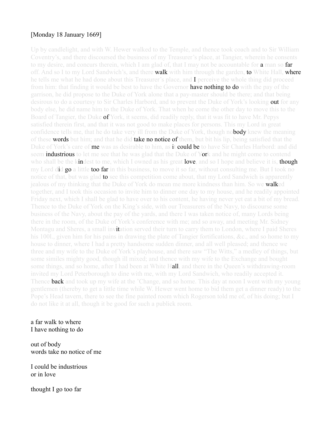#### [Monday 18 January 1669]

Up by candlelight, and with W. Hewer walked to the Temple, and thence took coach and to Sir William Coventry's, and there discoursed the business of my Treasurer's place, at Tangier, wherein he consents to my desire, and concurs therein, which I am glad of, that I may not be accountable for **a** man so **far** off. And so I to my Lord Sandwich's, and there **walk** with him through the garden, **to** White Hall, where he tells me what he had done about this Treasurer's place, and  $\bf{I}$  perceive the whole thing did proceed from him: that finding it would be best to have the Governor **have nothing to do** with the pay of the garrison, he did propose to the Duke of York alone that a pay-master should be there; and that being desirous to do a courtesy to Sir Charles Harbord, and to prevent the Duke of York's looking **out** for any body else, he did name him to the Duke of York. That when he come the other day to move this to the Board of Tangier, the Duke **of** York, it seems, did readily reply, that it was fit to have Mr. Pepys satisfied therein first, and that it was not good to make places for persons. This my Lord in great confidence tells me, that he do take very ill from the Duke of York, though no**body** knew the meaning of these words but him; and that he did take no notice of them, but bit his lip, being satisfied that the Duke of York's care of me was as desirable to him, as it could be to have Sir Charles Harbord: and did seem **industrious** to let me see that he was glad that the Duke of York and he might come to contend who shall be the kindest to me, which I owned as his great love, and so I hope and believe it is, though my Lord did go a little too far in this business, to move it so far, without consulting me. But I took no notice of that, but was glad **to** see this competition come about, that my Lord Sandwich is apparently jealous of my thinking that the Duke of York do mean me more kindness than him. So we **walk**ed together, and I took this occasion to invite him to dinner one day to my house, and he readily appointed Friday next, which I shall be glad to have over to his content, he having never yet eat a bit of my bread. Thence to the Duke of York on the King's side, with our Treasurers of the Navy, to discourse some business of the Navy, about the pay of the yards, and there I was taken notice of, many Lords being there in the room, of the Duke of York's conference with me; and so away, and meeting Mr. Sidney Montagu and Sheres, a small invitation served their turn to carry them to London, where I paid Sheres his 100l., given him for his pains in drawing the plate of Tangier fortifications, &c., and so home to my house to dinner, where I had a pretty handsome sudden dinner, and all well pleased; and thence we three and my wife to the Duke of York's playhouse, and there saw "The Witts," a medley of things, but some similes mighty good, though ill mixed; and thence with my wife to the Exchange and bought some things, and so home, after I had been at White Hall, and there in the Queen's withdrawing-room invited my Lord Peterborough to dine with me, with my Lord Sandwich, who readily accepted it. Thence **back** and took up my wife at the 'Change, and so home. This day at noon I went with my young gentlemen (thereby to get a little time while W. Hewer went home to bid them get a dinner ready) to the Pope's Head tavern, there to see the fine painted room which Rogerson told me of, of his doing; but I do not like it at all, though it be good for such a publick room.

#### a far walk to where I have nothing to do

out of body words take no notice of me

I could be industrious or in love

thought I go too far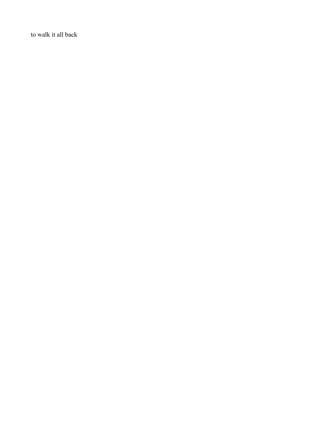to walk it all back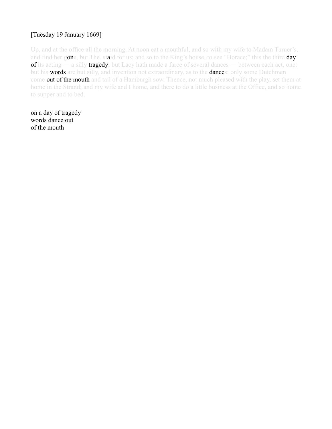# [Tuesday 19 January 1669]

Up, and at the office all the morning. At noon eat a mouthful, and so with my wife to Madam Turner's, and find her gone, but The. staid for us; and so to the King's house, to see "Horace;" this the third day of its acting — a silly tragedy; but Lacy hath made a farce of several dances — between each act, one: but his **words** are but silly, and invention not extraordinary, as to the **dances**; only some Dutchmen come out of the mouth and tail of a Hamburgh sow. Thence, not much pleased with the play, set them at home in the Strand; and my wife and I home, and there to do a little business at the Office, and so home to supper and to bed.

on a day of tragedy words dance out of the mouth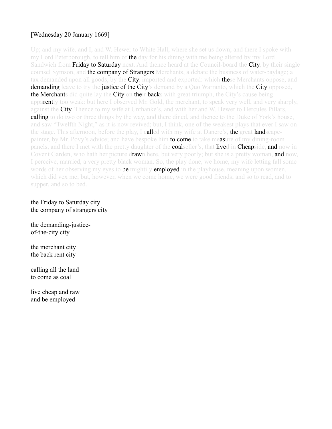# [Wednesday 20 January 1669]

Up; and my wife, and I, and W. Hewer to White Hall, where she set us down; and there I spoke with my Lord Peterborough, to tell him of **the** day for his dining with me being altered by my Lord Sandwich from **Friday to Saturday** next. And thence heard at the Council-board the **City**, by their single counsel Symson, and the company of Strangers Merchants, a debate the business of water-baylage; a tax demanded upon all goods, by the **City**, imported and exported: which **the**se Merchants oppose, and demanding leave to try the justice of the City's demand by a Quo Warranto, which the City opposed, **the Merchant**s did quite lay the **City on their backs** with great triumph, the City's cause being apparently too weak: but here I observed Mr. Gold, the merchant, to speak very well, and very sharply, against the City. Thence to my wife at Unthanke's, and with her and W. Hewer to Hercules Pillars, **calling** to do two or three things by the way, and there dined, and thence to the Duke of York's house, and saw "Twelfth Night," as it is now revived; but, I think, one of the weakest plays that ever I saw on the stage. This afternoon, before the play, I called with my wife at Dancre's, the great landscapepainter, by Mr. Povy's advice; and have bespoke him **to come** to take measure of my dining-room panels, and there I met with the pretty daughter of the **coalseller's**, that lived in **Cheapside, and** now in Covent Garden, who hath her picture drawn here, but very poorly; but she is a pretty woman, and now, I perceive, married, a very pretty black woman. So, the play done, we home, my wife letting fall some words of her observing my eyes to **be** mightily **employed in** the playhouse, meaning upon women, which did vex me; but, however, when we come home, we were good friends; and so to read, and to supper, and so to bed.

#### the Friday to Saturday city the company of strangers city

the demanding-justiceof-the-city city

the merchant city the back rent city

calling all the land to come as coal

live cheap and raw and be employed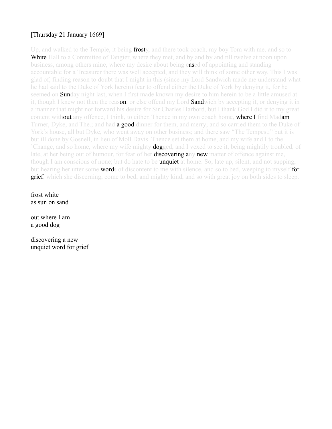# [Thursday 21 January 1669]

Up, and walked to the Temple, it being **frost**y, and there took coach, my boy Tom with me, and so to **White** Hall to a Committee of Tangier, where they met, and by and by and till twelve at noon upon business, among others mine, where my desire about being eased of appointing and standing accountable for a Treasurer there was well accepted, and they will think of some other way. This I was glad of, finding reason to doubt that I might in this (since my Lord Sandwich made me understand what he had said to the Duke of York herein) fear to offend either the Duke of York by denying it, for he seemed on **Sun**day night last, when I first made known my desire to him herein to be a little amused at it, though I knew not then the reason, or else offend my Lord **Sand**wich by accepting it, or denying it in a manner that might not forward his desire for Sir Charles Harbord, but I thank God I did it to my great content without any offence. I think, to either. Thence in my own coach home, where I find Madam Turner, Dyke, and The.; and had **a good din**ner for them, and merry; and so carried them to the Duke of York's house, all but Dyke, who went away on other business; and there saw "The Tempest;" but it is but ill done by Gosnell, in lieu of Moll Davis. Thence set them at home, and my wife and I to the 'Change, and so home, where my wife mighty **dog** ged, and I vexed to see it, being mightily troubled, of late, at her being out of humour, for fear of her **discovering any new** matter of offence against me, though I am conscious of none; but do hate to be **unquiet at** home. So, late up, silent, and not supping, but hearing her utter some **words** of discontent to me with silence, and so to bed, weeping to myself **for grief**, which she discerning, come to bed, and mighty kind, and so with great joy on both sides to sleep.

frost white as sun on sand

out where I am a good dog

discovering a new unquiet word for grief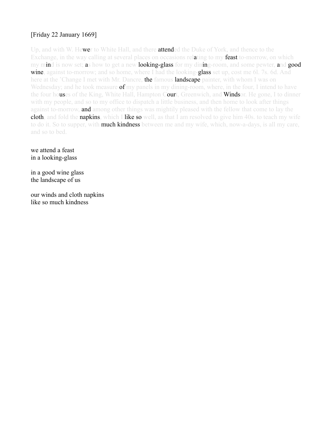# [Friday 22 January 1669]

Up, and with W. Hewer to White Hall, and there attended the Duke of York, and thence to the Exchange, in the way calling at several places on occasions relating to my feast to-morrow, on which my mind is now set; as how to get a new looking-glass for my dining-room, and some pewter, and good wine, against to-morrow; and so home, where I had the looking-glass set up, cost me 6l. 7s. 6d. And here at the 'Change I met with Mr. Dancre, **the famous landscape** painter, with whom I was on Wednesday; and he took measure **of** my panels in my dining-room, where, in the four, I intend to have the four houses of the King, White Hall, Hampton Court, Greenwich, and Windsor. He gone, I to dinner with my people, and so to my office to dispatch a little business, and then home to look after things against to-morrow, and among other things was mightily pleased with the fellow that come to lay the cloth, and fold the napkins, which I like so well, as that I am resolved to give him 40s, to teach my wife to do it. So to supper, with **much kindness** between me and my wife, which, now-a-days, is all my care, and so to bed.

we attend a feast in a looking-glass

in a good wine glass the landscape of us

our winds and cloth napkins like so much kindness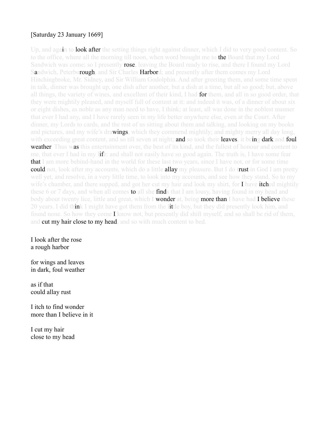# [Saturday 23 January 1669]

Up, and again to **look after** the setting things right against dinner, which I did to very good content. So to the office, where all the morning till noon, when word brought me to **the** Board that my Lord Sandwich was come; so I presently rose, leaving the Board ready to rise, and there I found my Lord Sandwich, Peterborough, and Sir Charles Harbord; and presently after them comes my Lord Hinchingbroke, Mr. Sidney, and Sir William Godolphin. And after greeting them, and some time spent in talk, dinner was brought up, one dish after another, but a dish at a time, but all so good; but, above all things, the variety of wines, and excellent of their kind, I had for them, and all in so good order, that they were mightily pleased, and myself full of content at it: and indeed it was, of a dinner of about six or eight dishes, as noble as any man need to have, I think; at least, all was done in the noblest manner that ever I had any, and I have rarely seen in my life better anywhere else, even at the Court. After dinner, my Lords to cards, and the rest of us sitting about them and talking, and looking on my books and pictures, and my wife's drawings, which they commend mightily; and mighty merry all day long, with exceeding great content, and so till seven at night; and so took their leaves, it being dark and foul **weather**. Thus was this entertainment over, the best of its kind, and the fullest of honour and content to me, that ever I had in my life: and shall not easily have so good again. The truth is, I have some fear **that** I am more behind-hand in the world for these last two years, since I have not, or for some time **could not**, look after my accounts, which do a little **allay** my pleasure. But I do trust in God I am pretty well yet, and resolve, in a very little time, to look into my accounts, and see how they stand. So to my wife's chamber, and there supped, and got her cut my hair and look my shirt, for **I** have **itched** mightily these 6 or 7 days, and when all comes **to** all she **find**s that I am lousy, having found in my head and body about twenty lice, little and great, which I wonder at, being more than I have had I believe these 20 years. I did think I might have got them from the little boy, but they did presently look him, and found none. So how they come I know not, but presently did shift myself, and so shall be rid of them, and cut my hair close to my head, and so with much content to bed.

I look after the rose a rough harbor

for wings and leaves in dark, foul weather

as if that could allay rust

I itch to find wonder more than I believe in it

I cut my hair close to my head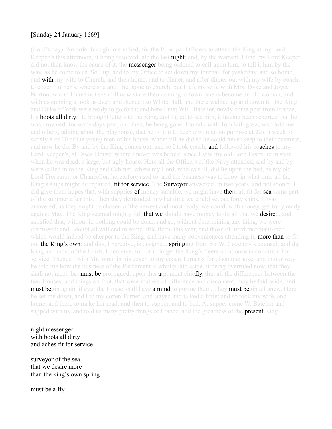#### [Sunday 24 January 1669]

(Lord's day). An order brought me in bed, for the Principal Officers to attend the King at my Lord Keeper's this afternoon, it being resolved late the last **night**; and, by the warrant, I find my Lord Keeper did not then know the cause of it, the **messenger** being ordered to call upon him, to tell it him by the way, as he come to us. So I up, and to my Office to set down my Journall for yesterday, and so home, and with my wife to Church, and then home, and to dinner, and after dinner out with my wife by coach, to cozen Turner's, where she and The. gone to church, but I left my wife with Mrs. Dyke and Joyce Norton, whom I have not seen till now since their coming to town: she is become an old woman, and with as cunning a look as ever, and thence I to White Hall, and there walked up and down till the King and Duke of York were ready to go forth; and here I met Will. Batelier, newly come post from France, his **boots all dirty**. He brought letters to the King, and I glad to see him, it having been reported that he was drowned, for some days past, and then, he being gone, I to talk with Tom Killigrew, who told me and others, talking about the playhouse, that he is fain to keep a woman on purpose at 20s. a week to satisfy 8 or 10 of the young men of his house, whom till he did so he could never keep to their business, and now he do. By and by the King comes out, and so I took coach, **and** followed his coaches to my Lord Keeper's, at Essex House, where I never was before, since I saw my old Lord Essex lie in state when he was dead; a large, but ugly house. Here all the Officers of the Navy attended, and by and by were called in to the King and Cabinet, where my Lord, who was ill, did lie upon the bed, as my old Lord Treasurer, or Chancellor, heretofore used to; and the business was to know in what time all the King's ships might be repaired, fit for service. The Surveyor answered, in two years, and not sooner. I did give them hopes that, with supplies **of** money suitable, we might have **the**m all fit for **sea** some part of the summer after this. Then they demanded in what time we could set out forty ships. It was answered, as they might be chosen of the newest and most ready, we could, with money, get forty ready against May. The King seemed mighty full **that we** should have money to do all that we **desire**d, and satisfied that, without it, nothing could be done: and so, without determining any thing, we were dismissed; and I doubt all will end in some little fleete this year, and those of hired merchant-men, which would indeed be cheaper to the King, and have many conveniences attending it, **more than** to fit out the King's own; and this, I perceive, is designed, springing from Sir W. Coventry's counsel; and the King and most of the Lords, I perceive, full of it, to get the King's fleete all at once in condition for service. Thence I with Mr. Wren in his coach to my cozen Turner's for discourse sake, and in our way he told me how the business of the Parliament is wholly laid aside, it being overruled now, that they shall not meet, but **must be** prorogued, upon this **a**rgument chiefly, that all the differences between the two Houses, and things on foot, that were matters of difference and discontent, may be laid aside, and **must be**gin again, if ever the House shall have **a mind** to pursue them. They **must begin** all anew. Here he set me down, and I to my cozen Turner, and stayed and talked a little; and so took my wife, and home, and there to make her read, and then to supper, and to bed. At supper come W. Batelier and supped with us, and told us many pretty things of France, and the greatness of the **present** King.

night messenger with boots all dirty and aches fit for service

surveyor of the sea that we desire more than the king's own spring

must be a fly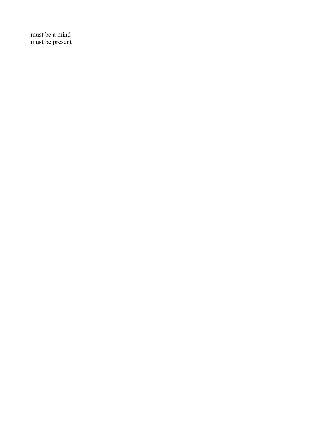must be a mind must be present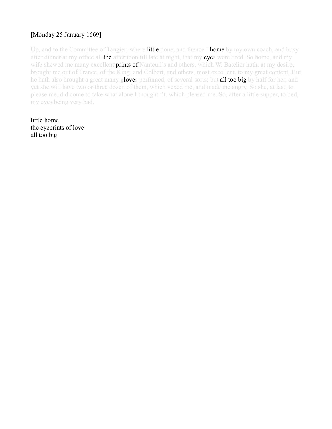# [Monday 25 January 1669]

Up, and to the Committee of Tangier, where **little** done, and thence I **home** by my own coach, and busy after dinner at my office all the afternoon till late at night, that my eyes were tired. So home, and my wife shewed me many excellent **prints of** Nanteuil's and others, which W. Batelier hath, at my desire, brought me out of France, of the King, and Colbert, and others, most excellent, to my great content. But he hath also brought a great many gloves perfumed, of several sorts; but all too big by half for her, and yet she will have two or three dozen of them, which vexed me, and made me angry. So she, at last, to please me, did come to take what alone I thought fit, which pleased me. So, after a little supper, to bed, my eyes being very bad.

little home the eyeprints of love all too big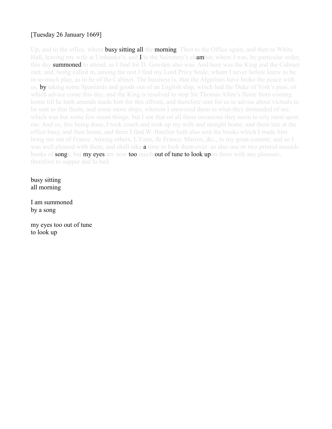# [Tuesday 26 January 1669]

Up, and to the office, where **busy sitting all the morning**. Then to the Office again, and then to White Hall, leaving my wife at Unthanke's; and I to the Secretary's chamber, where I was, by particular order, this day summoned to attend, as I find Sir D. Gawden also was. And here was the King and the Cabinet met; and, being called in, among the rest I find my Lord Privy Seale, whom I never before knew to be in so much play, as to be of the Cabinet. The business is, that the Algerines have broke the peace with us, by taking some Spaniards and goods out of an English ship, which had the Duke of York's pass, of which advice come this day; and the King is resolved to stop Sir Thomas Allen's fleete from coming home till he hath amends made him for this affront, and therefore sent for us to advise about victuals to be sent to that fleete, and some more ships; wherein I answered them to what they demanded of me, which was but some few mean things; but I see that on all these occasions they seem to rely most upon me. And so, this being done, I took coach and took up my wife and straight home, and there late at the office busy, and then home, and there I find W. Batelier hath also sent the books which I made him bring me out of France. Among others, L'Estat, de France, Marnix, &c., to my great content; and so I was well pleased with them, and shall take **a** time to look them over: as also one or two printed musickbooks of **songs**; but my eyes are now too much out of tune to look upon them with any pleasure, therefore to supper and to bed.

#### busy sitting all morning

I am summoned by a song

my eyes too out of tune to look up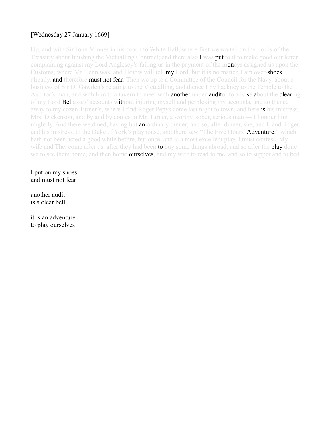# [Wednesday 27 January 1669]

Up, and with Sir John Minnes in his coach to White Hall, where first we waited on the Lords of the Treasury about finishing the Victualling Contract; and there also I was **put** to it to make good our letter complaining against my Lord Anglesey's failing us in the payment of the moneys assigned us upon the Customs, where Mr. Fenn was, and I know will tell **my** Lord; but it is no matter, I am over-**shoes** already, **and therefore must not fear**. Then we up to a Committee of the Council for the Navy, about a business of Sir D. Gawden's relating to the Victualling, and thence I by hackney to the Temple to the Auditor's man, and with him to a tavern to meet with **another under-auditor to advise about the clearing** of my Lord Bellasses' accounts without injuring myself and perplexing my accounts, and so thence away to my cozen Turner's, where I find Roger Pepys come last night to town, and here is his mistress, Mrs. Dickenson, and by and by comes in Mr. Turner, a worthy, sober, serious man — I honour him mightily. And there we dined, having but **an** ordinary dinner; and so, after dinner, she, and I, and Roger, and his mistress, to the Duke of York's playhouse, and there saw "The Five Hours' **Adventure**," which hath not been acted a good while before, but once, and is a most excellent play, I must confess. My wife and The. come after us, after they had been **to** buy some things abroad, and so after the **play** done we to see them home, and then home **ourselves**, and my wife to read to me, and so to supper and to bed.

I put on my shoes and must not fear

another audit is a clear bell

it is an adventure to play ourselves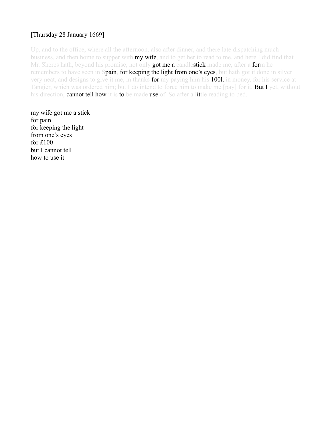# [Thursday 28 January 1669]

Up, and to the office, where all the afternoon, also after dinner, and there late dispatching much business, and then home to supper with **my wife**, and to get her to read to me, and here I did find that Mr. Sheres hath, beyond his promise, not only got me a candlestick made me, after a form he remembers to have seen in Spain, for keeping the light from one's eyes, but hath got it done in silver very neat, and designs to give it me, in thanks for my paying him his 1001. in money, for his service at Tangier, which was ordered him; but I do intend to force him to make me [pay] for it. **But I** yet, without his direction, cannot tell how it is to be made use of. So after a little reading to bed.

my wife got me a stick for pain for keeping the light from one's eyes for £100 but I cannot tell how to use it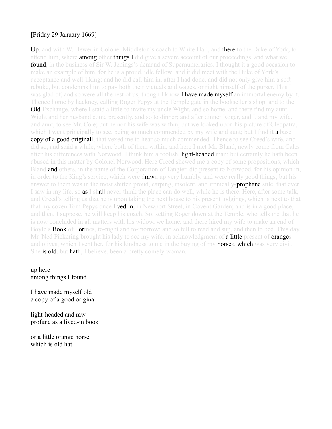## [Friday 29 January 1669]

Up, and with W. Hewer in Colonel Middleton's coach to White Hall, and there to the Duke of York, to attend him, where **among** other **things I** did give a severe account of our proceedings, and what we **found**, in the business of Sir W. Jenings's demand of Supernumeraries. I thought it a good occasion to make an example of him, for he is a proud, idle fellow; and it did meet with the Duke of York's acceptance and well-liking; and he did call him in, after I had done, and did not only give him a soft rebuke, but condemns him to pay both their victuals and wages, or right himself of the purser. This I was glad of, and so were all the rest of us, though I know I have made myself an immortal enemy by it. Thence home by hackney, calling Roger Pepys at the Temple gate in the bookseller's shop, and to the **Old** Exchange, where I staid a little to invite my uncle Wight, and so home, and there find my aunt Wight and her husband come presently, and so to dinner; and after dinner Roger, and I, and my wife, and aunt, to see Mr. Cole; but he nor his wife was within, but we looked upon his picture of Cleopatra, which I went principally to see, being so much commended by my wife and aunt; but I find it **a** base copy of a good originall, that vexed me to hear so much commended. Thence to see Creed's wife, and did so, and staid a while, where both of them within; and here I met Mr. Bland, newly come from Cales after his differences with Norwood. I think him a foolish, **light-headed** man; but certainly he hath been abused in this matter by Colonel Norwood. Here Creed shewed me a copy of some propositions, which Bland **and** others, in the name of the Corporation of Tangier, did present to Norwood, for his opinion in, in order to the King's service, which were drawn up very humbly, and were really good things; but his answer to them was in the most shitten proud, carping, insolent, and ironically-**prophane** stile, that ever I saw in my life, so **as** I shall never think the place can do well, while he is there. Here, after some talk, and Creed's telling us that he is upon taking the next house to his present lodgings, which is next to that that my cozen Tom Pepys once **lived in**, in Newport Street, in Covent Garden; and is in a good place, and then, I suppose, he will keep his coach. So, setting Roger down at the Temple, who tells me that he is now concluded in all matters with his widow, we home, and there hired my wife to make an end of Boyle's **Book** of Formes, to-night and to-morrow; and so fell to read and sup, and then to bed. This day, Mr. Ned Pickering brought his lady to see my wife, in acknowledgment of **a little** present of **oranges** and olives, which I sent her, for his kindness to me in the buying of my **horses, which** was very civil. She is old, but hath, I believe, been a pretty comely woman.

up here among things I found

I have made myself old a copy of a good original

light-headed and raw profane as a lived-in book

or a little orange horse which is old hat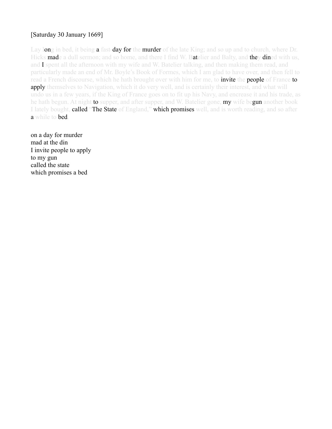## [Saturday 30 January 1669]

Lay long in bed, it being a fast-day for the murder of the late King; and so up and to church, where Dr. Hicks made a dull sermon; and so home, and there I find W. Batelier and Balty, and they dined with us, and I spent all the afternoon with my wife and W. Batelier talking, and then making them read, and particularly made an end of Mr. Boyle's Book of Formes, which I am glad to have over, and then fell to read a French discourse, which he hath brought over with him for me, to **invite the people** of France **to** apply themselves to Navigation, which it do very well, and is certainly their interest, and what will undo us in a few years, if the King of France goes on to fit up his Navy, and encrease it and his trade, as he hath begun. At night to supper, and after supper, and W. Batelier gone, my wife begun another book I lately bought, **called "The State** of England," which promises well, and is worth reading, and so after a while to bed.

on a day for murder mad at the din I invite people to apply to my gun called the state which promises a bed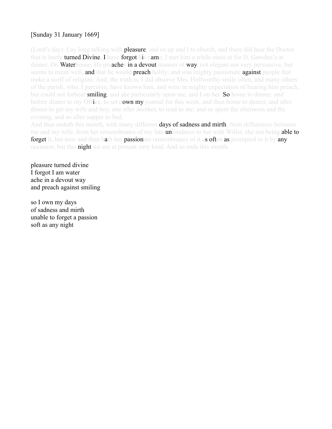# [Sunday 31 January 1669]

(Lord's day). Lay long talking with **pleasure**, and so up and I to church, and there did hear the Doctor that is lately **turned Divine**, I have **forgot his name**, I met him a while since at Sir D. Gawden's at dinner, Dr. Waterhouse; He preaches in a devout manner of way, not elegant nor very persuasive, but seems to mean well, and that he would preach holily; and was mighty passionate against people that make a scoff of religion. And, the truth is, I did observe Mrs. Hollworthy smile often, and many others of the parish, who, I perceive, have known him, and were in mighty expectation of hearing him preach, but could not forbear smiling, and she particularly upon me, and I on her. So home to dinner: and before dinner to my Office, to set down my journal for this week, and then home to dinner; and after dinner to get my wife and boy, one after another, to read to me: and so spent the afternoon and the evening, and so after supper to bed.

And thus endeth this month, with many different **days of sadness and mirth**, from differences between me and my wife, from her remembrance of my late **un**kindness to her with Willet, she not being **able to** forget it, but now and then hath her passionate remembrance of it as often as prompted to it by any occasion; but this **night** we are at present very kind. And so ends this month.

pleasure turned divine I forgot I am water ache in a devout way and preach against smiling

so I own my days of sadness and mirth unable to forget a passion soft as any night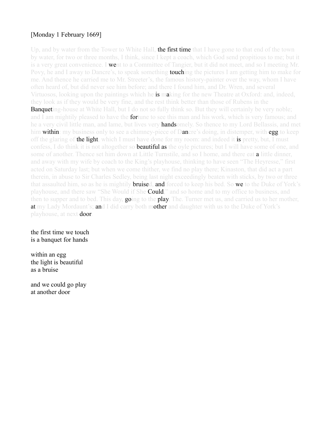# [Monday 1 February 1669]

Up, and by water from the Tower to White Hall, the first time that I have gone to that end of the town by water, for two or three months, I think, since I kept a coach, which God send propitious to me; but it is a very great convenience. I went to a Committee of Tangier, but it did not meet, and so I meeting Mr. Povy, he and I away to Dancre's, to speak something **touchin**g the pictures I am getting him to make for me. And thence he carried me to Mr. Streeter's, the famous history-painter over the way, whom I have often heard of, but did never see him before; and there I found him, and Dr. Wren, and several Virtuosos, looking upon the paintings which he **is** making for the new Theatre at Oxford: and, indeed, they look as if they would be very fine, and the rest think better than those of Rubens in the **Banquet**ing-house at White Hall, but I do not so fully think so. But they will certainly be very noble; and I am mightily pleased to have the **fortun**e to see this man and his work, which is very famous; and he a very civil little man, and lame, but lives very **hands**omely. So thence to my Lord Bellassis, and met him within: my business only to see a chimney-piece of Dancre's doing, in distemper, with egg to keep off the glaring of **the light**, which I must have done for my room: and indeed it **is** pretty, but, I must confess, I do think it is not altogether so **beautiful as** the oyle pictures; but I will have some of one, and some of another. Thence set him down at Little Turnstile, and so I home, and there eat a little dinner, and away with my wife by coach to the King's playhouse, thinking to have seen "The Heyresse," first acted on Saturday last; but when we come thither, we find no play there; Kinaston, that did act a part therein, in abuse to Sir Charles Sedley, being last night exceedingly beaten with sticks, by two or three that assaulted him, so as he is mightily **bruised, and** forced to keep his bed. So we to the Duke of York's playhouse, and there saw "She Would if She **Could**," and so home and to my office to business, and then to supper and to bed. This day, **going** to the **play**, The. Turner met us, and carried us to her mother, at my Lady Mordaunt's; and I did carry both mother and daughter with us to the Duke of York's playhouse, at next **door**.

the first time we touch is a banquet for hands

within an egg the light is beautiful as a bruise

and we could go play at another door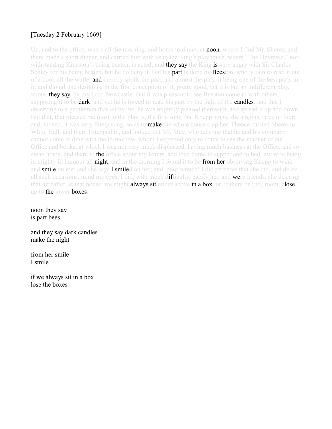# [Tuesday 2 February 1669]

Up, and to the office, where all the morning, and home to dinner at **noon**, where I find Mr. Sheres; and there made a short dinner, and carried him with us to the King's playhouse, where "The Heyresse," notwithstanding Kinaston's being beaten, is acted; and **they say** the King is very angry with Sir Charles Sedley for his being beaten, but he do deny it. But his **part** is done by **Beeston**, who is fain to read it out of a book all the while, **and** thereby spoils the part, and almost the play, it being one of the best parts in it; and though the design is, in the first conception of it, pretty good, yet it is but an indifferent play, wrote, they say, by my Lord Newcastle. But it was pleasant to see Beeston come in with others, supposing it to be **dark**, and yet he is forced to read his part by the light of the **candles**: and this I observing to a gentleman that sat by me, he was mightily pleased therewith, and spread it up and down. But that, that pleased me most in the play is, the first song that Knepp sings, she singing three or four; and, indeed, it was very finely sung, so as to **make** the whole house clap her. Thence carried Sheres to White Hall, and there I stepped in, and looked out Mr. May, who tells me that he and his company cannot come to dine with me to-morrow, whom I expected only to come to see the manner of our Office and books, at which I was not very much displeased, having much business at the Office, and so away home, and there to **the** office about my letters, and then home to supper and to bed, my wife being in mighty ill humour all **night**, and in the morning I found it to be from her observing Knepp to wink and smile on me; and she says I smiled on her; and, poor wretch! I did perceive that she did, and do on all such occasions, mind my eyes. I did, with much difficulty, pacify her, and were friends, she desiring that hereafter, at that house, we might **always sit** either above in a box, or, if there be [no] room, close up to **the** lower **boxes**.

noon they say is part bees

and they say dark candles make the night

from her smile I smile

if we always sit in a box lose the boxes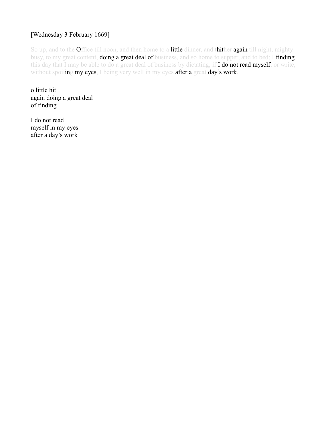## [Wednesday 3 February 1669]

So up, and to the Office till noon, and then home to a little dinner, and thither again till night, mighty busy, to my great content, **doing a great deal of** business, and so home to supper, and to bed; I finding this day that I may be able to do a great deal of business by dictating, if I do not read myself, or write, without spoiling my eyes, I being very well in my eyes after a great day's work.

o little hit again doing a great deal of finding

I do not read myself in my eyes after a day's work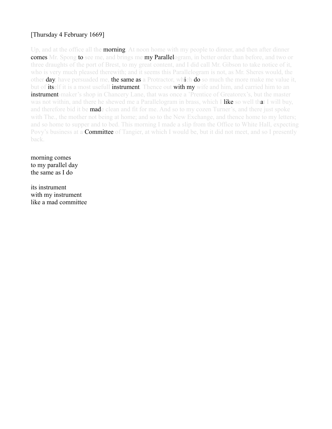# [Thursday 4 February 1669]

Up, and at the office all the **morning**. At noon home with my people to dinner, and then after dinner comes Mr. Spong to see me, and brings me my Parallelogram, in better order than before, and two or three draughts of the port of Brest, to my great content, and I did call Mr. Gibson to take notice of it, who is very much pleased therewith; and it seems this Parallelogram is not, as Mr. Sheres would, the other **day**, have persuaded me, **the same as** a Protractor, which **do** so much the more make me value it, but of itself it is a most usefull instrument. Thence out with my wife and him, and carried him to an **instrument-**maker's shop in Chancery Lane, that was once a 'Prentice of Greatorex's, but the master was not within, and there he shewed me a Parallelogram in brass, which I like so well that I will buy, and therefore bid it be **mad**e clean and fit for me. And so to my cozen Turner's, and there just spoke with The., the mother not being at home; and so to the New Exchange, and thence home to my letters; and so home to supper and to bed. This morning I made a slip from the Office to White Hall, expecting Povy's business at a **Committee** of Tangier, at which I would be, but it did not meet, and so I presently back.

morning comes to my parallel day the same as I do

its instrument with my instrument like a mad committee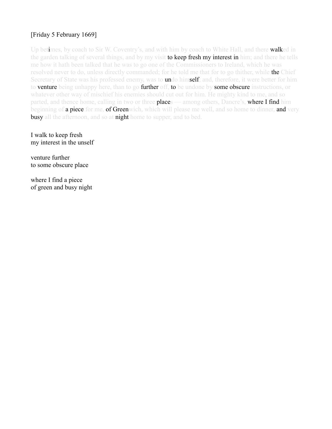## [Friday 5 February 1669]

Up betimes, by coach to Sir W. Coventry's, and with him by coach to White Hall, and there walked in the garden talking of several things, and by my visit **to keep fresh my interest in** him; and there he tells me how it hath been talked that he was to go one of the Commissioners to Ireland, which he was resolved never to do, unless directly commanded; for he told me that for to go thither, while the Chief Secretary of State was his professed enemy, was to **undo** himself; and, therefore, it were better for him to **venture** being unhappy here, than to go **further** off, to be undone by some obscure instructions, or whatever other way of mischief his enemies should cut out for him. He mighty kind to me, and so parted, and thence home, calling in two or three **places** — among others, Dancre's, **where I find** him beginning of a piece for me, of Greenwich, which will please me well, and so home to dinner, and very **busy** all the afternoon, and so at **night** home to supper, and to bed.

I walk to keep fresh my interest in the unself

venture further to some obscure place

where I find a piece of green and busy night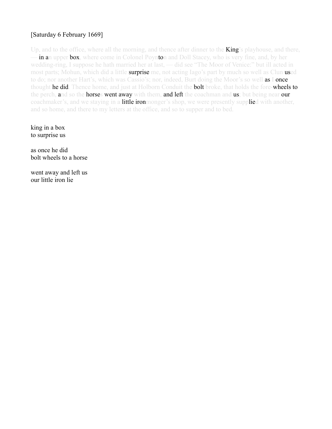## [Saturday 6 February 1669]

Up, and to the office, where all the morning, and thence after dinner to the **King**'s playhouse, and there, in an upper box, where come in Colonel Poynton and Doll Stacey, who is very fine, and, by her wedding-ring, I suppose he hath married her at last, — did see "The Moor of Venice:" but ill acted in most parts; Mohun, which did a little **surprise** me, not acting Iago's part by much so well as Clun used to do; nor another Hart's, which was Cassio's; nor, indeed, Burt doing the Moor's so well as I once thought **he did**. Thence home, and just at Holborn Conduit the **bolt** broke, that holds the fore-wheels to the perch, and so the horses went away with them, and left the coachman and us; but being near our coachmaker's, and we staying in a **little iron**monger's shop, we were presently supplied with another, and so home, and there to my letters at the office, and so to supper and to bed.

king in a box to surprise us

as once he did bolt wheels to a horse

went away and left us our little iron lie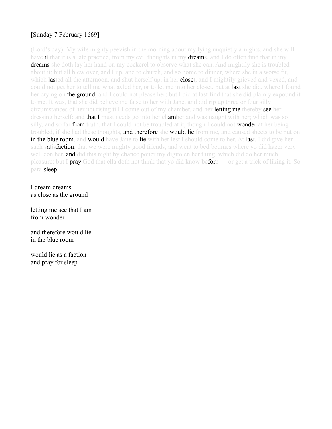# [Sunday 7 February 1669]

(Lord's day). My wife mighty peevish in the morning about my lying unquietly a-nights, and she will have it that it is a late practice, from my evil thoughts in my **dreams**, and I do often find that in my **dreams** she doth lay her hand on my cockerel to observe what she can. And mightily she is troubled about it; but all blew over, and I up, and to church, and so home to dinner, where she in a worse fit, which lasted all the afternoon, and shut herself up, in her **close**t, and I mightily grieved and vexed, and could not get her to tell me what ayled her, or to let me into her closet, but at last she did, where I found her crying on **the ground**, and I could not please her; but I did at last find that she did plainly expound it to me. It was, that she did believe me false to her with Jane, and did rip up three or four silly circumstances of her not rising till I come out of my chamber, and her **letting me** thereby see her dressing herself; and **that I** must needs go into her chamber and was naught with her; which was so silly, and so far from truth, that I could not be troubled at it, though I could not wonder at her being troubled, if she had these thoughts, **and therefore she would lie** from me, and caused sheets to be put on in the blue room, and would have Jane to lie with her lest I should come to her. At last, I did give her such satisfaction, that we were mighty good friends, and went to bed betimes where yo did hazer very well con her, and did this night by chance poner my digito en her thing, which did do her much pleasure; but I **pray** God that ella doth not think that yo did know before — or get a trick of liking it. So para sleep.

I dream dreams as close as the ground

letting me see that I am from wonder

and therefore would lie in the blue room

would lie as a faction and pray for sleep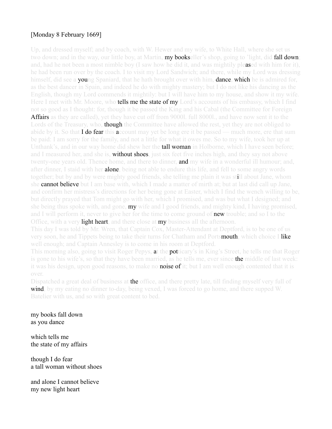# [Monday 8 February 1669]

Up, and dressed myself; and by coach, with W. Hewer and my wife, to White Hall, where she set us two down; and in the way, our little boy, at Martin, **my books**eller's shop, going to 'light, did **fall down**; and, had he not been a most nimble boy (I saw how he did it, and was mightily pleased with him for it), he had been run over by the coach. I to visit my Lord Sandwich; and there, while my Lord was dressing himself, did see a **you**ng Spaniard, that he hath brought over with him, **dance**, which he is admired for, as the best dancer in Spain, and indeed he do with mighty mastery; but I do not like his dancing as the English, though my Lord commends it mightily: but I will have him to my house, and show it my wife. Here I met with Mr. Moore, who **tells me the state of my** Lord's accounts of his embassy, which I find not so good as I thought: for, though it be passed the King and his Cabal (the Committee for Foreign **Affairs** as they are called), yet they have cut off from 90001. full 80001, and have now sent it to the Lords of the Treasury, who, **though** the Committee have allowed the rest, yet they are not obliged to abide by it. So that **I do fear** this **a**ccount may yet be long ere it be passed — much more, ere that sum be paid: I am sorry for the family, and not a little for what it owes me. So to my wife, took her up at Unthank's, and in our way home did shew her the **tall woman** in Holborne, which I have seen before; and I measured her, and she is, **without shoes**, just six feet five inches high, and they say not above twenty-one years old. Thence home, and there to dinner, **and** my wife in a wonderful ill humour; and, after dinner, I staid with her **alone**, being not able to endure this life, and fell to some angry words together; but by and by were mighty good friends, she telling me plain it was still about Jane, whom she cannot believe but I am base with, which I made a matter of mirth at; but at last did call up Jane, and confirm her mistress's directions for her being gone at Easter, which I find the wench willing to be, but directly prayed that Tom might go with her, which I promised, and was but what I designed; and she being thus spoke with, and gone, **my** wife and I good friends, and mighty kind, I having promised, and I will perform it, never to give her for the time to come ground of **new trou**ble; and so I to the Office, with a very **light heart**, and there close at **my** business all the afternoon.

This day I was told by Mr. Wren, that Captain Cox, Master-Attendant at Deptford, is to be one of us very soon, he and Tippets being to take their turns for Chatham and Portsmouth, which choice I like well enough; and Captain Annesley is to come in his room at Deptford.

This morning also, going to visit Roger Pepys, at the **pot**ticary's in King's Street, he tells me that Roger is gone to his wife's, so that they have been married, as he tells me, ever since the middle of last week: it was his design, upon good reasons, to make no **noise of i**t; but I am well enough contented that it is over.

Dispatched a great deal of business at the office, and there pretty late, till finding myself very full of wind, by my eating no dinner to-day, being vexed, I was forced to go home, and there supped W. Batelier with us, and so with great content to bed.

my books fall down as you dance

which tells me the state of my affairs

though I do fear a tall woman without shoes

and alone I cannot believe my new light heart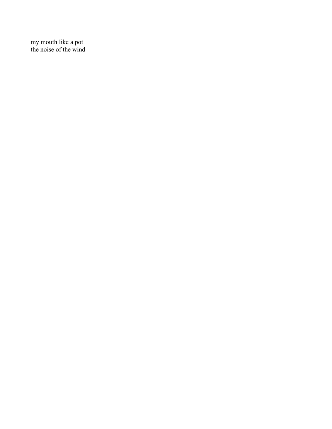my mouth like a pot the noise of the wind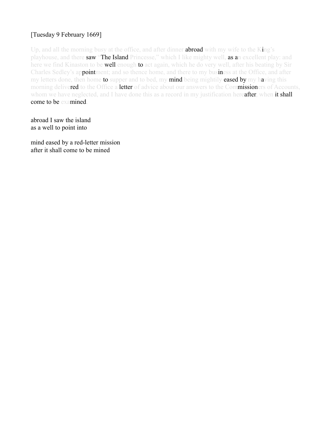# [Tuesday 9 February 1669]

Up, and all the morning busy at the office, and after dinner **abroad** with my wife to the King's playhouse, and there saw "The Island Princesse," which I like mighty well, as an excellent play: and here we find Kinaston to be **well** enough to act again, which he do very well, after his beating by Sir Charles Sedley's appointment; and so thence home, and there to my business at the Office, and after my letters done, then home to supper and to bed, my mind being mightily eased by my having this morning delivered to the Office a letter of advice about our answers to the Commissioners of Accounts, whom we have neglected, and I have done this as a record in my justification hereafter, when it shall come to be examined.

abroad I saw the island as a well to point into

mind eased by a red-letter mission after it shall come to be mined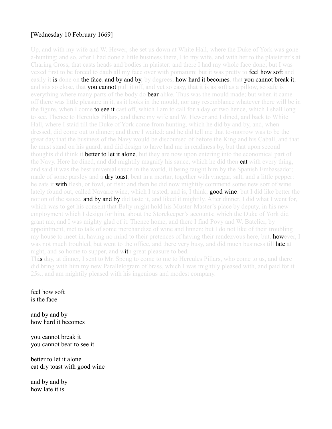## [Wednesday 10 February 1669]

Up, and with my wife and W. Hewer, she set us down at White Hall, where the Duke of York was gone a-hunting: and so, after I had done a little business there, I to my wife, and with her to the plaisterer's at Charing Cross, that casts heads and bodies in plaister: and there I had my whole face done; but I was vexed first to be forced to daub all my face over with pomatum: but it was pretty to **feel how soft** and easily it is done on the face, and by and by, by degrees, how hard it becomes, that you cannot break it, and sits so close, that **you cannot** pull it off, and yet so easy, that it is as soft as a pillow, so safe is everything where many parts of the body do **bear** alike. Thus was the mould made; but when it came off there was little pleasure in it, as it looks in the mould, nor any resemblance whatever there will be in the figure, when I come **to see it** cast off, which I am to call for a day or two hence, which I shall long to see. Thence to Hercules Pillars, and there my wife and W. Hewer and I dined, and back to White Hall, where I staid till the Duke of York come from hunting, which he did by and by, and, when dressed, did come out to dinner; and there I waited: and he did tell me that to-morrow was to be the great day that the business of the Navy would be discoursed of before the King and his Caball, and that he must stand on his guard, and did design to have had me in readiness by, but that upon second thoughts did think it **better to let it alone**, but they are now upon entering into the economical part of the Navy. Here he dined, and did mightily magnify his sauce, which he did then **eat** with every thing, and said it was the best universal sauce in the world, it being taught him by the Spanish Embassador; made of some parsley and a **dry toast**, beat in a mortar, together with vinegar, salt, and a little pepper: he eats it with flesh, or fowl, or fish: and then he did now mightily commend some new sort of wine lately found out, called Navarre wine, which I tasted, and is, I think, good wine: but I did like better the notion of the sauce, and by and by did taste it, and liked it mightily. After dinner, I did what I went for, which was to get his consent that Balty might hold his Muster-Master's place by deputy, in his new employment which I design for him, about the Storekeeper's accounts; which the Duke of York did grant me, and I was mighty glad of it. Thence home, and there I find Povy and W. Batelier, by appointment, met to talk of some merchandize of wine and linnen; but I do not like of their troubling my house to meet in, having no mind to their pretences of having their rendezvous here, but, **how**ever, I was not much troubled, but went to the office, and there very busy, and did much business till **late at** night, and so home to supper, and with great pleasure to bed.

This day, at dinner, I sent to Mr. Spong to come to me to Hercules Pillars, who come to us, and there did bring with him my new Parallelogram of brass, which I was mightily pleased with, and paid for it 25s., and am mightily pleased with his ingenious and modest company.

feel how soft is the face

and by and by how hard it becomes

you cannot break it you cannot bear to see it

better to let it alone eat dry toast with good wine

and by and by how late it is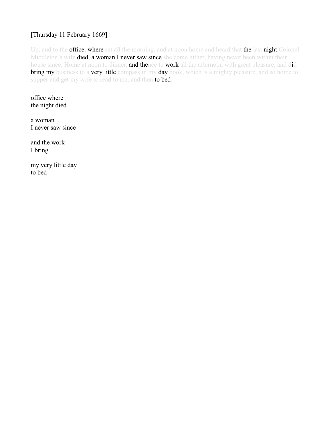#### [Thursday 11 February 1669]

Up, and to the **office, where** sat all the morning, and at noon home and heard that the last night Colonel Middleton's wife **died, a woman I never saw since** she come hither, having never been within their house since. Home at noon to dinner, and thence to work all the afternoon with great pleasure, and did bring my business to a very little compass in my day book, which is a mighty pleasure, and so home to supper and get my wife to read to me, and then to bed.

office where the night died

a woman I never saw since

and the work I bring

my very little day to bed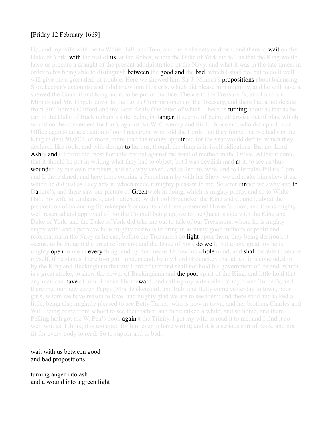#### [Friday 12 February 1669]

Up, and my wife with me to White Hall, and Tom, and there she sets us down, and there to **wait** on the Duke of York, **with** the rest of **us**, at the Robes, where the Duke of York did tell us that the King would have us prepare a draught of the present administration of the Navy, and what it was in the late times, in order to his being able to distinguish **between** the **good and the bad**, which I shall do, but to do it well will give me a great deal of trouble. Here we shewed him Sir J. Minnes's **propositions** about balancing Storekeeper's accounts; and I did shew him Hosier's, which did please him mightily, and he will have it shewed the Council and King anon, to be put in practice. Thence to the Treasurer's; and I and Sir J. Minnes and Mr. Tippets down to the Lords Commissioners of the Treasury, and there had a hot debate from Sir Thomas Clifford and my Lord Ashly (the latter of which, I hear, is **turning about** as fast as he can to the Duke of Buckingham's side, being in danger, it seems, of being otherwise out of play, which would not be convenient for him), against Sir W. Coventry and Sir J. Duncomb, who did uphold our Office against an accusation of our Treasurers, who told the Lords that they found that we had run the King in debt 50,0001. or more, more than the money appointed for the year would defray, which they declared like fools, and with design **to** hurt us, though the thing is in itself ridiculous. But my Lord Ashly and Clifford did most horribly cry out against the want of method in the Office. At last it come that it should be put in writing what they had to object; but I was devilish mad at it, to see us thus **wounded** by our own members, and so away vexed, and called my wife, and to Hercules Pillars, Tom and I, there dined; and here there coming a Frenchman by with his Shew, we did make him shew it us, which he did just as Lacy acts it, which made it mighty pleasant to me. So after dinner we away and to Dancre's, and there saw our picture of **Green**wich in doing, which is mighty pretty, and so to White Hall, my wife to Unthank's, and I attended with Lord Brouncker the King and Council, about the proposition of balancing Storekeeper's accounts and there presented Hosier's book, and it was mighty well resented and approved of. So the Council being up, we to the Queen's side with the King and Duke of York: and the Duke of York did take me out to talk of our Treasurers, whom he is mighty angry with: and I perceive he is mighty desirous to bring in as many good motions of profit and reformation in the Navy as he can, before the Treasurers do light upon them, they being desirous, it seems, to be thought the great reformers: and the Duke of York **do we**ll. But to my great joy he is mighty **open** to me in **every** thing; and by this means I know his whole mind, and shall be able to secure myself, if he stands. Here to-night I understand, by my Lord Brouncker, that at last it is concluded on by the King and Buckingham that my Lord of Ormond shall not hold his government of Ireland, which is a great stroke, to shew the power of Buckingham and the poor spirit of the King, and little hold that any man can have of him. Thence I homeward, and calling my wife called at my cozen Turner's, and there met our new cozen Pepys (Mrs. Dickenson), and Bab. and Betty come yesterday to town, poor girls, whom we have reason to love, and mighty glad we are to see them; and there staid and talked a little, being also mightily pleased to see Betty Turner, who is now in town, and her brothers Charles and Will, being come from school to see their father, and there talked a while, and so home, and there Pelling hath got me W. Pen's book **against** the Trinity. I got my wife to read it to me; and I find it so well writ as, I think, it is too good for him ever to have writ it; and it is a serious sort of book, and not fit for every body to read. So to supper and to bed.

#### wait with us between good and bad propositions

turning anger into ash and a wound into a green light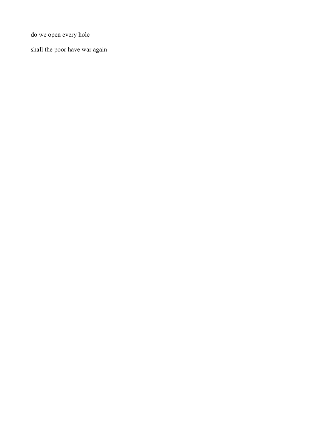do we open every hole

shall the poor have war again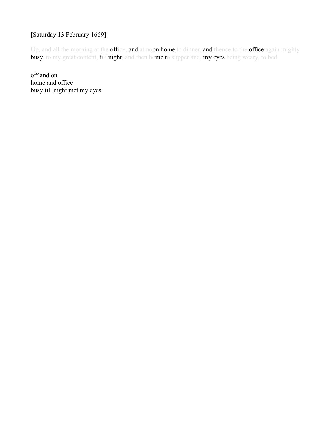# [Saturday 13 February 1669]

Up, and all the morning at the office, and at noon home to dinner, and thence to the office again mighty busy, to my great content, till night, and then home to supper and, my eyes being weary, to bed.

off and on home and office busy till night met my eyes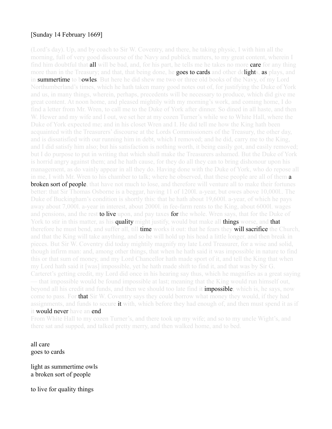#### [Sunday 14 February 1669]

(Lord's day). Up, and by coach to Sir W. Coventry, and there, he taking physic, I with him all the morning, full of very good discourse of the Navy and publick matters, to my great content, wherein I find him doubtful that all will be bad, and, for his part, he tells me he takes no more care for any thing more than in the Treasury; and that, that being done, he goes to cards and other delights, as plays, and in **summertime** to bowles. But here he did shew me two or three old books of the Navy, of my Lord Northumberland's times, which he hath taken many good notes out of, for justifying the Duke of York and us, in many things, wherein, perhaps, precedents will be necessary to produce, which did give me great content. At noon home, and pleased mightily with my morning's work, and coming home, I do find a letter from Mr. Wren, to call me to the Duke of York after dinner. So dined in all haste, and then W. Hewer and my wife and I out, we set her at my cozen Turner's while we to White Hall, where the Duke of York expected me; and in his closet Wren and I. He did tell me how the King hath been acquainted with the Treasurers' discourse at the Lords Commissioners of the Treasury, the other day, and is dissatisfied with our running him in debt, which I removed; and he did, carry me to the King, and I did satisfy him also; but his satisfaction is nothing worth, it being easily got, and easily removed; but I do purpose to put in writing that which shall make the Treasurers ashamed. But the Duke of York is horrid angry against them; and he hath cause, for they do all they can to bring dishonour upon his management, as do vainly appear in all they do. Having done with the Duke of York, who do repose all in me, I with Mr. Wren to his chamber to talk; where he observed, that these people are all of them **a broken sort of people, that** have not much to lose, and therefore will venture all to make their fortunes better: that Sir Thomas Osborne is a beggar, having 11 of 1200l. a-year, but owes above 10,000l.. The Duke of Buckingham's condition is shortly this: that he hath about 19,600l. a-year, of which he pays away about 7,000l. a-year in interest, about 2000l. in fee-farm rents to the King, about 6000l. wages and pensions, and the rest **to live u**pon, and pay taxes **for** the whole. Wren says, that for the Duke of York to stir in this matter, as his **quality** might justify, would but make all **things** worse, and **that** therefore he must bend, and suffer all, till **time** works it out: that he fears they **will sacrifice the** Church, and that the King will take anything, and so he will hold up his head a little longer, and then break in pieces. But Sir W. Coventry did today mightily magnify my late Lord Treasurer, for a wise and solid, though infirm man: and, among other things, that when he hath said it was impossible in nature to find this or that sum of money, and my Lord Chancellor hath made sport of it, and tell the King that when my Lord hath said it [was] impossible, yet he hath made shift to find it, and that was by Sir G. Carteret's getting credit, my Lord did once in his hearing say thus, which he magnifies as a great saying — that impossible would be found impossible at last; meaning that the King would run himself out, beyond all his credit and funds, and then we should too late find it **impossible**; which is, he says, now come to pass. For **that Sir** W. Coventry says they could borrow what money they would, if they had assignments, and funds to secure it with, which before they had enough of, and then must spend it as if it would never have an end.

From White Hall to my cozen Turner's, and there took up my wife; and so to my uncle Wight's, and there sat and supped, and talked pretty merry, and then walked home, and to bed.

all care goes to cards

light as summertime owls a broken sort of people

to live for quality things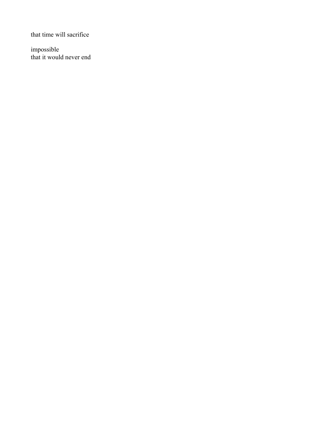that time will sacrifice

impossible that it would never end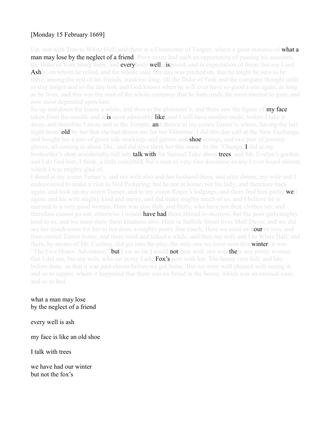# [Monday 15 February 1669]

Up, and with Tom to White Hall; and there at a Committee of Tangier, where a great instance of **what a man may lose by the neglect of a friend**: Povy never had such an opportunity of passing his accounts, the Duke of York being there, and **everybody well dis**posed, and in expectation of them; but my Lord **Ash**ly, on whom he relied, and for whose sake this day was pitched on, that he might be sure to be there, among the rest of his friends, staid too long, till the Duke of York and the company thought unfit to stay longer and so the day lost, and God knows when he will ever have so good a one again, as long as he lives; and this was the man of the whole company that he hath made the most interest to gain, and now most depended upon him.

So up and down the house a while, and then to the plaisterer's, and there saw the figure of **my face** taken from the mould: and it **is** most admirably like, and I will have another made, before I take it away, and therefore I away and to the Temple, **an**d thence to my cozen Turner's, where, having the last night been told by her that she had drawn me for her Valentine, I did this day call at the New Exchange, and bought her a pair of green silk stockings and garters and **shoe-strings**, and two pair of jessimy gloves, all coming to about 28s., and did give them her this noon. At the 'Change, I did at my bookseller's shop accidentally fall into **talk with** Sir Samuel Tuke about **trees**, and Mr. Evelyn's garden; and I do find him, I think, a little conceited, but a man of very fine discourse as any I ever heard almost, which I was mighty glad of.

I dined at my cozen Turner's, and my wife also and her husband there, and after dinner, my wife and I endeavoured to make a visit to Ned Pickering; but he not at home, nor his lady; and therefore back again, and took up my cozen Turner, and to my cozen Roger's lodgings, and there find him pretty well again, and his wife mighty kind and merry, and did make mighty much of us, and I believe he is married to a very good woman. Here was also Bab. and Betty, who have not their clothes yet, and therefore cannot go out, otherwise I would **have had** them abroad to-morrow; but the poor girls mighty kind to us, and we must shew them kindness also. Here in Suffolk Street lives Moll Davis; and we did see her coach come for her to her door, a mighty pretty fine coach. Here we staid an hour or two, and then carried Turner home, and there staid and talked a while, and then my wife and I to White Hall; and there, by means of Mr. Cooling, did get into the play, the only one we have seen this **winter**: it was "The Five Hours' Adventure:" **but** I sat so far I could **not** hear well, nor was there any pretty woman that I did see, but my wife, who sat in my Lady  $Fox's$  pew with her. The house very full; and late before done, so that it was past eleven before we got home. But we were well pleased with seeing it, and so to supper, where it happened that there was no bread in the house, which was an unusual case, and so to bed.

what a man may lose by the neglect of a friend

every well is ash

my face is like an old shoe

I talk with trees

we have had our winter but not the fox's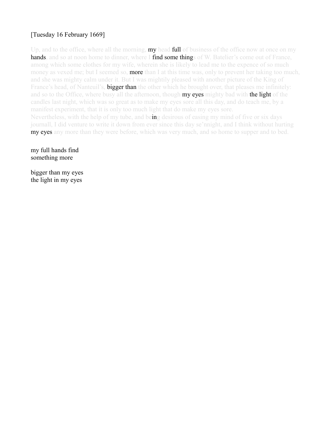# [Tuesday 16 February 1669]

Up, and to the office, where all the morning, **my** head **full** of business of the office now at once on my hands, and so at noon home to dinner, where I find some things of W. Batelier's come out of France, among which some clothes for my wife, wherein she is likely to lead me to the expence of so much money as vexed me; but I seemed so, **more** than I at this time was, only to prevent her taking too much, and she was mighty calm under it. But I was mightily pleased with another picture of the King of France's head, of Nanteuil's, **bigger than** the other which he brought over, that pleases me infinitely: and so to the Office, where busy all the afternoon, though **my eyes** mighty bad with **the light** of the candles last night, which was so great as to make my eyes sore all this day, and do teach me, by a manifest experiment, that it is only too much light that do make my eyes sore. Nevertheless, with the help of my tube, and being desirous of easing my mind of five or six days journall, I did venture to write it down from ever since this day se'nnight, and I think without hurting **my eyes** any more than they were before, which was very much, and so home to supper and to bed.

my full hands find something more

bigger than my eyes the light in my eyes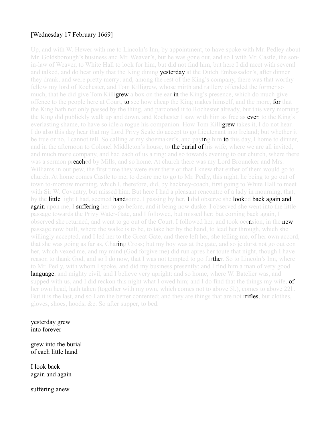#### [Wednesday 17 February 1669]

Up, and with W. Hewer with me to Lincoln's Inn, by appointment, to have spoke with Mr. Pedley about Mr. Goldsborough's business and Mr. Weaver's, but he was gone out, and so I with Mr. Castle, the sonin-law of Weaver, to White Hall to look for him, but did not find him, but here I did meet with several and talked, and do hear only that the King dining **yesterday** at the Dutch Embassador's, after dinner they drank, and were pretty merry; and, among the rest of the King's company, there was that worthy fellow my lord of Rochester, and Tom Killigrew, whose mirth and raillery offended the former so much, that he did give Tom Killi**grew** a box on the ear **in** the King's presence, which do much give offence to the people here at Court, to see how cheap the King makes himself, and the more, for that the King hath not only passed by the thing, and pardoned it to Rochester already, but this very morning the King did publickly walk up and down, and Rochester I saw with him as free as ever, to the King's everlasting shame, to have so idle a rogue his companion. How Tom Killigrew takes it, I do not hear. I do also this day hear that my Lord Privy Seale do accept to go Lieutenant into Ireland; but whether it be true or no, I cannot tell. So calling at my shoemaker's, and paying him to this day, I home to dinner, and in the afternoon to Colonel Middleton's house, to the burial of his wife, where we are all invited, and much more company, and had each of us a ring: and so towards evening to our church, where there was a sermon preached by Mills, and so home. At church there was my Lord Brouncker and Mrs. Williams in our pew, the first time they were ever there or that I knew that either of them would go to church. At home comes Castle to me, to desire me to go to Mr. Pedly, this night, he being to go out of town to-morrow morning, which I, therefore, did, by hackney-coach, first going to White Hall to meet with Sir W. Coventry, but missed him. But here I had a pleasant rencontre of a lady in mourning, that, by the little light I had, seemed handsome. I passing by her, I did observe she looked back again and **again upon me.** I **suffering** her to go before, and it being now duske. I observed she went into the little passage towards the Privy Water-Gate, and I followed, but missed her; but coming back again, I observed she returned, and went to go out of the Court. I followed her, and took occasion, in the new passage now built, where the walke is to be, to take her by the hand, to lead her through, which she willingly accepted, and I led her to the Great Gate, and there left her, she telling me, of her own accord, that she was going as far as, Charing Cross; but my boy was at the gate, and so je durst not go out con her, which vexed me, and my mind (God forgive me) did run apres her toute that night, though I have reason to thank God, and so I do now, that I was not tempted to go further. So to Lincoln's Inn, where to Mr. Pedly, with whom I spoke, and did my business presently: and I find him a man of very good language, and mighty civil, and I believe very upright: and so home, where W. Batelier was, and supped with us, and I did reckon this night what I owed him; and I do find that the things my wife, of her own head, hath taken (together with my own, which comes not to above 5l.), comes to above 22l.. But it is the last, and so I am the better contented; and they are things that are not trifles, but clothes, gloves, shoes, hoods, &c. So after supper, to bed.

yesterday grew into forever

grew into the burial of each little hand

I look back again and again

suffering anew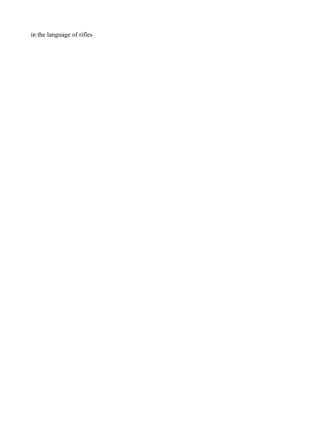in the language of rifles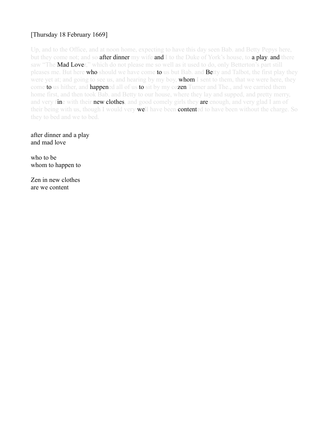# [Thursday 18 February 1669]

Up, and to the Office, and at noon home, expecting to have this day seen Bab. and Betty Pepys here, but they come not; and so **after dinner** my wife **and** I to the Duke of York's house, to **a play, and** there saw "The **Mad Love**r," which do not please me so well as it used to do, only Betterton's part still pleases me. But here who should we have come to us but Bab. and Betty and Talbot, the first play they were yet at; and going to see us, and hearing by my boy, **whom** I sent to them, that we were here, they come to us hither, and happened all of us to sit by my cozen Turner and The., and we carried them home first, and then took Bab. and Betty to our house, where they lay and supped, and pretty merry, and very fine with their new clothes, and good comely girls they are enough, and very glad I am of their being with us, though I would very **we**ll have been **content**ed to have been without the charge. So they to bed and we to bed.

after dinner and a play and mad love

who to be whom to happen to

Zen in new clothes are we content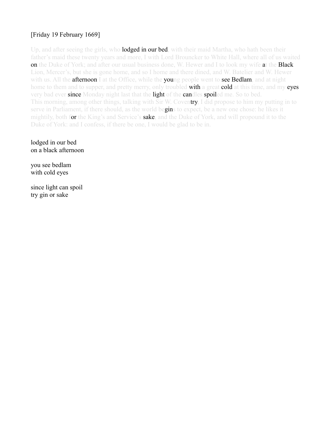# [Friday 19 February 1669]

Up, and after seeing the girls, who **lodged in our bed**, with their maid Martha, who hath been their father's maid these twenty years and more, I with Lord Brouncker to White Hall, where all of us waited on the Duke of York; and after our usual business done, W. Hewer and I to look my wife at the Black Lion, Mercer's, but she is gone home, and so I home and there dined, and W. Batelier and W. Hewer with us. All the **afternoon** I at the Office, while the **young people went to see Bedlam**, and at night home to them and to supper, and pretty merry, only troubled **with** a great **cold** at this time, and my **eyes** very bad ever since Monday night last that the light of the candles spoiled me. So to bed. This morning, among other things, talking with Sir W. Coventry, I did propose to him my putting in to serve in Parliament, if there should, as the world begins to expect, be a new one chose: he likes it mightily, both for the King's and Service's **sake**, and the Duke of York, and will propound it to the Duke of York: and I confess, if there be one, I would be glad to be in.

lodged in our bed on a black afternoon

you see bedlam with cold eyes

since light can spoil try gin or sake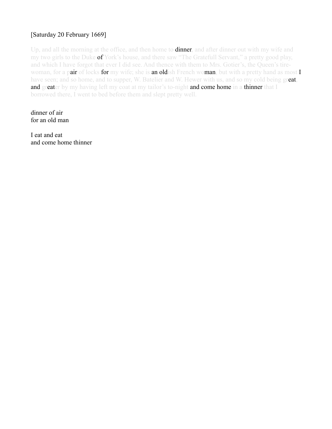# [Saturday 20 February 1669]

Up, and all the morning at the office, and then home to **dinner**, and after dinner out with my wife and my two girls to the Duke of York's house, and there saw "The Gratefull Servant," a pretty good play, and which I have forgot that ever I did see. And thence with them to Mrs. Gotier's, the Queen's tirewoman, for a pair of locks for my wife; she is an oldish French woman, but with a pretty hand as most  $I$ have seen; and so home, and to supper, W. Batelier and W. Hewer with us, and so my cold being great, and greater by my having left my coat at my tailor's to-night and come home in a thinner that I borrowed there, I went to bed before them and slept pretty well.

dinner of air for an old man

I eat and eat and come home thinner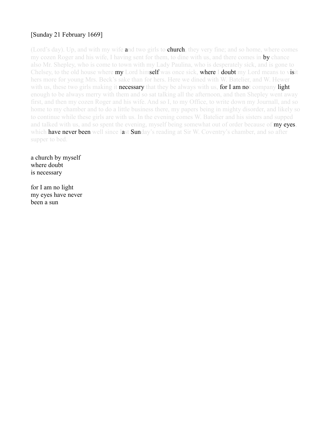# [Sunday 21 February 1669]

(Lord's day). Up, and with my wife and two girls to **church**, they very fine; and so home, where comes my cozen Roger and his wife, I having sent for them, to dine with us, and there comes in **by** chance also Mr. Shepley, who is come to town with my Lady Paulina, who is desperately sick, and is gone to Chelsey, to the old house where **my** Lord himself was once sick, where I doubt my Lord means to visit hers more for young Mrs. Beck's sake than for hers. Here we dined with W. Batelier, and W. Hewer with us, these two girls making it **necessary** that they be always with us, for I am not company light enough to be always merry with them and so sat talking all the afternoon, and then Shepley went away first, and then my cozen Roger and his wife. And so I, to my Office, to write down my Journall, and so home to my chamber and to do a little business there, my papers being in mighty disorder, and likely so to continue while these girls are with us. In the evening comes W. Batelier and his sisters and supped and talked with us, and so spent the evening, myself being somewhat out of order because of my eyes, which **have never been** well since last **Sun**day's reading at Sir W. Coventry's chamber, and so after supper to bed.

a church by myself where doubt is necessary

for I am no light my eyes have never been a sun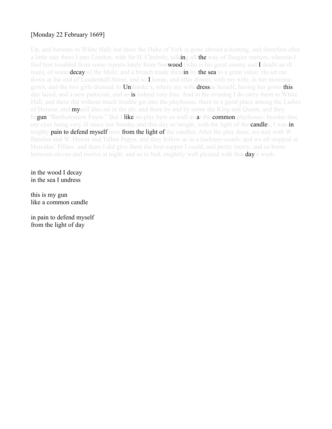# [Monday 22 February 1669]

Up, and betimes to White Hall; but there the Duke of York is gone abroad a-hunting, and therefore after a little stay there I into London, with Sir H. Cholmly, talking all the way of Tangier matters, wherein I find him troubled from some reports lately from Norwood (who is his great enemy and I doubt an ill man), of some **decay** of the Mole, and a breach made therein by the sea to a great value. He set me down at the end of Leadenhall Street, and so I home, and after dinner, with my wife, in her morninggown, and the two girls dressed, to Unthanke's, where my wife dresses herself, having her gown this day laced, and a new petticoat; and so is indeed very fine. And in the evening I do carry them to White Hall, and there did without much trouble get into the playhouse, there in a good place among the Ladies of Honour, and **my**self also sat in the pit; and there by and by come the King and Queen, and they begun "Bartholomew Fayre." But I like no play here so well as at the common playhouse; besides that, my eyes being very ill since last Sunday and this day se'nnight, with the light of the **candles**, I was in mighty **pain to defend myself now from the light of** the candles. After the play done, we met with W. Batelier and W. Hewer and Talbot Pepys, and they follow us in a hackney-coach: and we all stopped at Hercules' Pillars; and there I did give them the best supper I could, and pretty merry; and so home between eleven and twelve at night, and so to bed, mightily well pleased with this **day**'s work.

in the wood I decay in the sea I undress

this is my gun like a common candle

in pain to defend myself from the light of day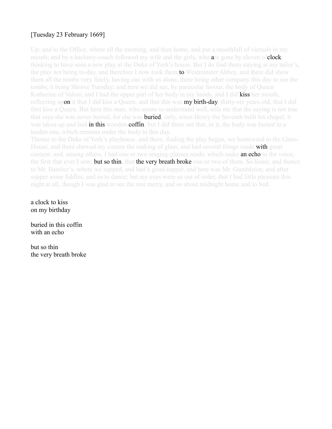# [Tuesday 23 February 1669]

Up: and to the Office, where all the morning, and then home, and put a mouthfull of victuals in my mouth; and by a hackney-coach followed my wife and the girls, who **are gone by eleven o'clock**, thinking to have seen a new play at the Duke of York's house. But I do find them staying at my tailor's, the play not being to-day, and therefore I now took them **to** Westminster Abbey, and there did show them all the tombs very finely, having one with us alone, there being other company this day to see the tombs, it being Shrove Tuesday; and here we did see, by particular favour, the body of Queen Katherine of Valois; and I had the upper part of her body in my hands, and I did **kiss her** mouth, reflecting upon it that I did kiss a Queen, and that this was **my birth-day**, thirty-six years old, that I did first kiss a Queen. But here this man, who seems to understand well, tells me that the saying is not true that says she was never buried, for she was **buried**; only, when Henry the Seventh built his chapel, it was taken up and laid in this wooden coffin; but I did there see that, in it, the body was buried in a leaden one, which remains under the body to this day.

Thence to the Duke of York's playhouse, and there, finding the play begun, we homeward to the Glass-House, and there shewed my cozens the making of glass, and had several things made **with** great content; and, among others, I had one or two singing-glasses made, which make an echo to the voice, the first that ever I saw; **but so thin**, that the very breath broke one or two of them. So home, and thence to Mr. Batelier's, where we supped, and had a good supper, and here was Mr. Gumbleton; and after supper some fiddles, and so to dance; but my eyes were so out of order, that I had little pleasure this night at all, though I was glad to see the rest merry, and so about midnight home and to bed.

a clock to kiss on my birthday

buried in this coffin with an echo

but so thin the very breath broke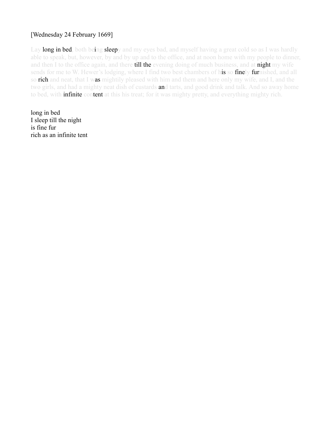# [Wednesday 24 February 1669]

Lay **long in bed**, both being **sleep**y and my eyes bad, and myself having a great cold so as I was hardly able to speak, but, however, by and by up and to the office, and at noon home with my people to dinner, and then I to the office again, and there till the evening doing of much business, and at night my wife sends for me to W. Hewer's lodging, where I find two best chambers of his so finely furnished, and all so rich and neat, that I was mightily pleased with him and them and here only my wife, and I, and the two girls, and had a mighty neat dish of custards and tarts, and good drink and talk. And so away home to bed, with **infinite** content at this his treat; for it was mighty pretty, and everything mighty rich.

long in bed I sleep till the night is fine fur rich as an infinite tent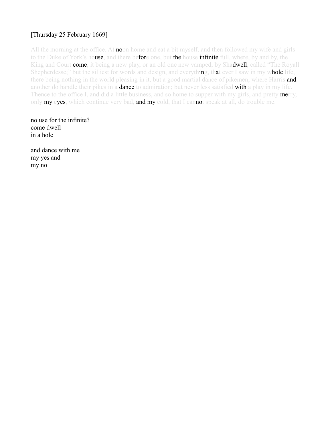# [Thursday 25 February 1669]

All the morning at the office. At **no**on home and eat a bit myself, and then followed my wife and girls to the Duke of York's house, and there before one, but the house infinite full, where, by and by, the King and Court **come**, it being a new play, or an old one new vamped, by Shadwell, called "The Royall Shepherdesse;" but the silliest for words and design, and everything, that ever I saw in my whole life, there being nothing in the world pleasing in it, but a good martial dance of pikemen, where Harris and another do handle their pikes in a **dance** to admiration; but never less satisfied with a play in my life. Thence to the office I, and did a little business, and so home to supper with my girls, and pretty merry, only my eyes, which continue very bad, and my cold, that I cannot speak at all, do trouble me.

no use for the infinite? come dwell in a hole

and dance with me my yes and my no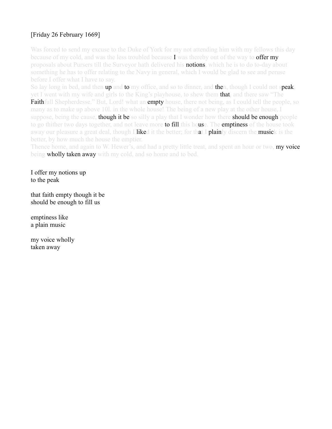# [Friday 26 February 1669]

Was forced to send my excuse to the Duke of York for my not attending him with my fellows this day because of my cold, and was the less troubled because I was thereby out of the way to **offer my** proposals about Pursers till the Surveyor hath delivered his **notions**, which he is to do to-day about something he has to offer relating to the Navy in general, which I would be glad to see and peruse before I offer what I have to say.

So lay long in bed, and then **up** and **to** my office, and so to dinner, and **then**, though I could not **speak**, yet I went with my wife and girls to the King's playhouse, to shew them **that**, and there saw "The **Faithfull** Shepherdesse." But, Lord! what an **empty** house, there not being, as I could tell the people, so many as to make up above 10l. in the whole house! The being of a new play at the other house, I suppose, being the cause, **though it be** so silly a play that I wonder how there **should be enough** people to go thither two days together, and not leave more **to fill** this house. The **emptiness** of the house took away our pleasure a great deal, though I liked it the better; for that I plainly discern the musick is the better, by how much the house the emptier.

Thence home, and again to W. Hewer's, and had a pretty little treat, and spent an hour or two, **my voice** being wholly taken away with my cold, and so home and to bed.

I offer my notions up to the peak

that faith empty though it be should be enough to fill us

emptiness like a plain music

my voice wholly taken away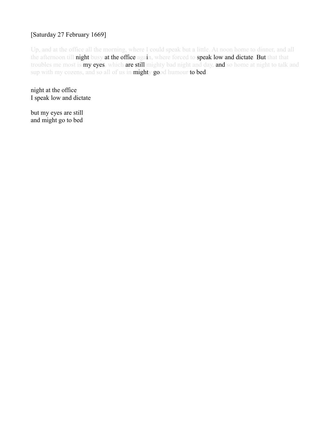# [Saturday 27 February 1669]

Up, and at the office all the morning, where I could speak but a little. At noon home to dinner, and all the afternoon till night busy at the office again, where forced to speak low and dictate. But that that troubles me most is my eyes, which are still mighty bad night and day, and so home at night to talk and sup with my cozens, and so all of us in mighty good humour to bed.

night at the office I speak low and dictate

but my eyes are still and might go to bed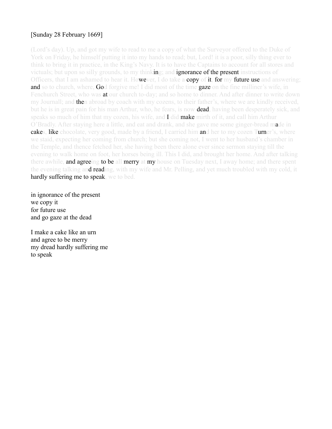# [Sunday 28 February 1669]

(Lord's day). Up, and got my wife to read to me a copy of what the Surveyor offered to the Duke of York on Friday, he himself putting it into my hands to read; but, Lord! it is a poor, silly thing ever to think to bring it in practice, in the King's Navy. It is to have the Captains to account for all stores and victuals; but upon so silly grounds, to my thinking; and **ignorance of the present** instructions of Officers, that I am ashamed to hear it. However, I do take a copy of it, for my future use and answering; and so to church, where, God forgive me! I did most of the time gaze on the fine milliner's wife, in Fenchurch Street, who was **at** our church to-day; and so home to dinner. And after dinner to write down my Journall; and **the**n abroad by coach with my cozens, to their father's, where we are kindly received, but he is in great pain for his man Arthur, who, he fears, is now **dead**, having been desperately sick, and speaks so much of him that my cozen, his wife, and **I did make** mirth of it, and call him Arthur O'Bradly. After staying here a little, and eat and drank, and she gave me some ginger-bread made in cakes, like chocolate, very good, made by a friend, I carried him and her to my cozen Turner's, where we staid, expecting her coming from church; but she coming not, I went to her husband's chamber in the Temple, and thence fetched her, she having been there alone ever since sermon staying till the evening to walk home on foot, her horses being ill. This I did, and brought her home. And after talking there awhile, and agreeing to be all merry at my house on Tuesday next, I away home; and there spent the evening talking and reading, with my wife and Mr. Pelling, and yet much troubled with my cold, it hardly suffering me to speak, we to bed.

in ignorance of the present we copy it for future use and go gaze at the dead

I make a cake like an urn and agree to be merry my dread hardly suffering me to speak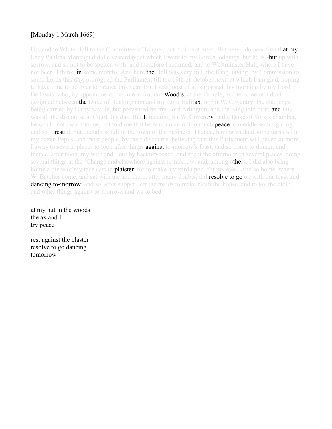# [Monday 1 March 1669]

Up, and to White Hall to the Committee of Tangier, but it did not meet. But here I do hear first that my Lady Paulina Montagu did die yesterday; at which I went to my Lord's lodgings, but he is s**hut** up with sorrow, and so not to be spoken with: and therefore I returned, and to Westminster Hall, where I have not been, I think, **in** some months. And here **the** Hall was very full, the King having, by Commission to some Lords this day, prorogued the Parliament till the 19th of October next: at which I am glad, hoping to have time to go over to France this year. But I was most of all surprised this morning by my Lord Bellassis, who, by appointment, met me at Auditor **Wood's**, at the Temple, and tells me of a duell designed between **the** Duke of Buckingham and my Lord Halifax, or Sir W. Coventry; the challenge being carried by Harry Saville, but prevented by my Lord Arlington, and the King told of it; **and** this was all the discourse at Court this day. But I, meeting Sir W. Coventry in the Duke of York's chamber, he would not own it to me, but told me that he was a man of too much **peace** to meddle with fighting, and so it **rested**: but the talk is full in the town of the business. Thence, having walked some turns with my cozen Pepys, and most people, by their discourse, believing that this Parliament will never sit more, I away to several places to look after things **against** to-morrow's feast, and so home to dinner; and thence, after noon, my wife and I out by hackneycoach, and spent the afternoon in several places, doing several things at the 'Change and elsewhere against to-morrow; and, among others, I did also bring home a piece of my face cast in **plaister**, for to make a vizard upon, for my eyes. And so home, where W. Batelier come, and sat with us; and there, after many doubts, did **resolve to go** on with our feast and **dancing to-morrow**; and so, after supper, left the maids to make clean the house, and to lay the cloth, and other things against to-morrow, and we to bed.

at my hut in the woods the ax and I try peace

rest against the plaster resolve to go dancing tomorrow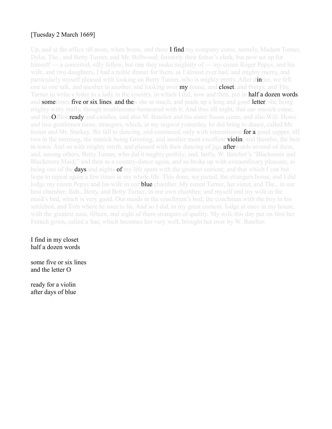# [Tuesday 2 March 1669]

Up, and at the office till noon, when home, and there **I find** my company come, namely, Madam Turner, Dyke, The., and Betty Turner, and Mr. Bellwood, formerly their father's clerk, but now set up for himself — a conceited, silly fellow, but one they make mightily of — my cozen Roger Pepys, and his wife, and two daughters. I had a noble dinner for them, as I almost ever had, and mighty merry, and particularly myself pleased with looking on Betty Turner, who is mighty pretty. After dinner, we fell one to one talk, and another to another, and looking over **my** house, and **closet**, and things; and The. Turner to write a letter to a lady in the country, in which I did, now and then, put in **half a dozen words**, and **sometimes five or six lines, and then** she as much, and made up a long and good **letter**, she being mighty witty really, though troublesome-humoured with it. And thus till night, that our musick come, and the **Office ready** and candles, and also W. Batelier and his sister Susan come, and also Will. Howe and two gentlemen more, strangers, which, at my request yesterday, he did bring to dance, called Mr. Ireton and Mr. Starkey. We fell to dancing, and continued, only with intermission for a good supper, till two in the morning, the musick being Greeting, and another most excellent **violin**, and theorbo, the best in town. And so with mighty mirth, and pleased with their dancing of jigs **after**wards several of them, and, among others, Betty Turner, who did it mighty prettily; and, lastly, W. Batelier's "Blackmore and Blackmore Maid;" and then to a country-dance again, and so broke up with extraordinary pleasure, as being one of the **days and nights of** my life spent with the greatest content; and that which I can but hope to repeat again a few times in my whole life. This done, we parted, the strangers home, and I did lodge my cozen Pepys and his wife in our **blue** chamber. My cozen Turner, her sister, and The., in our best chamber; Bab., Betty, and Betty Turner, in our own chamber; and myself and my wife in the maid's bed, which is very good. Our maids in the coachman's bed; the coachman with the boy in his settlebed, and Tom where he uses to lie. And so I did, to my great content, lodge at once in my house, with the greatest ease, fifteen, and eight of them strangers of quality. My wife this day put on first her French gown, called a Sac, which becomes her very well, brought her over by W. Batelier.

I find in my closet half a dozen words

some five or six lines and the letter O

ready for a violin after days of blue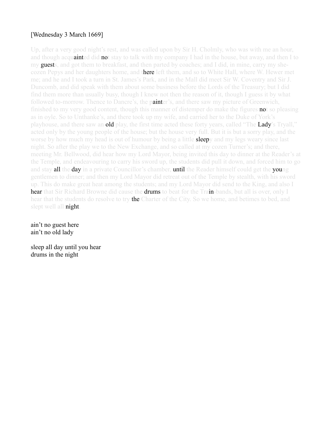# [Wednesday 3 March 1669]

Up, after a very good night's rest, and was called upon by Sir H. Cholmly, who was with me an hour, and though acquainted did not stay to talk with my company I had in the house, but away, and then I to my guests, and got them to breakfast, and then parted by coaches; and I did, in mine, carry my shecozen Pepys and her daughters home, and there left them, and so to White Hall, where W. Hewer met me; and he and I took a turn in St. James's Park, and in the Mall did meet Sir W. Coventry and Sir J. Duncomb, and did speak with them about some business before the Lords of the Treasury; but I did find them more than usually busy, though I knew not then the reason of it, though I guess it by what followed to-morrow. Thence to Dancre's, the **painter's**, and there saw my picture of Greenwich, finished to my very good content, though this manner of distemper do make the figures **no**t so pleasing as in oyle. So to Unthanke's, and there took up my wife, and carried her to the Duke of York's playhouse, and there saw an **old** play, the first time acted these forty years, called "The **Lady**'s Tryall," acted only by the young people of the house; but the house very full. But it is but a sorry play, and the worse by how much my head is out of humour by being a little **sleep**y and my legs weary since last night. So after the play we to the New Exchange, and so called at my cozen Turner's; and there, meeting Mr. Bellwood, did hear how my Lord Mayor, being invited this day to dinner at the Reader's at the Temple, and endeavouring to carry his sword up, the students did pull it down, and forced him to go and stay **all the day** in a private Councillor's chamber, **until** the Reader himself could get the **you**ng gentlemen to dinner; and then my Lord Mayor did retreat out of the Temple by stealth, with his sword up. This do make great heat among the students; and my Lord Mayor did send to the King, and also I hear that Sir Richard Browne did cause the drums to beat for the Train-bands, but all is over, only I hear that the students do resolve to try the Charter of the City. So we home, and betimes to bed, and slept well all night.

ain't no guest here ain't no old lady

sleep all day until you hear drums in the night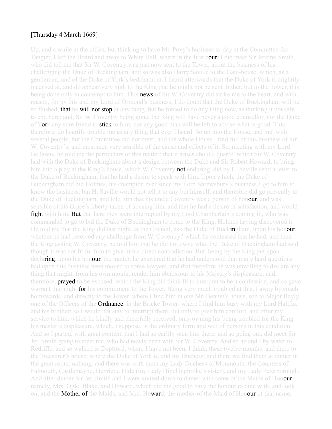#### [Thursday 4 March 1669]

Up, and a while at the office, but thinking to have Mr. Povy's business to-day at the Committee for Tangier, I left the Board and away to White Hall, where in the first court I did meet Sir Jeremy Smith, who did tell me that Sir W. Coventry was just now sent to the Tower, about the business of his challenging the Duke of Buckingham, and so was also Harry Saville to the Gate-house; which, as a gentleman, and of the Duke of York's bedchamber, I heard afterwards that the Duke of York is mightily incensed at, and do appear very high to the King that he might not be sent thither, but to the Tower, this being done only in contempt to him. This **news** of Sir W. Coventry did strike me to the heart, and with reason, for by this and my Lord of Ormond's business, I do doubt that the Duke of Buckingham will be so flushed, **that he will not stop** at any thing, but be forced to do any thing now, as thinking it not safe to end here; and, Sir W. Coventry being gone, the King will have never a good counsellor, nor the Duke of York any sure friend to **stick** to him; nor any good man will be left to advise what is good. This, therefore, do heartily trouble me as any thing that ever I heard. So up into the House, and met with several people; but the Committee did not meet; and the whole House I find full of this business of Sir W. Coventry's, and most men very sensible of the cause and effects of it. So, meeting with my Lord Bellassis, he told me the particulars of this matter; that it arises about a quarrel which Sir W. Coventry had with the Duke of Buckingham about a design between the Duke and Sir Robert Howard, to bring him into a play at the King's house, which W. Coventry **not** enduring, did by H. Saville send a letter to the Duke of Buckingham, that he had a desire to speak with him. Upon which, the Duke of Buckingham did bid Holmes, his champion ever since my Lord Shrewsbury's business,1 go to him to know the business; but H. Saville would not tell it to any but himself, and therefore did go presently to the Duke of Buckingham, and told him that his uncle Coventry was a person of honour, and was sensible of his Grace's liberty taken of abusing him, and that he had a desire of satisfaction, and would **fight** with him. But that here they were interrupted by my Lord Chamberlain's coming in, who was commanded to go to bid the Duke of Buckingham to come to the King, Holmes having discovered it. He told me that the King did last night, at the Council, ask the Duke of Buckingham, upon his honour, whether he had received any challenge from W. Coventry? which he confessed that he had; and then the King asking W. Coventry, he told him that he did not owne what the Duke of Buckingham had said, though it was not fit for him to give him a direct contradiction. But, being by the King put upon declaring, upon his honour, the matter, he answered that he had understood that many hard questions had upon this business been moved to some lawyers, and that therefore he was unwilling to declare any thing that might, from his own mouth, render him obnoxious to his Majesty's displeasure, and, therefore, **prayed** to be excused: which the King did think fit to interpret to be a confession, and so gave warrant that night **for** his commitment to the Tower. Being very much troubled at this, I away by coach homewards, and directly to the Tower, where I find him in one Mr. Bennet's house, son to Major Bayly, one of the Officers of the **Ordnance**, in the Bricke Tower: where I find him busy with my Lord Halifax and his brother; so I would not stay to interrupt them, but only to give him comfort, and offer my service to him, which he kindly and cheerfully received, only owning his being troubled for the King his master's displeasure, which, I suppose, is the ordinary form and will of persons in this condition. And so I parted, with great content, that I had so earlily seen him there; and so going out, did meet Sir Jer. Smith going to meet me, who had newly been with Sir W. Coventry. And so he and I by water to Redriffe, and so walked to Deptford, where I have not been, I think, these twelve months: and there to the Treasurer's house, where the Duke of York is, and his Duchess; and there we find them at dinner in the great room, unhung; and there was with them my Lady Duchess of Monmouth, the Countess of Falmouth, Castlemayne, Henrietta Hide (my Lady Hinchingbroke's sister), and my Lady Peterborough. And after dinner Sir Jer. Smith and I were invited down to dinner with some of the Maids of Honour, namely, Mrs. Ogle, Blake, and Howard, which did me good to have the honour to dine with, and look on; and the **Mother of the** Maids, and Mrs. Howard, the mother of the Maid of Honour of that name,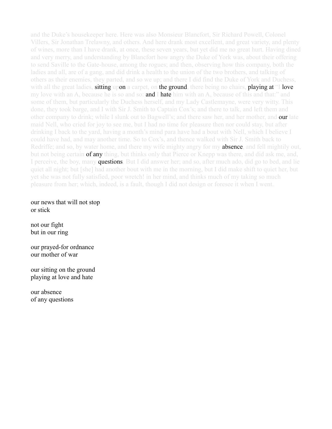and the Duke's housekeeper here. Here was also Monsieur Blancfort, Sir Richard Powell, Colonel Villers, Sir Jonathan Trelawny, and others. And here drank most excellent, and great variety, and plenty of wines, more than I have drank, at once, these seven years, but yet did me no great hurt. Having dined and very merry, and understanding by Blancfort how angry the Duke of York was, about their offering to send Saville to the Gate-house, among the rogues; and then, observing how this company, both the ladies and all, are of a gang, and did drink a health to the union of the two brothers, and talking of others as their enemies, they parted, and so we up; and there I did find the Duke of York and Duchess, with all the great ladies, **sitting upon** a carpet, on **the ground**, there being no chairs, **playing at** "I **love** my love with an A, because he is so and so: **and I hate** him with an A, because of this and that:" and some of them, but particularly the Duchess herself, and my Lady Castlemayne, were very witty. This done, they took barge, and I with Sir J. Smith to Captain Cox's; and there to talk, and left them and other company to drink; while I slunk out to Bagwell's; and there saw her, and her mother, and **our** late maid Nell, who cried for joy to see me, but I had no time for pleasure then nor could stay, but after drinking I back to the yard, having a month's mind para have had a bout with Nell, which I believe I could have had, and may another time. So to Cox's, and thence walked with Sir J. Smith back to Redriffe; and so, by water home, and there my wife mighty angry for my **absence**, and fell mightily out, but not being certain of any thing, but thinks only that Pierce or Knepp was there, and did ask me, and, I perceive, the boy, many **questions**. But I did answer her; and so, after much ado, did go to bed, and lie quiet all night; but [she] had another bout with me in the morning, but I did make shift to quiet her, but yet she was not fully satisfied, poor wretch! in her mind, and thinks much of my taking so much pleasure from her; which, indeed, is a fault, though I did not design or foresee it when I went.

our news that will not stop or stick

not our fight but in our ring

our prayed-for ordnance our mother of war

our sitting on the ground playing at love and hate

our absence of any questions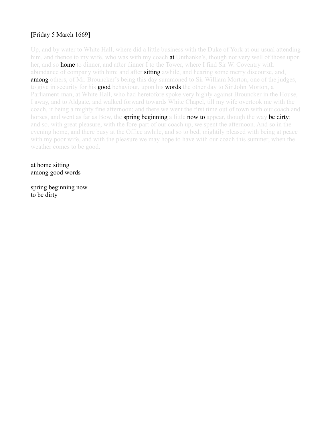# [Friday 5 March 1669]

Up, and by water to White Hall, where did a little business with the Duke of York at our usual attending him, and thence to my wife, who was with my coach **at** Unthanke's, though not very well of those upon her, and so **home** to dinner, and after dinner I to the Tower, where I find Sir W. Coventry with abundance of company with him; and after **sitting** awhile, and hearing some merry discourse, and, **among** others, of Mr. Brouncker's being this day summoned to Sir William Morton, one of the judges, to give in security for his **good** behaviour, upon his **words** the other day to Sir John Morton, a Parliament-man, at White Hall, who had heretofore spoke very highly against Brouncker in the House, I away, and to Aldgate, and walked forward towards White Chapel, till my wife overtook me with the coach, it being a mighty fine afternoon; and there we went the first time out of town with our coach and horses, and went as far as Bow, the **spring beginning** a little **now to** appear, though the way **be dirty**; and so, with great pleasure, with the fore-part of our coach up, we spent the afternoon. And so in the evening home, and there busy at the Office awhile, and so to bed, mightily pleased with being at peace with my poor wife, and with the pleasure we may hope to have with our coach this summer, when the weather comes to be good.

at home sitting among good words

spring beginning now to be dirty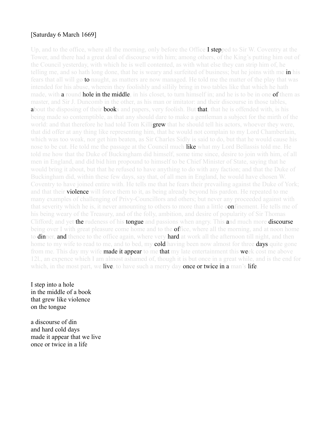#### [Saturday 6 March 1669]

Up, and to the office, where all the morning, only before the Office **I stepped** to Sir W. Coventry at the Tower, and there had a great deal of discourse with him; among others, of the King's putting him out of the Council yesterday, with which he is well contented, as with what else they can strip him of, he telling me, and so hath long done, that he is weary and surfeited of business; but he joins with me in his fears that all will go to naught, as matters are now managed. He told me the matter of the play that was intended for his abuse, wherein they foolishly and sillily bring in two tables like that which he hath made, with **a** round **hole in the middle**, in his closet, to turn himself in; and he is to be in one **of** them as master, and Sir J. Duncomb in the other, as his man or imitator: and their discourse in those tables, about the disposing of their **books** and papers, very foolish. But that, that he is offended with, is his being made so contemptible, as that any should dare to make a gentleman a subject for the mirth of the world: and that therefore he had told Tom Killigrew that he should tell his actors, whoever they were, that did offer at any thing like representing him, that he would not complain to my Lord Chamberlain, which was too weak, nor get him beaten, as Sir Charles Sidly is said to do, but that he would cause his nose to be cut. He told me the passage at the Council much like what my Lord Bellassis told me. He told me how that the Duke of Buckingham did himself, some time since, desire to join with him, of all men in England, and did bid him propound to himself to be Chief Minister of State, saying that he would bring it about, but that he refused to have anything to do with any faction; and that the Duke of Buckingham did, within these few days, say that, of all men in England, he would have chosen W. Coventry to have joined entire with. He tells me that he fears their prevailing against the Duke of York; and that their **violence** will force them to it, as being already beyond his pardon. He repeated to me many examples of challenging of Privy-Councillors and others; but never any proceeded against with that severity which he is, it never amounting to others to more than a little confinement. He tells me of his being weary of the Treasury, and of the folly, ambition, and desire of popularity of Sir Thomas Clifford; and yet the rudeness of his tongue and passions when angry. This and much more discourse being over I with great pleasure come home and to the **of**fice, where all the morning, and at noon home to **dinner, and thence to the office again, where very hard at work all the afternoon till night, and then** home to my wife to read to me, and to bed, my **cold** having been now almost for three **days** quite gone from me. This day my wife **made it appear** to me that my late entertainment this week cost me above 12l., an expence which I am almost ashamed of, though it is but once in a great while, and is the end for which, in the most part, we live, to have such a merry day once or twice in a man's life.

I step into a hole in the middle of a book that grew like violence on the tongue

a discourse of din and hard cold days made it appear that we live once or twice in a life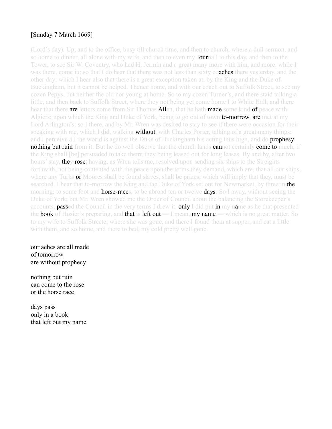## [Sunday 7 March 1669]

(Lord's day). Up, and to the office, busy till church time, and then to church, where a dull sermon, and so home to dinner, all alone with my wife, and then to even my **Jour**nall to this day, and then to the Tower, to see Sir W. Coventry, who had H. Jermin and a great many more with him, and more, while I was there, come in; so that I do hear that there was not less than sixty **coaches** there yesterday, and the other day; which I hear also that there is a great exception taken at, by the King and the Duke of Buckingham, but it cannot be helped. Thence home, and with our coach out to Suffolk Street, to see my cozen Pepys, but neither the old nor young at home. So to my cozen Turner's, and there staid talking a little, and then back to Suffolk Street, where they not being yet come home I to White Hall, and there hear that there are letters come from Sir Thomas Allen, that he hath made some kind of peace with Algiers; upon which the King and Duke of York, being to go out of town **to-morrow, are** met at my Lord Arlington's: so I there, and by Mr. Wren was desired to stay to see if there were occasion for their speaking with me, which I did, walking **without**, with Charles Porter, talking of a great many things: and I perceive all the world is against the Duke of Buckingham his acting thus high, and do **prophesy nothing but ruin** from it: But he do well observe that the church lands **cannot** certainly **come to** much, if the King shall [be] persuaded to take them; they being leased out for long leases. By and by, after two hours' stay, **they rose**, having, as Wren tells me, resolved upon sending six ships to the Streights forthwith, not being contented with the peace upon the terms they demand, which are, that all our ships, where any Turks or Moores shall be found slaves, shall be prizes; which will imply that they, must be searched. I hear that to-morrow the King and the Duke of York set out for Newmarket, by three in the morning; to some foot and **horse-race**s, to be abroad ten or twelve **days**: So I away, without seeing the Duke of York; but Mr. Wren showed me the Order of Council about the balancing the Storekeeper's accounts, **passed** the Council in the very terms I drew it, **only** I did put in my name as he that presented the **book** of Hosier's preparing, and **that is left out** — I mean, **my name** — which is no great matter. So to my wife to Suffolk Streete, where she was gone, and there I found them at supper, and eat a little with them, and so home, and there to bed, my cold pretty well gone.

our aches are all made of tomorrow are without prophecy

nothing but ruin can come to the rose or the horse race

days pass only in a book that left out my name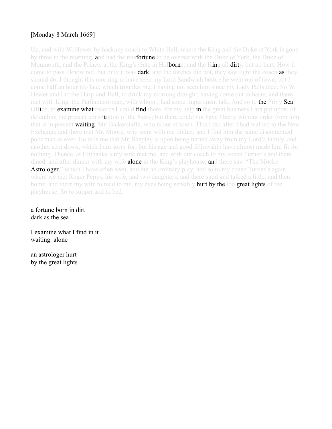# [Monday 8 March 1669]

Up, and with W. Hewer by hackney coach to White Hall, where the King and the Duke of York is gone by three in the morning, and had the misfortune to be overset with the Duke of York, the Duke of Monmouth, and the Prince, at the King's Gate in Holborne; and the King all dirty, but no hurt. How it come to pass I know not, but only it was **dark**, and the torches did not, they say, light the coach **as** they should do. I thought this morning to have seen my Lord Sandwich before he went out of town, but I come half an hour too late; which troubles me, I having not seen him since my Lady Palls died. So W. Hewer and I to the Harp-and-Ball, to drink my morning draught, having come out in haste; and there met with King, the Parliament-man, with whom I had some impertinent talk. And so to **the Privy Seal** Office, to **examine what records I could find** there, for my help in the great business I am put upon, of defending the present constitution of the Navy; but there could not have liberty without order from him that is in present waiting, Mr. Bickerstaffe, who is out of town. This I did after I had walked to the New Exchange and there met Mr. Moore, who went with me thither, and I find him the same discontented poor man as ever. He tells me that Mr. Shepley is upon being turned away from my Lord's family, and another sent down, which I am sorry for; but his age and good fellowship have almost made him fit for nothing. Thence, at Unthanke's my wife met me, and with our coach to my cozen Turner's and there dined, and after dinner with my wife **alone** to the King's playhouse, and there saw "The Mocke" **Astrologer**," which I have often seen, and but an ordinary play; and so to my cozen Turner's again, where we met Roger Pepys, his wife, and two daughters, and there staid and talked a little, and then home, and there my wife to read to me, my eyes being sensibly **hurt by the too great lights** of the playhouse. So to supper and to bed.

a fortune born in dirt dark as the sea

I examine what I find in it waiting alone

an astrologer hurt by the great lights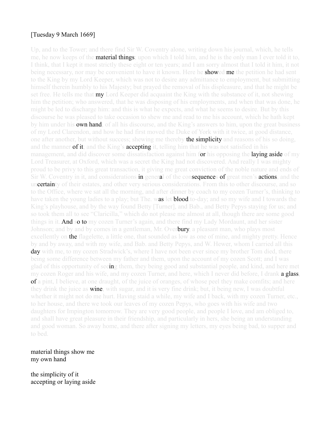# [Tuesday 9 March 1669]

Up, and to the Tower; and there find Sir W. Coventry alone, writing down his journal, which, he tells me, he now keeps of the **material things; up**on which I told him, and he is the only man I ever told it to, I think, that I kept it most strictly these eight or ten years; and I am sorry almost that I told it him, it not being necessary, nor may be convenient to have it known. Here he **showed me** the petition he had sent to the King by my Lord Keeper, which was not to desire any admittance to employment, but submitting himself therein humbly to his Majesty; but prayed the removal of his displeasure, and that he might be set free. He tells me that **my** Lord Keeper did acquaint the King with the substance of it, not shewing him the petition; who answered, that he was disposing of his employments, and when that was done, he might be led to discharge him: and this is what he expects, and what he seems to desire. But by this discourse he was pleased to take occasion to shew me and read to me his account, which he hath kept by him under his **own hand**, of all his discourse, and the King's answers to him, upon the great business of my Lord Clarendon, and how he had first moved the Duke of York with it twice, at good distance, one after another, but without success; shewing me thereby **the simplicity** and reasons of his so doing, and the manner of it; and the King's **accepting** it, telling him that he was not satisfied in his management, and did discover some dissatisfaction against him for his opposing the laying aside of my Lord Treasurer, at Oxford, which was a secret the King had not discovered. And really I was mighty proud to be privy to this great transaction, it giving me great conviction of the noble nature and ends of Sir W. Coventry in it, and considerations in general of the consequences of great men's actions, and the uncertainty of their estates, and other very serious considerations. From this to other discourse, and so to the Office, where we sat all the morning, and after dinner by coach to my cozen Turner's, thinking to have taken the young ladies to a play; but The. was let **blood** to-day; and so my wife and I towards the King's playhouse, and by the way found Betty [Turner], and Bab., and Betty Pepys staying for us; and so took them all to see "Claricilla," which do not please me almost at all, though there are some good things in it. And so to my cozen Turner's again, and there find my Lady Mordaunt, and her sister Johnson; and by and by comes in a gentleman, Mr. Overbury, a pleasant man, who plays most excellently on **the** flagelette, a little one, that sounded as low as one of mine, and mighty pretty. Hence by and by away, and with my wife, and Bab. and Betty Pepys, and W. Hewer, whom I carried all this day with me, to my cozen Stradwick's, where I have not been ever since my brother Tom died, there being some difference between my father and them, upon the account of my cozen Scott; and I was glad of this opportunity of seeing them, they being good and substantial people, and kind, and here met my cozen Roger and his wife, and my cozen Turner, and here, which I never did before, I drank **a glass**, of a pint, I believe, at one draught, of the juice of oranges, of whose peel they make comfits; and here they drink the juice as **wine**, with sugar, and it is very fine drink; but, it being new, I was doubtful whether it might not do me hurt. Having staid a while, my wife and I back, with my cozen Turner, etc., to her house, and there we took our leaves of my cozen Pepys, who goes with his wife and two daughters for Impington tomorrow. They are very good people, and people I love, and am obliged to, and shall have great pleasure in their friendship, and particularly in hers, she being an understanding and good woman. So away home, and there after signing my letters, my eyes being bad, to supper and to bed.

#### material things show me my own hand

the simplicity of it accepting or laying aside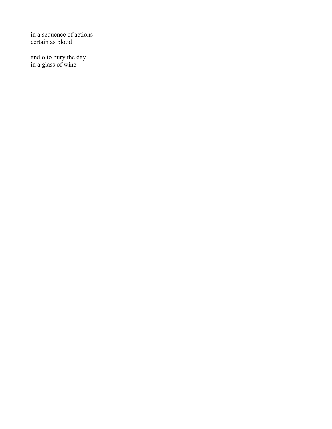in a sequence of actions certain as blood

and o to bury the day in a glass of wine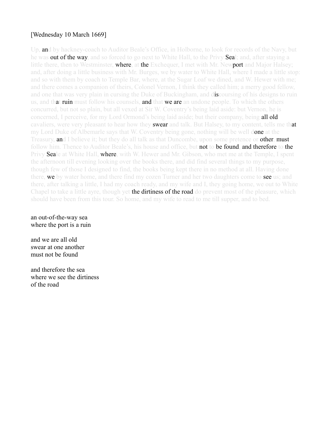#### [Wednesday 10 March 1669]

Up, and by hackney-coach to Auditor Beale's Office, in Holborne, to look for records of the Navy, but he was **out of the way**, and so forced to go next to White Hall, to the Privy **Sea**l; and, after staying a little there, then to Westminster, **where, at the** Exchequer, I met with Mr. Newport and Major Halsey; and, after doing a little business with Mr. Burges, we by water to White Hall, where I made a little stop: and so with them by coach to Temple Bar, where, at the Sugar Loaf we dined, and W. Hewer with me; and there comes a companion of theirs, Colonel Vernon, I think they called him; a merry good fellow, and one that was very plain in cursing the Duke of Buckingham, and discoursing of his designs to ruin us, and that ruin must follow his counsels, and that we are an undone people. To which the others concurred, but not so plain, but all vexed at Sir W. Coventry's being laid aside: but Vernon, he is concerned, I perceive, for my Lord Ormond's being laid aside; but their company, being **all old** cavaliers, were very pleasant to hear how they **swear** and talk. But Halsey, to my content, tells me that my Lord Duke of Albemarle says that W. Coventry being gone, nothing will be well done at the Treasury, and I believe it; but they do all talk as that Duncombe, upon some pretence or other, must follow him. Thence to Auditor Beale's, his house and office, but not to be found, and therefore to the Privy Seale at White Hall, where, with W. Hewer and Mr. Gibson, who met me at the Temple, I spent the afternoon till evening looking over the books there, and did find several things to my purpose, though few of those I designed to find, the books being kept there in no method at all. Having done there, we by water home, and there find my cozen Turner and her two daughters come to see us; and there, after talking a little, I had my coach ready, and my wife and I, they going home, we out to White Chapel to take a little ayre, though yet the dirtiness of the road do prevent most of the pleasure, which should have been from this tour. So home, and my wife to read to me till supper, and to bed.

#### an out-of-the-way sea where the port is a ruin

and we are all old swear at one another must not be found

and therefore the sea where we see the dirtiness of the road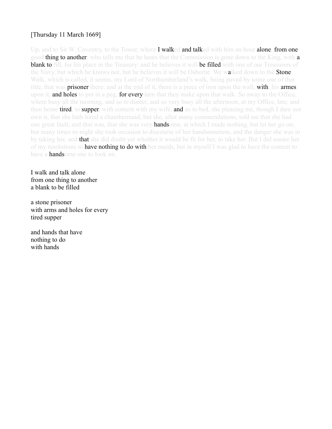## [Thursday 11 March 1669]

Up, and to Sir W. Coventry, to the Tower, where **I walked and talked** with him an hour **alone, from one** good **thing to another**: who tells me that he hears that the Commission is gone down to the King, with **a blank to** fill, for his place in the Treasury: and he believes it will be filled with one of our Treasurers of the Navy, but which he knows not, but he believes it will be Osborne. We walked down to the **Stone** Walk, which is called, it seems, my Lord of Northumberland's walk, being paved by some one of that title, that was **prisoner** there: and at the end of it, there is a piece of iron upon the wall, **with**, his **armes** upon it, **and holes** to put in a peg, **for every** turn that they make upon that walk. So away to the Office, where busy all the morning, and so to dinner, and so very busy all the afternoon, at my Office, late; and then home **tired**, to **supper**, with content with my wife, and so to bed, she pleasing me, though I dare not own it, that she hath hired a chambermaid; but she, after many commendations, told me that she had one great fault, and that was, that she was very **hands**ome, at which I made nothing, but let her go on; but many times to-night she took occasion to discourse of her handsomeness, and the danger she was in by taking her, and **that** she did doubt yet whether it would be fit for her, to take her. But I did assure her of my resolutions to have nothing to do with her maids, but in myself I was glad to have the content to have **a hands**ome one to look on.

I walk and talk alone from one thing to another a blank to be filled

a stone prisoner with arms and holes for every tired supper

and hands that have nothing to do with hands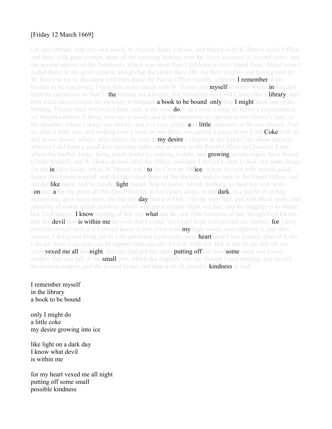#### [Friday 12 March 1669]

Up, and abroad, with my own coach, to Auditor Beale's house, and thence with W. Hewer to his Office, and there with great content spent all the morning looking over the Navy accounts of several years, and the several patents of the Treasurers, which was more than I did hope to have found there. About noon I ended there, to my great content, and giving the clerks there 20s. for their trouble, and having sent for W. Howe to me to discourse with him about the Patent Office records, wherein **I remembered** his brother to be concerned, I took him in my coach with W. Hewer and **myself towards Westminster**; and there he carried me to Nott's, **the** famous bookbinder, that bound for my Lord Chancellor's **library**; and here I did take occasion for curiosity to bespeak **a book to be bound, only that I might** have one of his binding. Thence back to Graye's Inne: and, at the next **do**or, at a cook's-shop of Howe's acquaintance, we bespoke dinner, it being now two o'clock; and in the meantime he carried us into Graye's Inne, to his chamber, where I never was before; and it is very pretty, and little, and neat, as he was always. And so, after a little stay, and looking over a book or two there, we carried a piece of my Lord **Coke** with us, and to our dinner, where, after dinner, he read at **my desire** a chapter in my Lord Coke about perjury, wherein I did learn a good deal touching oaths, and so away to the Patent Office; in Chancery Lane, where his brother Jacke, being newly broke by running in debt, and **growing** an idle rogue, he is forced to hide himself; and W. Howe do look after the Office, and here I did set a clerk to look out some things for me in their books, while W. Hewer and I to the Crowne Offices where we met with several good things that I most wanted, and did take short notes of the dockets, and so back to the Patent Office, and did the like there, and by candle-light ended. And so home, where, thinking to meet my wife with content, after my pains all this day, I find her in her closet, alone, in the dark, in a hot fit of railing against me, upon some news she has this **day** heard of Deb.'s living very fine, and with black spots, and speaking ill words of her mistress, which with good reason might vex her; and the baggage is to blame, but, God knows, **I know** nothing of her, nor **what** she do, nor what becomes of her, though God knows that my **devil** that **is within me** do wish that I could. Yet God I hope will prevent me therein, for I dare not trust myself with it if I should know it; but, what with **my** high words, and slighting it, and then serious, I did at last bring her to very good and kind terms, poor **heart**! and I was heartily glad of it, for I do see there is no man can be happier than myself, if I will, with her. But in her fit she did tell me what **vexed me all** the **night**, that this had put her upon **putting off** her handsome maid and hiring another that was full of the **small** pox, which did mightily vex me, though I said nothing, and do still. So down to supper, and she to read to me, and then with all possible **kindness** to bed.

I remember myself in the library a book to be bound

only I might do a little coke my desire growing into ice

like light on a dark day I know what devil is within me

for my heart vexed me all night putting off some small possible kindness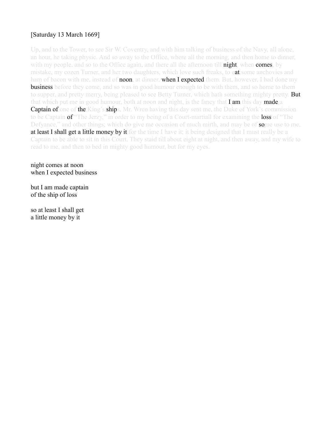# [Saturday 13 March 1669]

Up, and to the Tower, to see Sir W. Coventry, and with him talking of business of the Navy, all alone, an hour, he taking physic. And so away to the Office, where all the morning, and then home to dinner, with my people, and so to the Office again, and there all the afternoon till night, when comes, by mistake, my cozen Turner, and her two daughters, which love such freaks, to eat some anchovies and ham of bacon with me, instead of **noon**, at dinner, **when I expected** them. But, however, I had done my **business** before they come, and so was in good humour enough to be with them, and so home to them to supper, and pretty merry, being pleased to see Betty Turner, which hath something mighty pretty. **But** that which put me in good humour, both at noon and night, is the fancy that  $I$  am this day made a Captain of one of the King's ships, Mr. Wren having this day sent me, the Duke of York's commission to be Captain of "The Jerzy," in order to my being of a Court-martiall for examining the loss of "The Defyance," and other things; which do give me occasion of much mirth, and may be of some use to me, at least I shall get a little money by it for the time I have it; it being designed that I must really be a Captain to be able to sit in this Court. They staid till about eight at night, and then away, and my wife to read to me, and then to bed in mighty good humour, but for my eyes.

night comes at noon when I expected business

but I am made captain of the ship of loss

so at least I shall get a little money by it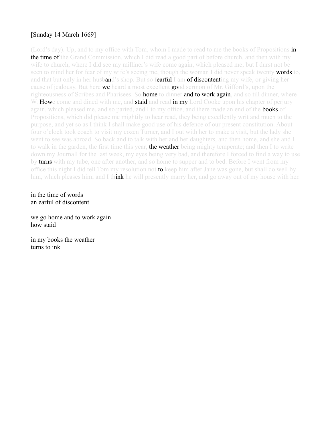## [Sunday 14 March 1669]

(Lord's day). Up, and to my office with Tom, whom I made to read to me the books of Propositions in **the time of** the Grand Commission, which I did read a good part of before church, and then with my wife to church, where I did see my milliner's wife come again, which pleased me; but I durst not be seen to mind her for fear of my wife's seeing me, though the woman I did never speak twenty **words to**, and that but only in her husband's shop. But so fearful I am of discontenting my wife, or giving her cause of jealousy. But here **we** heard a most excellent **good** sermon of Mr. Gifford's, upon the righteousness of Scribes and Pharisees. So **home** to dinner and to work again, and so till dinner, where W. **How**e come and dined with me, and **staid** and read **in my** Lord Cooke upon his chapter of perjury again, which pleased me, and so parted, and I to my office, and there made an end of the **books** of Propositions, which did please me mightily to hear read, they being excellently writ and much to the purpose, and yet so as I think I shall make good use of his defence of our present constitution. About four o'clock took coach to visit my cozen Turner, and I out with her to make a visit, but the lady she went to see was abroad. So back and to talk with her and her daughters, and then home, and she and I to walk in the garden, the first time this year, **the weather** being mighty temperate; and then I to write down my Journall for the last week, my eyes being very bad, and therefore I forced to find a way to use by turns with my tube, one after another, and so home to supper and to bed. Before I went from my office this night I did tell Tom my resolution not **to** keep him after Jane was gone, but shall do well by him, which pleases him; and I think he will presently marry her, and go away out of my house with her.

in the time of words an earful of discontent

we go home and to work again how staid

in my books the weather turns to ink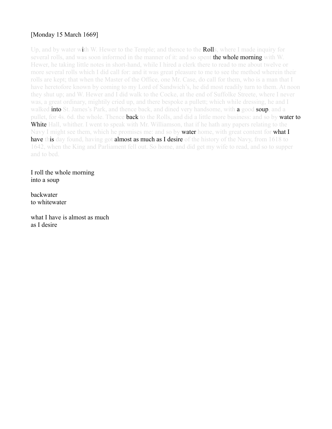# [Monday 15 March 1669]

Up, and by water with W. Hewer to the Temple; and thence to the **Roll**s, where I made inquiry for several rolls, and was soon informed in the manner of it: and so spent **the whole morning** with W. Hewer, he taking little notes in short-hand, while I hired a clerk there to read to me about twelve or more several rolls which I did call for: and it was great pleasure to me to see the method wherein their rolls are kept; that when the Master of the Office, one Mr. Case, do call for them, who is a man that I have heretofore known by coming to my Lord of Sandwich's, he did most readily turn to them. At noon they shut up; and W. Hewer and I did walk to the Cocke, at the end of Suffolke Streete, where I never was, a great ordinary, mightily cried up, and there bespoke a pullett; which while dressing, he and I walked **into** St. James's Park, and thence back, and dined very handsome, with **a** good **soup**, and a pullet, for 4s. 6d, the whole. Thence **back** to the Rolls, and did a little more business: and so by **water to** White Hall, whither. I went to speak with Mr. Williamson, that if he hath any papers relating to the Navy I might see them, which he promises me: and so by **water** home, with great content for **what I** have this day found, having got almost as much as I desire of the history of the Navy, from 1618 to 1642, when the King and Parliament fell out. So home, and did get my wife to read, and so to supper and to bed.

I roll the whole morning into a soup

backwater to whitewater

what I have is almost as much as I desire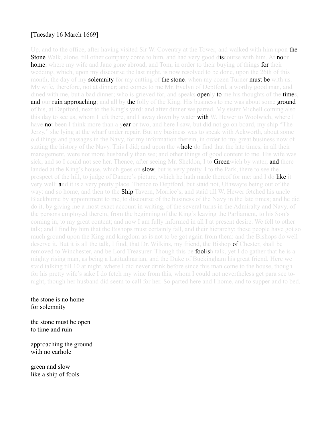# [Tuesday 16 March 1669]

Up, and to the office, after having visited Sir W. Coventry at the Tower, and walked with him upon the **Stone** Walk, alone, till other company come to him, and had very good discourse with him. At noon **home**, where my wife and Jane gone abroad, and Tom, in order to their buying of things **for** their wedding, which, upon my discourse the last night, is now resolved to be done, upon the 26th of this month, the day of my **solemnity** for my cutting of **the stone**, when my cozen Turner **must be** with us. My wife, therefore, not at dinner; and comes to me Mr. Evelyn of Deptford, a worthy good man, and dined with me, but a bad dinner; who is grieved for, and speaks **openly to** me his thoughts of the **time**s, and our ruin approaching; and all by the folly of the King. His business to me was about some ground of his, at Deptford, next to the King's yard: and after dinner we parted. My sister Michell coming also this day to see us, whom I left there, and I away down by water **with** W. Hewer to Woolwich, where I have **no**t been I think more than a year or two, and here I saw, but did not go on board, my ship "The Jerzy," she lying at the wharf under repair. But my business was to speak with Ackworth, about some old things and passages in the Navy, for my information therein, in order to my great business now of stating the history of the Navy. This I did; and upon the whole do find that the late times, in all their management, were not more husbandly than we; and other things of good content to me. His wife was sick, and so I could not see her. Thence, after seeing Mr. Sheldon, I to Greenwich by water, and there landed at the King's house, which goes on **slow**, but is very pretty. I to the Park, there to see the prospect of the hill, to judge of Dancre's picture, which he hath made thereof for me: and I do like it very well: and it is a very pretty place. Thence to Deptford, but staid not, Uthwayte being out of the way: and so home, and then to the **Ship** Tavern, Morrice's, and staid till W. Hewer fetched his uncle Blackburne by appointment to me, to discourse of the business of the Navy in the late times; and he did do it, by giving me a most exact account in writing, of the several turns in the Admiralty and Navy, of the persons employed therein, from the beginning of the King's leaving the Parliament, to his Son's coming in, to my great content; and now I am fully informed in all I at present desire. We fell to other talk; and I find by him that the Bishops must certainly fall, and their hierarchy; these people have got so much ground upon the King and kingdom as is not to be got again from them: and the Bishops do well deserve it. But it is all the talk, I find, that Dr. Wilkins, my friend, the Bishop **of** Chester, shall be removed to Winchester, and be Lord Treasurer. Though this be **foolis**h talk, yet I do gather that he is a mighty rising man, as being a Latitudinarian, and the Duke of Buckingham his great friend. Here we staid talking till 10 at night, where I did never drink before since this man come to the house, though for his pretty wife's sake I do fetch my wine from this, whom I could not nevertheless get para see tonight, though her husband did seem to call for her. So parted here and I home, and to supper and to bed.

#### the stone is no home for solemnity

the stone must be open to time and ruin

approaching the ground with no earhole

green and slow like a ship of fools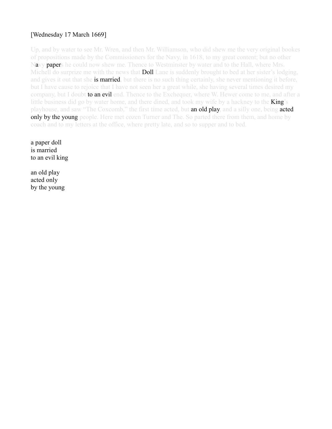# [Wednesday 17 March 1669]

Up, and by water to see Mr. Wren, and then Mr. Williamson, who did shew me the very original bookes of propositions made by the Commissioners for the Navy, in 1618, to my great content; but no other Navy papers he could now shew me. Thence to Westminster by water and to the Hall, where Mrs. Michell do surprize me with the news that **Doll** Lane is suddenly brought to bed at her sister's lodging, and gives it out that she **is married**, but there is no such thing certainly, she never mentioning it before, but I have cause to rejoice that I have not seen her a great while, she having several times desired my company, but I doubt to an evil end. Thence to the Exchequer, where W. Hewer come to me, and after a little business did go by water home, and there dined, and took my wife by a hackney to the **King**'s playhouse, and saw "The Coxcomb," the first time acted, but **an old play**, and a silly one, being **acted** only by the young people. Here met cozen Turner and The. So parted there from them, and home by coach and to my letters at the office, where pretty late, and so to supper and to bed.

a paper doll is married to an evil king

an old play acted only by the young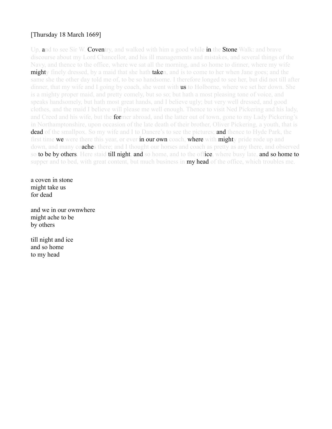# [Thursday 18 March 1669]

Up, and to see Sir W. Coventry, and walked with him a good while in the Stone Walk: and brave discourse about my Lord Chancellor, and his ill managements and mistakes, and several things of the Navy, and thence to the office, where we sat all the morning, and so home to dinner, where my wife **might**y finely dressed, by a maid that she hath **taken**, and is to come to her when Jane goes; and the same she the other day told me of, to be so handsome. I therefore longed to see her, but did not till after dinner, that my wife and I going by coach, she went with **us** to Holborne, where we set her down. She is a mighty proper maid, and pretty comely, but so so; but hath a most pleasing tone of voice, and speaks handsomely, but hath most great hands, and I believe ugly; but very well dressed, and good clothes, and the maid I believe will please me well enough. Thence to visit Ned Pickering and his lady, and Creed and his wife, but the **for**mer abroad, and the latter out of town, gone to my Lady Pickering's in Northamptonshire, upon occasion of the late death of their brother, Oliver Pickering, a youth, that is dead of the smallpox. So my wife and I to Dancre's to see the pictures; and thence to Hyde Park, the first time we were there this year, or ever in our own coach, where with mighty pride rode up and down, and many coaches there; and I thought our horses and coach as pretty as any there, and observed so to be by others. Here staid till night, and so home, and to the office, where busy late, and so home to supper and to bed, with great content, but much business in **my head** of the office, which troubles me.

a coven in stone might take us for dead

and we in our ownwhere might ache to be by others

till night and ice and so home to my head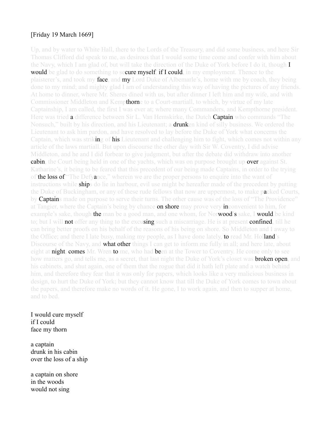#### [Friday 19 March 1669]

Up, and by water to White Hall, there to the Lords of the Treasury, and did some business, and here Sir Thomas Clifford did speak to me, as desirous that I would some time come and confer with him about the Navy, which I am glad of, but will take the direction of the Duke of York before I do it, though  $I$ **would** be glad to do something to secure myself, if I could, in my employment. Thence to the plaisterer's, and took my face, and my Lord Duke of Albemarle's, home with me by coach, they being done to my mind; and mighty glad I am of understanding this way of having the pictures of any friends. At home to dinner, where Mr. Sheres dined with us, but after dinner I left him and my wife, and with Commissioner Middleton and Kempthorne to a Court-martiall, to which, by virtue of my late Captainship, I am called, the first I was ever at; where many Commanders, and Kempthorne president. Here was tried **a** difference between Sir L. Van Hemskirke, the Dutch **Captain** who commands "The Nonsuch," built by his direction, and his Lieutenant; a **drunk**en kind of silly business. We ordered the Lieutenant to ask him pardon, and have resolved to lay before the Duke of York what concerns the Captain, which was striking of his Lieutenant and challenging him to fight, which comes not within any article of the laws martiall. But upon discourse the other day with Sir W. Coventry, I did advise Middleton, and he and I did forbear to give judgment, but after the debate did withdraw into another cabin, the Court being held in one of the yachts, which was on purpose brought up over against St. Katharine's, it being to be feared that this precedent of our being made Captains, in order to the trying of the loss of "The Defyance," wherein we are the proper persons to enquire into the want of instructions while **ships** do lie in harbour, evil use might be hereafter made of the precedent by putting the Duke of Buckingham, or any of these rude fellows that now are uppermost, to make packed Courts, by **Captain**s made on purpose to serve their turns. The other cause was of the loss of "The Providence" at Tangier, where the Captain's being by chance **on shore** may prove very **in**convenient to him, for example's sake, though **the** man be a good man, and one whom, for Nor**wood's** sake, I **would** be kind to; but I will **not** offer any thing to the excusing such a miscarriage. He is at present **confined**, till he can bring better proofs on his behalf of the reasons of his being on shore. So Middleton and I away to the Office; and there I late busy, making my people, as I have done lately, to read Mr. Holland's Discourse of the Navy, and **what other thin**gs I can get to inform me fully in all; and here late, about eight at **night, comes** Mr. Wren to me, who had been at the Tower to Coventry. He come only to see how matters go, and tells me, as a secret, that last night the Duke of York's closet was **broken open**, and his cabinets, and shut again, one of them that the rogue that did it hath left plate and a watch behind him, and therefore they fear that it was only for papers, which looks like a very malicious business in design, to hurt the Duke of York; but they cannot know that till the Duke of York comes to town about the papers, and therefore make no words of it. He gone, I to work again, and then to supper at home, and to bed.

I would cure myself if I could face my thorn

a captain drunk in his cabin over the loss of a ship

a captain on shore in the woods would not sing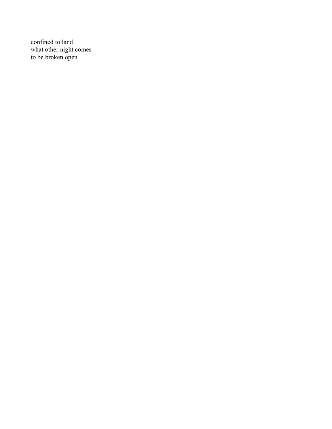confined to land what other night comes to be broken open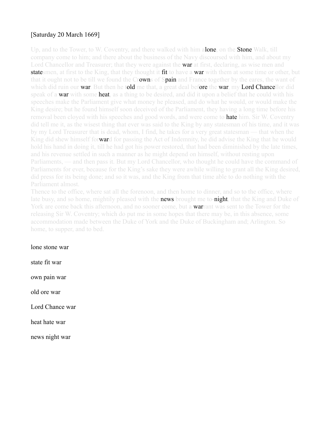# [Saturday 20 March 1669]

Up, and to the Tower, to W. Coventry, and there walked with him alone, on the Stone Walk, till company come to him; and there about the business of the Navy discoursed with him, and about my Lord Chancellor and Treasurer; that they were against the war at first, declaring, as wise men and **state** smen, at first to the King, that they thought it fit to have a **war** with them at some time or other, but that it ought not to be till we found the Crowns of Spain and France together by the eares, the want of which did ruin our **war**. But then he told me that, a great deal before the war, my Lord Chancellor did speak of a **war** with some **heat**, as a thing to be desired, and did it upon a belief that he could with his speeches make the Parliament give what money he pleased, and do what he would, or would make the King desire; but he found himself soon deceived of the Parliament, they having a long time before his removal been cloved with his speeches and good words, and were come to **hate** him. Sir W. Coventry did tell me it, as the wisest thing that ever was said to the King by any statesman of his time, and it was by my Lord Treasurer that is dead, whom, I find, he takes for a very great statesman — that when the King did shew himself forward for passing the Act of Indemnity, he did advise the King that he would hold his hand in doing it, till he had got his power restored, that had been diminished by the late times, and his revenue settled in such a manner as he might depend on himself, without resting upon Parliaments, — and then pass it. But my Lord Chancellor, who thought he could have the command of Parliaments for ever, because for the King's sake they were awhile willing to grant all the King desired, did press for its being done; and so it was, and the King from that time able to do nothing with the Parliament almost.

Thence to the office, where sat all the forenoon, and then home to dinner, and so to the office, where late busy, and so home, mightily pleased with the **news** brought me to-night, that the King and Duke of York are come back this afternoon, and no sooner come, but a **warrant** was sent to the Tower for the releasing Sir W. Coventry; which do put me in some hopes that there may be, in this absence, some accommodation made between the Duke of York and the Duke of Buckingham and; Arlington. So home, to supper, and to bed.

lone stone war

state fit war own pain war old ore war Lord Chance war heat hate war

news night war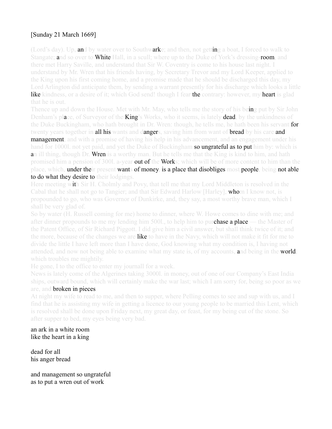# [Sunday 21 March 1669]

(Lord's day). Up, and by water over to Southwarke; and then, not getting a boat, I forced to walk to Stangate; and so over to White Hall, in a scull; where up to the Duke of York's dressing-room, and there met Harry Saville, and understand that Sir W. Coventry is come to his house last night. I understand by Mr. Wren that his friends having, by Secretary Trevor and my Lord Keeper, applied to the King upon his first coming home, and a promise made that he should be discharged this day, my Lord Arlington did anticipate them, by sending a warrant presently for his discharge which looks a little like kindness, or a desire of it; which God send! though I fear the contrary: however, my heart is glad that he is out.

Thence up and down the House. Met with Mr. May, who tells me the story of his being put by Sir John Denham's place, of Surveyor of the **King**'s Works, who it seems, is lately **dead**, by the unkindness of the Duke Buckingham, who hath brought in Dr. Wren: though, he tells me, he hath been his servant for twenty years together in **all his** wants and dangers, saving him from want of **bread** by his care and **management**, and with a promise of having his help in his advancement, and an engagement under his hand for 1000l, not yet paid, and yet the Duke of Buckingham so ungrateful as to put him by: which is an ill thing, though Dr. Wren is a worthy man. But he tells me that the King is kind to him, and hath promised him a pension of 300l. a-year **out of the Work**s; which will be of more content to him than the place, which, under their present wants of money, is a place that disobliges most people, being not able to do what they desire to their lodgings.

Here meeting with Sir H. Cholmly and Povy, that tell me that my Lord Middleton is resolved in the Cabal that he shall not go to Tangier; and that Sir Edward Harlow [Harley], whom I know not, is propounded to go, who was Governor of Dunkirke, and, they say, a most worthy brave man, which I shall be very glad of.

So by water (H. Russell coming for me) home to dinner, where W. Howe comes to dine with me; and after dinner propounds to me my lending him 5001, to help him to purchase a place — the Master of the Patent Office, of Sir Richard Piggott. I did give him a civil answer, but shall think twice of it; and the more, because of the changes we are **like** to have in the Navy, which will not make it fit for me to divide the little I have left more than I have done, God knowing what my condition is, I having not attended, and now not being able to examine what my state is, of my accounts, and being in the world, which troubles me mightily.

He gone, I to the office to enter my journall for a week.

News is lately come of the Algerines taking 3000l. in money, out of one of our Company's East India ships, outward bound, which will certainly make the war last; which I am sorry for, being so poor as we are, and broken in pieces.

At night my wife to read to me, and then to supper, where Pelling comes to see and sup with us, and I find that he is assisting my wife in getting a licence to our young people to be married this Lent, which is resolved shall be done upon Friday next, my great day, or feast, for my being cut of the stone. So after supper to bed, my eyes being very bad.

an ark in a white room like the heart in a king

dead for all his anger bread

and management so ungrateful as to put a wren out of work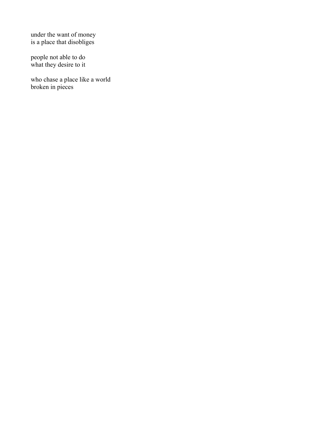under the want of money is a place that disobliges

people not able to do what they desire to it

who chase a place like a world broken in pieces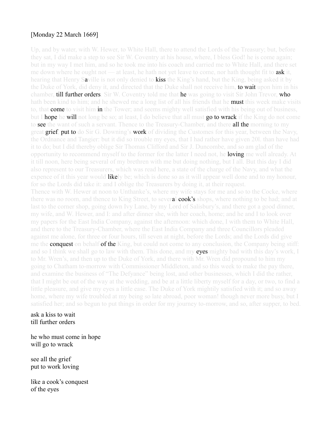## [Monday 22 March 1669]

Up, and by water, with W. Hewer, to White Hall, there to attend the Lords of the Treasury; but, before they sat, I did make a step to see Sir W. Coventry at his house, where, I bless God! he is come again; but in my way I met him, and so he took me into his coach and carried me to White Hall, and there set me down where he ought not — at least, he hath not yet leave to come, nor hath thought fit to **ask** it, hearing that Henry Saville is not only denied to **kiss** the King's hand, but the King, being asked it by the Duke of York, did deny it, and directed that the Duke shall not receive him, **to wait** upon him in his chamber, **till further orders**. Sir W. Coventry told me that **he** was going to visit Sir John Trevor, **who** hath been kind to him; and he shewed me a long list of all his friends that he **must** this week make visits to, that **come** to visit him in the Tower; and seems mighty well satisfied with his being out of business, but I **hope** he will not long be so; at least, I do believe that all must **go to wrack** if the King do not come to see the want of such a servant. Thence to the Treasury-Chamber, and there all the morning to my great grief, put to do Sir G. Downing's work of dividing the Customes for this year, between the Navy, the Ordnance and Tangier: but it did so trouble my eyes, that I had rather have given 20l. than have had it to do; but I did thereby oblige Sir Thomas Clifford and Sir J. Duncombe, and so am glad of the opportunity to recommend myself to the former for the latter I need not, he **loving** me well already. At it till noon, here being several of my brethren with me but doing nothing, but I all. But this day I did also represent to our Treasurers, which was read here, a state of the charge of the Navy, and what the expence of it this year would **like**ly be; which is done so as it will appear well done and to my honour, for so the Lords did take it: and I oblige the Treasurers by doing it, at their request. Thence with W. Hewer at noon to Unthanke's, where my wife stays for me and so to the Cocke, where there was no room, and thence to King Street, to several **cook's** shops, where nothing to be had; and at last to the corner shop, going down Ivy Lane, by my Lord of Salisbury's, and there got a good dinner, my wife, and W. Hewer, and I: and after dinner she, with her coach, home; and he and I to look over my papers for the East India Company, against the afternoon: which done, I with them to White Hall, and there to the Treasury-Chamber, where the East India Company and three Councillors pleaded against me alone, for three or four hours, till seven at night, before the Lords; and the Lords did give me the **conquest** on behalf of the King, but could not come to any conclusion, the Company being stiff: and so I think we shall go to law with them. This done, and my eyes mighty bad with this day's work, I to Mr. Wren's, and then up to the Duke of York, and there with Mr. Wren did propound to him my going to Chatham to-morrow with Commissioner Middleton, and so this week to make the pay there, and examine the business of "The Defyance" being lost, and other businesses, which I did the rather, that I might be out of the way at the wedding, and be at a little liberty myself for a day, or two, to find a little pleasure, and give my eyes a little ease. The Duke of York mightily satisfied with it; and so away home, where my wife troubled at my being so late abroad, poor woman! though never more busy, but I satisfied her; and so begun to put things in order for my journey to-morrow, and so, after supper, to bed.

ask a kiss to wait till further orders

he who must come in hope will go to wrack

see all the grief put to work loving

like a cook's conquest of the eyes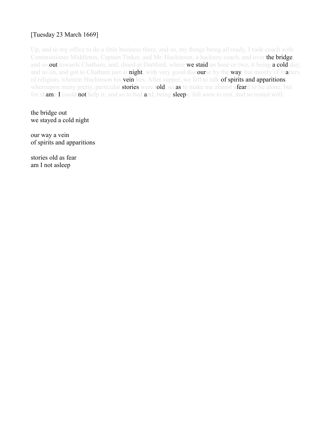# [Tuesday 23 March 1669]

Up, and to my office to do a little business there, and so, my things being all ready, I took coach with Commissioner Middleton, Captain Tinker, and Mr. Huchinson, a hackney coach, and over the bridge, and so out towards Chatham, and; dined at Dartford, where we staid an hour or two, it being a cold day; and so on, and got to Chatham just at **night**, with very good discourse by the way, but mostly of matters of religion, wherein Huchinson his vein lies. After supper, we fell to talk of spirits and apparitions, whereupon many pretty, particular **stories** were told, so as to make me almost afeard to lie alone, but for shame I could not help it; and so to bed and, being sleepy, fell soon to rest, and so rested well.

the bridge out we stayed a cold night

our way a vein of spirits and apparitions

stories old as fear am I not asleep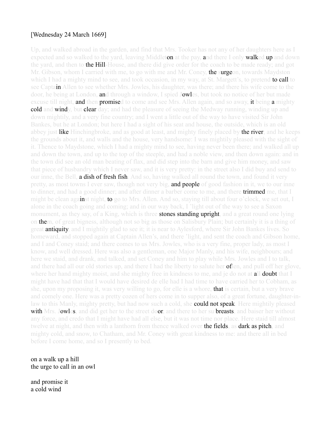#### [Wednesday 24 March 1669]

Up, and walked abroad in the garden, and find that Mrs. Tooker has not any of her daughters here as I expected and so walked to the yard, leaving Middleton at the pay, and there I only walked up and down the yard, and then to **the Hill**-House, and there did give order for the coach to be made ready; and got Mr. Gibson, whom I carried with me, to go with me and Mr. Coney, **the surge**on, towards Maydston which I had a mighty mind to see, and took occasion, in my way, at St. Margett's, to pretend **to call** to see Captain Allen to see whether Mrs. Jowles, his daughter, was there; and there his wife come to the door, he being at London, **an**d through a window, I spied Jowles, but took no notice of her but made excuse till night, **and then promise**d to come and see Mrs. Allen again, and so away, it being **a** mighty cold and windy, but clear day; and had the pleasure of seeing the Medway running, winding up and down mightily, and a very fine country; and I went a little out of the way to have visited Sir John Bankes, but he at London; but here I had a sight of his seat and house, the outside, which is an old abbey just like Hinchingbroke, and as good at least, and mighty finely placed by the river; and he keeps the grounds about it, and walls and the house, very handsome: I was mightily pleased with the sight of it. Thence to Maydstone, which I had a mighty mind to see, having never been there; and walked all up and down the town, and up to the top of the steeple, and had a noble view, and then down again: and in the town did see an old man beating of flax, and did step into the barn and give him money, and saw that piece of husbandry which I never saw, and it is very pretty: in the street also I did buy and send to our inne, the Bell, **a dish of fresh fish**. And so, having walked all round the town, and found it very pretty, as most towns I ever saw, though not very big, **and people** of good fashion in it, we to our inne to dinner, and had a good dinner; and after dinner a barber come to me, and there **trimmed** me, that I might be clean against night, to go to Mrs. Allen. And so, staying till about four o'clock, we set out, I alone in the coach going and coming; and in our way back, I 'light out of the way to see a Saxon monument, as they say, of a King, which is three **stones standing upright**, and a great round one lying on them, of great bigness, although not so big as those on Salisbury Plain; but certainly it is a thing of great **antiquity**, and I mightily glad to see it; it is near to Aylesford, where Sir John Bankes lives. So homeward, and stopped again at Captain Allen's, and there 'light, and sent the coach and Gibson home, and I and Coney staid; and there comes to us Mrs. Jowles, who is a very fine, proper lady, as most I know, and well dressed. Here was also a gentleman, one Major Manly, and his wife, neighbours; and here we staid, and drank, and talked, and set Coney and him to play while Mrs. Jowles and I to talk, and there had all our old stories up, and there I had the liberty to salute her **of**ten, and pull off her glove, where her hand mighty moist, and she mighty free in kindness to me, and je do not at **all doubt** that I might have had that that I would have desired de elle had I had time to have carried her to Cobham, as she, upon my proposing it, was very willing to go, for elle is a whore, that is certain, but a very brave and comely one. Here was a pretty cozen of hers come in to supper also, of a great fortune, daughter-inlaw to this Manly, mighty pretty, but had now such a cold, she **could not speak**. Here mightily pleased with Mrs. Jowles, and did get her to the street door, and there to her su breasts, and baiser her without any force, and credo that I might have had all else, but it was not time nor place. Here staid till almost twelve at night, and then with a lanthorn from thence walked over **the fields, as dark as pitch, and** mighty cold, and snow, to Chatham, and Mr. Coney with great kindness to me: and there all in bed before I come home, and so I presently to bed.

on a walk up a hill the urge to call in an owl

and promise it a cold wind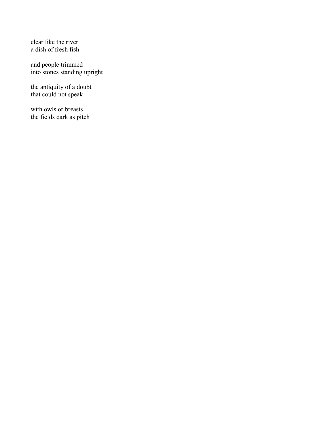clear like the river a dish of fresh fish

and people trimmed into stones standing upright

the antiquity of a doubt that could not speak

with owls or breasts the fields dark as pitch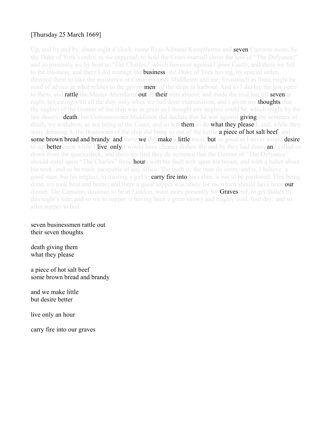# [Thursday 25 March 1669]

Up, and by and by, about eight o'clock, come Rear-Admiral Kempthorne and **seven Captains** more, by the Duke of York's order, as we expected, to hold the Court-martiall about the loss of "The Defyance;" and so presently we by boat to "The Charles," which lies over against Upnor Castle, and there we fell to the business; and there I did manage the **business**, the Duke of York having, by special order, directed them to take the assistance of Commissioner Middleton and me, forasmuch as there might be need of advice in what relates to the government of the ships in harbour. And so I did lay the law open to them, and rattle the Master Attendants out of their wits almost; and made the trial last till seven at night, not eating a bit all the day; only when we had done examination, and I given my **thoughts** that the neglect of the Gunner of the ship was as great as I thought any neglect could be, which might by the law deserve **death**, but Commissioner Middleton did declare that he was against **giving** the sentence of death, we withdrew, as not being of the Court, and so left them to do what they pleased; and, while they were debating it, the Boatswain of the ship did bring us out of the kettle a piece of hot salt beef, and some brown bread and brandy; and there we did make a little meal, but so good as I never would desire to eat **better** meat while I **live, only** I would have cleaner dishes. By and by they had done, and called us down from the quarterdeck; and there we find they do sentence that the Gunner of "The Defyance" should stand upon "The Charles" three **hour**s with his fault writ upon his breast, and with a halter about his neck, and so be made incapable of any office. The truth is, the man do seem, and is, I believe, a good man; but his neglect, in trusting a girl to **carry fire into** his cabin, is not to be pardoned. This being done, we took boat and home; and there a good supper was ready for us, which should have been our dinner. The Captains, desirous to be at London, went away presently for **Graves**end, to get thither by this night's tide; and so we to supper, it having been a great snowy and mighty cold, foul day; and so after supper to bed.

#### seven businessmen rattle out their seven thoughts

death giving them what they please

a piece of hot salt beef some brown bread and brandy

and we make little but desire better

live only an hour

carry fire into our graves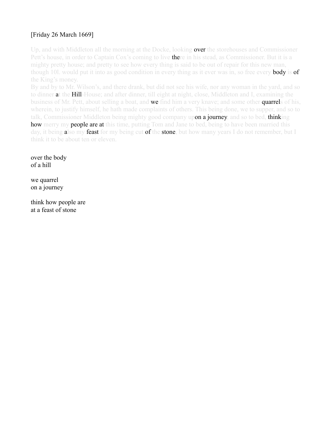# [Friday 26 March 1669]

Up, and with Middleton all the morning at the Docke, looking **over** the storehouses and Commissioner Pett's house, in order to Captain Cox's coming to live **there** in his stead, as Commissioner. But it is a mighty pretty house; and pretty to see how every thing is said to be out of repair for this new man, though 101. would put it into as good condition in every thing as it ever was in, so free every **body** is **of** the King's money.

By and by to Mr. Wilson's, and there drank, but did not see his wife, nor any woman in the yard, and so to dinner at the Hill-House; and after dinner, till eight at night, close, Middleton and I, examining the business of Mr. Pett, about selling a boat, and **we** find him a very knave; and some other **quarrel**s of his, wherein, to justify himself, he hath made complaints of others. This being done, we to supper, and so to talk, Commissioner Middleton being mighty good company upon a journey, and so to bed, thinking how merry my people are at this time, putting Tom and Jane to bed, being to have been married this day, it being also my feast for my being cut of the stone, but how many years I do not remember, but I think it to be about ten or eleven.

over the body of a hill

we quarrel on a journey

think how people are at a feast of stone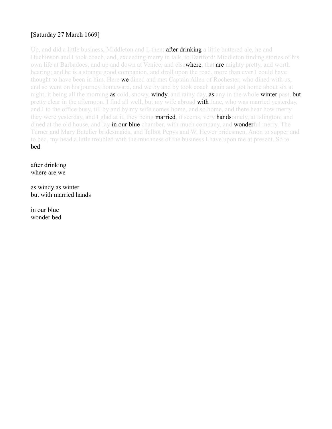# [Saturday 27 March 1669]

Up, and did a little business, Middleton and I, then; **after drinking a** little buttered ale, he and Huchinson and I took coach, and, exceeding merry in talk, to Dartford: Middleton finding stories of his own life at Barbadoes, and up and down at Venice, and elsewhere, that are mighty pretty, and worth hearing; and he is a strange good companion, and droll upon the road, more than ever I could have thought to have been in him. Here **we** dined and met Captain Allen of Rochester, who dined with us, and so went on his journey homeward, and we by and by took coach again and got home about six at night, it being all the morning as cold, snowy, windy, and rainy day, as any in the whole winter past, but pretty clear in the afternoon. I find all well, but my wife abroad **with** Jane, who was married yesterday, and I to the office busy, till by and by my wife comes home, and so home, and there hear how merry they were yesterday, and I glad at it, they being **married**, it seems, very **hands**omely, at Islington; and dined at the old house, and lay **in our blue** chamber, with much company, and **wonder**ful merry. The Turner and Mary Batelier bridesmaids, and Talbot Pepys and W. Hewer bridesmen. Anon to supper and to bed, my head a little troubled with the muchness of the business I have upon me at present. So to bed.

after drinking where are we

as windy as winter but with married hands

in our blue wonder bed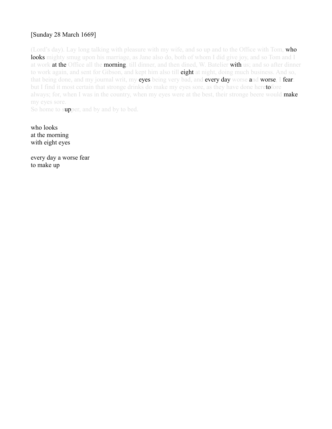# [Sunday 28 March 1669]

(Lord's day). Lay long talking with pleasure with my wife, and so up and to the Office with Tom, who looks mighty smug upon his marriage, as Jane also do, both of whom I did give joy, and so Tom and I at work at the Office all the morning, till dinner, and then dined, W. Batelier with us; and so after dinner to work again, and sent for Gibson, and kept him also till eight at night, doing much business. And so, that being done, and my journal writ, my eyes being very bad, and every day worse and worse, I fear: but I find it most certain that stronge drinks do make my eyes sore, as they have done heretofore always; for, when I was in the country, when my eyes were at the best, their stronge beere would make my eyes sore.

So home to supper, and by and by to bed.

who looks at the morning with eight eyes

every day a worse fear to make up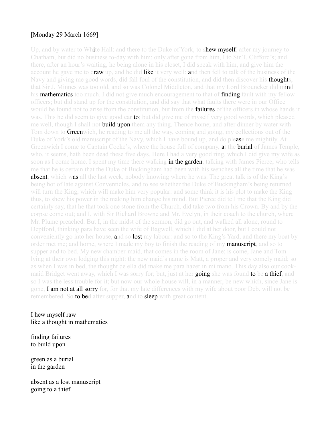#### [Monday 29 March 1669]

Up, and by water to White Hall; and there to the Duke of York, to shew myself, after my journey to Chatham, but did no business to-day with him: only after gone from him, I to Sir T. Clifford's; and there, after an hour's waiting, he being alone in his closet, I did speak with him, and give him the account he gave me to draw up, and he did like it very well: and then fell to talk of the business of the Navy and giving me good words, did fall foul of the constitution, and did then discover his **thought**s, that Sir J. Minnes was too old, and so was Colonel Middleton, and that my Lord Brouncker did mind his **mathematics** too much. I did not give much encouragement to that of **finding** fault with my fellowofficers; but did stand up for the constitution, and did say that what faults there were in our Office would be found not to arise from the constitution, but from the **failures** of the officers in whose hands it was. This he did seem to give good ear **to**; but did give me of myself very good words, which pleased me well, though I shall not **build upon** them any thing. Thence home; and after dinner by water with Tom down to **Green**wich, he reading to me all the way, coming and going, my collections out of the Duke of York's old manuscript of the Navy, which I have bound up, and do please me mightily. At Greenwich I come to Captain Cocke's, where the house full of company, at the **burial** of James Temple, who, it seems, hath been dead these five days. Here I had a very good ring, which I did give my wife as soon as I come home. I spent my time there walking **in the garden**, talking with James Pierce, who tells me that he is certain that the Duke of Buckingham had been with his wenches all the time that he was **absent**, which was all the last week, nobody knowing where he was. The great talk is of the King's being hot of late against Conventicles, and to see whether the Duke of Buckingham's being returned will turn the King, which will make him very popular: and some think it is his plot to make the King thus, to shew his power in the making him change his mind. But Pierce did tell me that the King did certainly say, that he that took one stone from the Church, did take two from his Crown. By and by the corpse come out; and I, with Sir Richard Browne and Mr. Evelyn, in their coach to the church, where Mr. Plume preached. But I, in the midst of the sermon, did go out, and walked all alone, round to Deptford, thinking para have seen the wife of Bagwell, which I did at her door, but I could not conveniently go into her house, and so lost my labour: and so to the King's Yard, and there my boat by order met me; and home, where I made my boy to finish the reading of my **manuscript**, and so to supper and to bed. My new chamber-maid, that comes in the room of Jane; is come, Jane and Tom lying at their own lodging this night: the new maid's name is Matt, a proper and very comely maid; so as when I was in bed, the thought de ella did make me para hazer in mi mano. This day also our cookmaid Bridget went away, which I was sorry for; but, just at her going she was found to be a thief, and so I was the less trouble for it; but now our whole house will, in a manner, be new which, since Jane is gone, I am not at all sorry for, for that my late differences with my wife about poor Deb. will not be remembered. So **to be**d after supper, and to **sleep** with great content.

#### I hew myself raw like a thought in mathematics

#### finding failures to build upon

green as a burial in the garden

absent as a lost manuscript going to a thief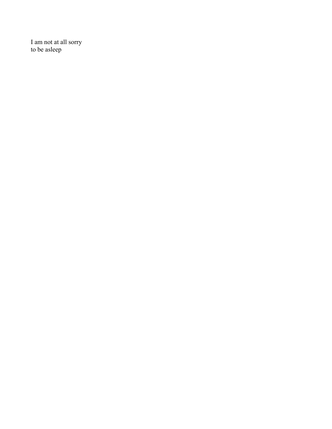I am not at all sorry to be asleep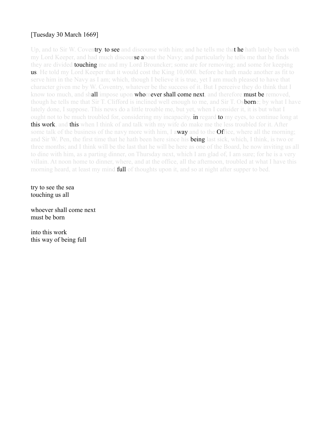# [Tuesday 30 March 1669]

Up, and to Sir W. Coventry, to see and discourse with him; and he tells me that he hath lately been with my Lord Keeper, and had much discourse about the Navy; and particularly he tells me that he finds they are divided **touching** me and my Lord Brouncker; some are for removing; and some for keeping us. He told my Lord Keeper that it would cost the King 10,000l. before he hath made another as fit to serve him in the Navy as I am; which, though I believe it is true, yet I am much pleased to have that character given me by W. Coventry, whatever be the success of it. But I perceive they do think that I know too much, and shall impose upon whomever shall come next, and therefore must be removed, though he tells me that Sir T. Clifford is inclined well enough to me, and Sir T. Os**born**e; by what I have lately done, I suppose. This news do a little trouble me, but yet, when I consider it, it is but what I ought not to be much troubled for, considering my incapacity, **in** regard **to** my eyes, to continue long at this work, and this when I think of and talk with my wife do make me the less troubled for it. After some talk of the business of the navy more with him, I away and to the Office, where all the morning; and Sir W. Pen, the first time that he hath been here since his **being** last sick, which, I think, is two or three months; and I think will be the last that he will be here as one of the Board, he now inviting us all to dine with him, as a parting dinner, on Thursday next, which I am glad of, I am sure; for he is a very villain. At noon home to dinner, where, and at the office, all the afternoon, troubled at what I have this morning heard, at least my mind **full** of thoughts upon it, and so at night after supper to bed.

try to see the sea touching us all

whoever shall come next must be born

into this work this way of being full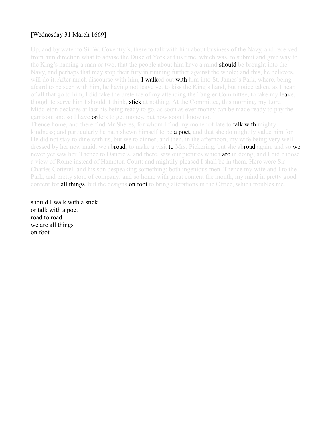#### [Wednesday 31 March 1669]

Up, and by water to Sir W. Coventry's, there to talk with him about business of the Navy, and received from him direction what to advise the Duke of York at this time, which was, to submit and give way to the King's naming a man or two, that the people about him have a mind **should** be brought into the Navy, and perhaps that may stop their fury in running further against the whole; and this, he believes, will do it. After much discourse with him, **I walked out with** him into St. James's Park, where, being afeard to be seen with him, he having not leave yet to kiss the King's hand, but notice taken, as I hear, of all that go to him, I did take the pretence of my attending the Tangier Committee, to take my leave, though to serve him I should, I think, **stick** at nothing. At the Committee, this morning, my Lord Middleton declares at last his being ready to go, as soon as ever money can be made ready to pay the garrison: and so I have **or**ders to get money, but how soon I know not.

Thence home, and there find Mr Sheres, for whom I find my moher of late to **talk with** mighty kindness; and particularly he hath shewn himself to be **a poet**, and that she do mightily value him for. He did not stay to dine with us, but we to dinner; and then, in the afternoon, my wife being very well dressed by her new maid, we abroad, to make a visit to Mrs. Pickering; but she abroad again, and so we never yet saw her. Thence to Dancre's, and there, saw our pictures which **are** in doing; and I did choose a view of Rome instead of Hampton Court; and mightily pleased I shall be in them. Here were Sir Charles Cotterell and his son bespeaking something; both ingenious men. Thence my wife and I to the Park; and pretty store of company; and so home with great content the month, my mind in pretty good content for **all things**, but the designs **on foot** to bring alterations in the Office, which troubles me.

should I walk with a stick or talk with a poet road to road we are all things on foot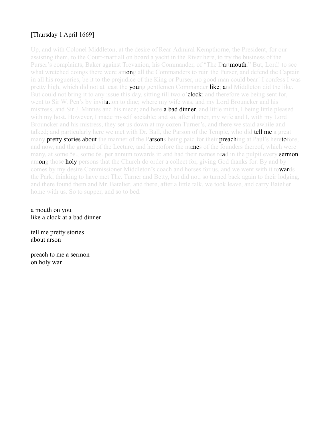# [Thursday 1 April 1669]

Up, and with Colonel Middleton, at the desire of Rear-Admiral Kempthorne, the President, for our assisting them, to the Court-martiall on board a yacht in the River here, to try the business of the Purser's complaints, Baker against Trevanion, his Commander, of "The Dartmouth." But, Lord! to see what wretched doings there were among all the Commanders to ruin the Purser, and defend the Captain in all his rogueries, be it to the prejudice of the King or Purser, no good man could bear! I confess I was pretty high, which did not at least the **you**ng gentlemen Commander like; and Middleton did the like. But could not bring it to any issue this day, sitting till two o'clock; and therefore we being sent for, went to Sir W. Pen's by invitation to dine; where my wife was, and my Lord Brouncker and his mistress, and Sir J. Minnes and his niece; and here **a bad dinner**, and little mirth, I being little pleased with my host. However, I made myself sociable; and so, after dinner, my wife and I, with my Lord Brouncker and his mistress, they set us down at my cozen Turner's, and there we staid awhile and talked; and particularly here we met with Dr. Ball, the Parson of the Temple, who did **tell me** a great many pretty stories about the manner of the Parsons being paid for their preaching at Paul's heretofore, and now, and the ground of the Lecture, and heretofore the names of the founders thereof, which were many, at some 5s., some 6s. per annum towards it: and had their names read in the pulpit every **sermon** among those holy persons that the Church do order a collect for, giving God thanks for. By and by comes by my desire Commissioner Middleton's coach and horses for us, and we went with it towards the Park, thinking to have met The. Turner and Betty, but did not; so turned back again to their lodging, and there found them and Mr. Batelier, and there, after a little talk, we took leave, and carry Batelier home with us. So to supper, and so to bed.

#### a mouth on you like a clock at a bad dinner

tell me pretty stories about arson

preach to me a sermon on holy war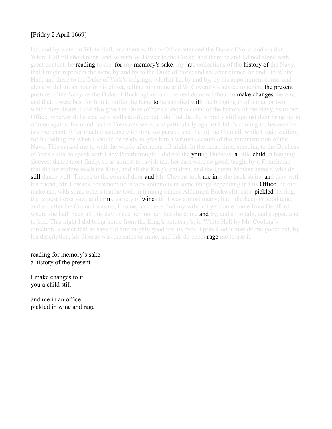# [Friday 2 April 1669]

Up, and by water to White Hall, and there with the Office attended the Duke of York, and staid in White Hall till about noon, and so with W. Hewer to the Cocke, and there he and I dined alone with great content, he **reading** to me, for my memory's sake, my late collections of the history of the Navy, that I might represent the same by and by to the Duke of York; and so, after dinner, he and I to White Hall, and there to the Duke of York's lodgings, whither he, by and by, by his appointment come: and alone with him an hour in his closet, telling him mine and W. Coventry's advice touching the present posture of the Navy, as the Duke of Buckingham and the rest do now labour to **make changes** therein; and that it were best for him to suffer the King **to** be satisfied with the bringing in of a man or two which they desire. I did also give the Duke of York a short account of the history of the Navy, as to our Office, wherewith he was very well satisfied: but I do find that he is pretty stiff against their bringing in of men against his mind, as the Treasures were, and particularly against Child's coming in, because he is a merchant. After much discourse with him, we parted; and [he to] the Council, while I staid waiting for his telling me when I should be ready to give him a written account of the administration of the Navy. This caused me to wait the whole afternoon, till night. In the mean time, stepping to the Duchess of York's side to speak with Lady Peterborough; I did see the **you**ng Duchess, a little **child** in hanging sleeves; dance most finely, so as almost to ravish me, her ears were so good: taught by a Frenchman that did heretofore teach the King, and all the King's children, and the Queen-Mother herself, who do **still** dance well. Thence to the council door **and** Mr. Chevins took **me in** to the back stairs, and they with his friend, Mr. Fowkes, for whom he is very solicitous in some things depending in this **Office**, he did make me, with some others that he took in (among others, Alderman Backwell), eat a **pickled** herring, the largest I ever saw, and drink variety of **wines till** I was almost merry; but I did keep in good tune; and so, after the Council was up, I home; and there find my wife not yet come home from Deptford, where she hath been all this day to see her mother, but she come and by, and so to talk, and supper, and to bed. This night I did bring home from the King's potticary's, in White Hall by Mr. Cooling's direction, a water that he says did him mighty good for his eyes. I pray God it may do me good; but, by his description, his disease was the same as mine, and this do encourage me to use it.

reading for memory's sake a history of the present

I make changes to it you a child still

and me in an office pickled in wine and rage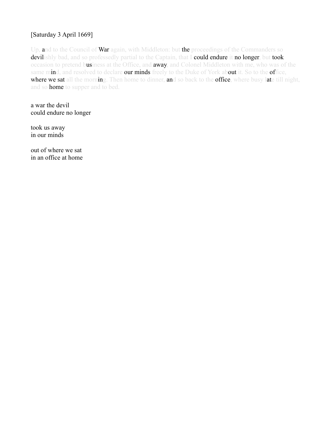# [Saturday 3 April 1669]

Up, and to the Council of War again, with Middleton: but the proceedings of the Commanders so devilishly bad, and so professedly partial to the Captain, that I could endure it no longer, but took occasion to pretend business at the Office, and away, and Colonel Middleton with me, who was of the same mind, and resolved to declare our minds freely to the Duke of York about it. So to the office, where we sat all the morning. Then home to dinner, and so back to the office, where busy late till night, and so home to supper and to bed.

a war the devil could endure no longer

took us away in our minds

out of where we sat in an office at home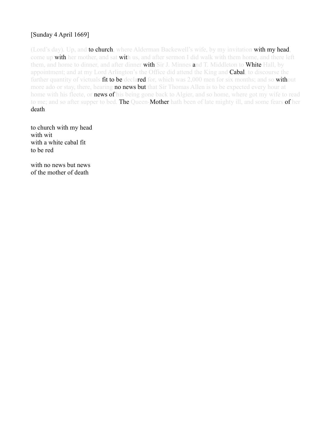# [Sunday 4 April 1669]

(Lord's day). Up, and to church, where Alderman Backewell's wife, by my invitation with my head, come up with her mother, and sat with us, and after sermon I did walk with them home, and there left them, and home to dinner, and after dinner with Sir J. Minnes and T. Middleton to White Hall, by appointment; and at my Lord Arlington's the Office did attend the King and **Cabal**, to discourse the further quantity of victuals fit to be declared for, which was 2,000 men for six months; and so without more ado or stay, there, hearing **no news but** that Sir Thomas Allen is to be expected every hour at home with his fleete, or **news of** his being gone back to Algier, and so home, where got my wife to read to me; and so after supper to bed. The Queen-Mother hath been of late mighty ill, and some fears of her death.

to church with my head with wit with a white cabal fit to be red

with no news but news of the mother of death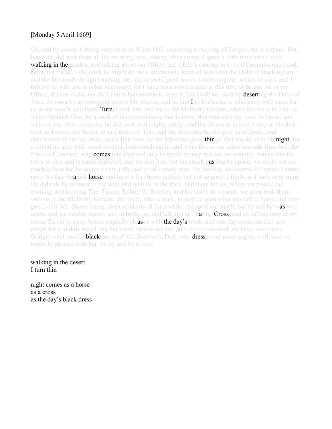# [Monday 5 April 1669]

Up, and by coach, it being very cold, to White Hall, expecting a meeting of Tangier, but it did not. But, however, did wait there all the morning, and, among other things, I spent a little time with Creed **walking in the garden**, and talking about our Office, and Child's coming in to be a Commissioner; and, being his friend, I did think he might do me a kindness to learn of him what the Duke of Buckingham and the faction do design touching me, and to instil good words concerning me, which he says, and I believe he will: and it is but necessary; for I have not a mind indeed at this time to be put out of my Office, if I can make any shift that is honourable to keep it; but I will not do it by **deserti**ng the Duke of York. At noon by appointment comes Mr. Sheres, and he and I to Unthanke's, where my wife stays for us in our coach, and Betty **Turn**er with her; and we to the Mulberry Garden, where Sheres is to treat us with a Spanish Olio, by a cook of his acquaintance that is there, that was with my Lord in Spain: and without any other company, he did do it, and mighty nobly; and the Olio was indeed a very noble dish, such as I never saw better, or any more of. This, and the discourse he did give us of Spain, and description of the Escuriall, was a fine treat. So we left other good things, that would keep till night, for a collation; and, with much content, took coach again, and went five or six miles towards Branford, the Prince of Tuscany, who **comes** into England only to spend money and see our country, comes into the town to-day, and is much expected; and we met him, but the coach passing by apace, we could not see much of him but he seems a very jolly and good comely man. By the way, we overtook Captain Ferrers upon his fine Spanish **horse**, and he is a fine horse indeed; but not so good, I think, as I have seen some. He did ride by us most of the way, and with us to the Park, and there left us, where we passed the evening, and meeting The. Turner, Talbot, W. Batelier, and his sister, in a coach, we anon took them with us to the Mulberry Garden; and there, after a walk, to supper upon what was left at noon; and very good; only Mr. Sheres being taken suddenly ill for a while, did spoil our mirth; but by and by was well again, and we mighty merry: and so broke up, and left him at Charing Cross, and so calling only at my cozen Turner's, away home, mightily pleased with the day's work, and this day come another new mayd, for a middle mayd, but her name I know not yet; and, for a cookmaid, we have, ever since Bridget went, used a **black**moore of Mr. Batelier's, Doll, who **dresses** our meat mighty well, and we mightily pleased with her. So by and by to bed.

walking in the desert I turn thin

night comes as a horse as a cross as the day's black dress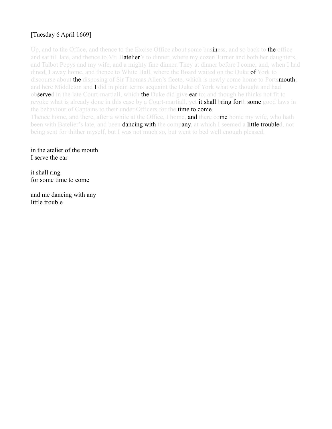# [Tuesday 6 April 1669]

Up, and to the Office, and thence to the Excise Office about some business, and so back to the office and sat till late, and thence to Mr. Batelier's to dinner, where my cozen Turner and both her daughters, and Talbot Pepys and my wife, and a mighty fine dinner. They at dinner before I come; and, when I had dined, I away home, and thence to White Hall, where the Board waited on the Duke of York to discourse about the disposing of Sir Thomas Allen's fleete, which is newly come home to Portsmouth; and here Middleton and I did in plain terms acquaint the Duke of York what we thought and had observed in the late Court-martiall, which the Duke did give ear to; and though he thinks not fit to revoke what is already done in this case by a Court-martiall, yet **it shall bring forth some** good laws in the behaviour of Captains to their under Officers for the **time to come**. Thence home, and there, after a while at the Office, I home, **and** there come home my wife, who hath

been with Batelier's late, and been **dancing with** the company, at which I seemed a little troubled, not being sent for thither myself, but I was not much so, but went to bed well enough pleased.

in the atelier of the mouth I serve the ear

it shall ring for some time to come

and me dancing with any little trouble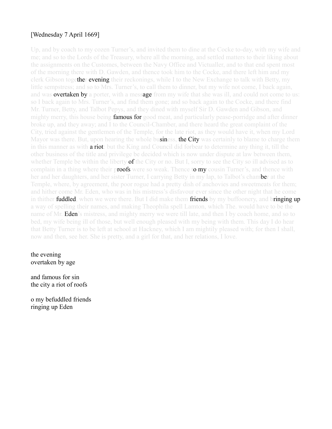### [Wednesday 7 April 1669]

Up, and by coach to my cozen Turner's, and invited them to dine at the Cocke to-day, with my wife and me; and so to the Lords of the Treasury, where all the morning, and settled matters to their liking about the assignments on the Customes, between the Navy Office and Victualler, and to that end spent most of the morning there with D. Gawden, and thence took him to the Cocke, and there left him and my clerk Gibson together evening their reckonings, while I to the New Exchange to talk with Betty, my little sempstress; and so to Mrs. Turner's, to call them to dinner, but my wife not come, I back again, and was **overtaken by** a porter, with a message from my wife that she was ill, and could not come to us: so I back again to Mrs. Turner's, and find them gone; and so back again to the Cocke, and there find Mr. Turner, Betty, and Talbot Pepys, and they dined with myself Sir D. Gawden and Gibson, and mighty merry, this house being **famous for** good meat, and particularly pease-porridge and after dinner broke up, and they away; and I to the Council-Chamber, and there heard the great complaint of the City, tried against the gentlemen of the Temple, for the late riot, as they would have it, when my Lord Mayor was there. But, upon hearing the whole business, the City was certainly to blame to charge them in this manner as with **a riot**: but the King and Council did forbear to determine any thing it, till the other business of the title and privilege be decided which is now under dispute at law between them, whether Temple be within the liberty **of** the City or no. But I, sorry to see the City so ill advised as to complain in a thing where their proofs were so weak. Thence to my cousin Turner's, and thence with her and her daughters, and her sister Turner, I carrying Betty in my lap, to Talbot's cham**be**r at the Temple, where, by agreement, the poor rogue had a pretty dish of anchovies and sweetmeats for them; and hither come Mr. Eden, who was in his mistress's disfavour ever since the other night that he come in thither **fuddled**, when we were there. But I did make them friends by my buffoonery, and bringing up a way of spelling their names, and making Theophila spell Lamton, which The. would have to be the name of Mr. **Eden**'s mistress, and mighty merry we were till late, and then I by coach home, and so to bed, my wife being ill of those, but well enough pleased with my being with them. This day I do hear that Betty Turner is to be left at school at Hackney, which I am mightily pleased with; for then I shall, now and then, see her. She is pretty, and a girl for that, and her relations, I love.

#### the evening overtaken by age

and famous for sin the city a riot of roofs

o my befuddled friends ringing up Eden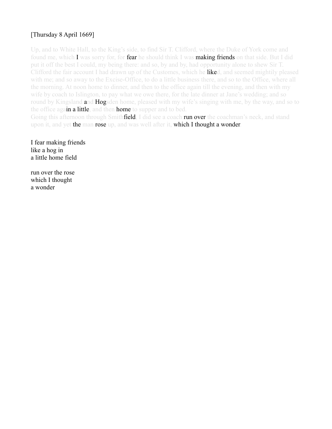## [Thursday 8 April 1669]

Up, and to White Hall, to the King's side, to find Sir T. Clifford, where the Duke of York come and found me, which I was sorry for, for **fear** he should think I was **making friends** on that side. But I did put it off the best I could, my being there: and so, by and by, had opportunity alone to shew Sir T. Clifford the fair account I had drawn up of the Customes, which he liked, and seemed mightily pleased with me; and so away to the Excise-Office, to do a little business there, and so to the Office, where all the morning. At noon home to dinner, and then to the office again till the evening, and then with my wife by coach to Islington, to pay what we owe there, for the late dinner at Jane's wedding; and so round by Kingsland **and Hogsden** home, pleased with my wife's singing with me, by the way, and so to the office again a little, and then home to supper and to bed.

Going this afternoon through Smith**field**. I did see a coach **run over** the coachman's neck, and stand upon it, and yet the man rose up, and was well after it, which I thought a wonder.

I fear making friends like a hog in a little home field

run over the rose which I thought a wonder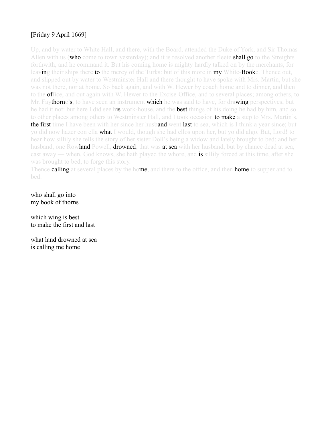## [Friday 9 April 1669]

Up, and by water to White Hall, and there, with the Board, attended the Duke of York, and Sir Thomas Allen with us (who come to town yesterday); and it is resolved another fleete shall go to the Streights forthwith, and he command it. But his coming home is mighty hardly talked on by the merchants, for leaving their ships there to the mercy of the Turks: but of this more in my White-Booke. Thence out, and slipped out by water to Westminster Hall and there thought to have spoke with Mrs. Martin, but she was not there, nor at home. So back again, and with W. Hewer by coach home and to dinner, and then to the **of**fice, and out again with W. Hewer to the Excise-Office, and to several places; among others, to Mr. Fay**thorne's**, to have seen an instrument **which** he was said to have, for drawing perspectives, but he had it not: but here I did see his work-house, and the best things of his doing he had by him, and so to other places among others to Westminster Hall, and I took occasion **to make** a step to Mrs. Martin's, the first time I have been with her since her husband went last to sea, which is I think a year since; but yo did now hazer con ella **what** I would, though she had ellos upon her, but yo did algo. But, Lord! to hear how sillily she tells the story of her sister Doll's being a widow and lately brought to bed; and her husband, one Row**land** Powell, **drowned**, that was **at sea** with her husband, but by chance dead at sea, cast away — when, God knows, she hath played the whore, and **is** sillily forced at this time, after she was brought to bed, to forge this story.

Thence **calling** at several places by the home, and there to the office, and then **home** to supper and to bed.

who shall go into my book of thorns

which wing is best to make the first and last

what land drowned at sea is calling me home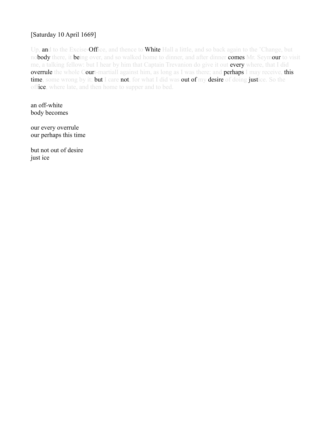#### [Saturday 10 April 1669]

Up, and to the Excise-Office, and thence to White Hall a little, and so back again to the 'Change, but nobody there, it being over, and so walked home to dinner, and after dinner comes Mr. Seymour to visit me, a talking fellow: but I hear by him that Captain Trevanion do give it out **every** where, that I did overrule the whole Court-martiall against him, as long as I was there; and perhaps I may receive, this time, some wrong by it: but I care not, for what I did was out of my desire of doing justice. So the office, where late, and then home to supper and to bed.

an off-white body becomes

our every overrule our perhaps this time

but not out of desire just ice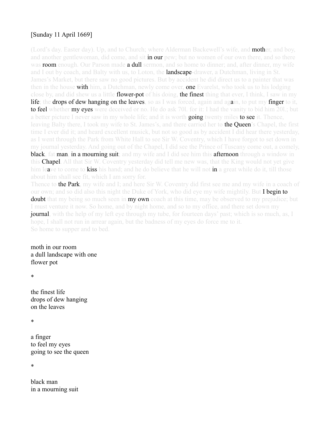### [Sunday 11 April 1669]

(Lord's day. Easter day). Up, and to Church; where Alderman Backewell's wife, and **mother**, and boy, and another gentlewoman, did come, and sit **in our** pew; but no women of our own there, and so there was room enough. Our Parson made a dull sermon, and so home to dinner; and, after dinner, my wife and I out by coach, and Balty with us, to Loton, the **landscape**-drawer, a Dutchman, living in St. James's Market, but there saw no good pictures. But by accident he did direct us to a painter that was then in the house **with** him, a Dutchman, newly come over, **one** Evarelst, who took us to his lodging close by, and did shew us a little **flower-pot** of his doing, the finest thing that ever, I think, I saw in my life; the drops of dew hanging on the leaves, so as I was forced, again and again, to put my finger to it, **to feel** whether **my eyes** were deceived or no. He do ask 701, for it: I had the vanity to bid him 201; but a better picture I never saw in my whole life; and it is worth **going** twenty miles **to see** it. Thence, leaving Balty there, I took my wife to St. James's, and there carried her to **the Queen**'s Chapel, the first time I ever did it; and heard excellent musick, but not so good as by accident I did hear there yesterday, as I went through the Park from White Hall to see Sir W. Coventry, which I have forgot to set down in my journal yesterday. And going out of the Chapel, I did see the Prince of Tuscany come out, a comely, black, fat man, in a mourning suit; and my wife and I did see him this afternoon through a window in this **Chapel**. All that Sir W. Coventry yesterday did tell me new was, that the King would not yet give him leave to come to kiss his hand; and he do believe that he will not in a great while do it, till those about him shall see fit, which I am sorry for.

Thence to the Park, my wife and I; and here Sir W. Coventry did first see me and my wife in a coach of our own; and so did also this night the Duke of York, who did eye my wife mightily. But I begin to **doubt** that my being so much seen in **my own** coach at this time, may be observed to my prejudice; but I must venture it now. So home, and by night home, and so to my office, and there set down my **journal**, with the help of my left eye through my tube, for fourteen days' past; which is so much, as, I hope, I shall not run in arrear again, but the badness of my eyes do force me to it. So home to supper and to bed.

moth in our room a dull landscape with one flower pot

\*

the finest life drops of dew hanging on the leaves

\*

a finger to feel my eyes going to see the queen

\*

black man in a mourning suit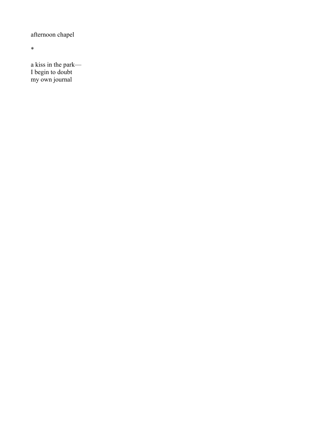afternoon chapel

\*

a kiss in the park— I begin to doubt my own journal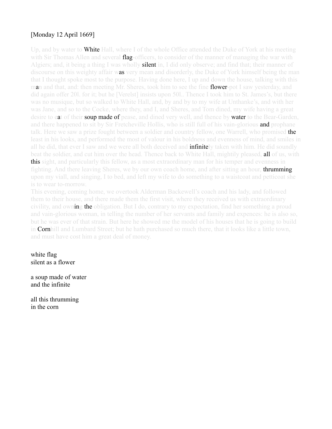#### [Monday 12 April 1669]

Up, and by water to **White** Hall, where I of the whole Office attended the Duke of York at his meeting with Sir Thomas Allen and several **flag-officers**, to consider of the manner of managing the war with Algiers; and, it being a thing I was wholly **silent in**, I did only observe; and find that; their manner of discourse on this weighty affair was very mean and disorderly, the Duke of York himself being the man that I thought spoke most to the purpose. Having done here, I up and down the house, talking with this man and that, and: then meeting Mr. Sheres, took him to see the fine **flower-pot** I saw yesterday, and did again offer 20l. for it; but he [Verelst] insists upon 50l.. Thence I took him to St. James's, but there was no musique, but so walked to White Hall, and, by and by to my wife at Unthanke's, and with her was Jane, and so to the Cocke, where they, and I, and Sheres, and Tom dined, my wife having a great desire to eat of their soup made of pease, and dined very well, and thence by water to the Bear-Garden, and there happened to sit by Sir Fretcheville Hollis, who is still full of his vain-glorious **and** prophane talk. Here we saw a prize fought between a soldier and country fellow, one Warrell, who promised **the** least in his looks, and performed the most of valour in his boldness and evenness of mind, and smiles in all he did, that ever I saw and we were all both deceived and **infinitely** taken with him. He did soundly beat the soldier, and cut him over the head. Thence back to White Hall, mightily pleased, all of us, with **this** sight, and particularly this fellow, as a most extraordinary man for his temper and evenness in fighting. And there leaving Sheres, we by our own coach home, and after sitting an hour, **thrumming** upon my viall, and singing, I to bed, and left my wife to do something to a waistcoat and petticoat she is to wear to-morrow.

This evening, coming home, we overtook Alderman Backewell's coach and his lady, and followed them to their house, and there made them the first visit, where they received us with extraordinary civility, and owning the obligation. But I do, contrary to my expectation, find her something a proud and vain-glorious woman, in telling the number of her servants and family and expences: he is also so, but he was ever of that strain. But here he showed me the model of his houses that he is going to build in Cornhill and Lumbard Street; but he hath purchased so much there, that it looks like a little town, and must have cost him a great deal of money.

white flag silent as a flower

a soup made of water and the infinite

all this thrumming in the corn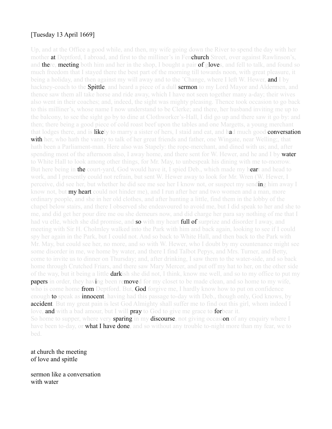#### [Tuesday 13 April 1669]

Up, and at the Office a good while, and then, my wife going down the River to spend the day with her mother **at** Deptford, I abroad, and first to the milliner's in Fen**church** Street, over against Rawlinson's, and there, meeting both him and her in the shop, I bought a pair of gloves, and fell to talk, and found so much freedom that I stayed there the best part of the morning till towards noon, with great pleasure, it being a holiday, and then against my will away and to the 'Change, where I left W. Hewer, and I by hackney-coach to the **Spittle**, and heard a piece of a dull **sermon** to my Lord Mayor and Aldermen, and thence saw them all take horse and ride away, which I have not seen together many a-day; their wives also went in their coaches; and, indeed, the sight was mighty pleasing. Thence took occasion to go back to this milliner's, whose name I now understand to be Clerke; and there, her husband inviting me up to the balcony, to see the sight go by to dine at Clothworker's-Hall, I did go up and there saw it go by: and then; there being a good piece of cold roast beef upon the tables and one Margetts, a young merchant that lodges there, and is likely to marry a sister of hers, I staid and eat, and had much good conversation with her, who hath the vanity to talk of her great friends and father, one Wingate, near Welling;, that hath been a Parliament-man. Here also was Stapely: the rope-merchant, and dined with us; and, after spending most of the afternoon also, I away home, and there sent for W. Hewer, and he and I by **water** to White Hall to look among other things, for Mr. May, to unbespeak his dining with me to-morrow. But here being in **the court-yard**, God would have it, I spied Deb., which made my heart and head to work, and I presently could not refrain, but sent W. Hewer away to look for Mr. Wren (W. Hewer, I perceive, did see her, but whether he did see me see her I know not, or suspect my sending him away I know not, but **my heart** could not hinder me), and I run after her and two women and a man, more ordinary people, and she in her old clothes, and after hunting a little, find them in the lobby of the chapel below stairs, and there I observed she endeavoured to avoid me, but I did speak to her and she to me, and did get her pour dire me ou she demeurs now, and did charge her para say nothing of me that I had vu elle, which she did promise, and **so** with my heart **full of** surprize and disorder I away, and meeting with Sir H. Cholmley walked into the Park with him and back again, looking to see if I could spy her again in the Park, but I could not. And so back to White Hall, and then back to the Park with Mr. May, but could see her, no more, and so with W. Hewer, who I doubt by my countenance might see some disorder in me, we home by water, and there I find Talbot Pepys, and Mrs. Turner, and Betty, come to invite us to dinner on Thursday; and, after drinking, I saw them to the water-side, and so back home through Crutched Friars, and there saw Mary Mercer, and put off my hat to her, on the other side of the way, but it being a little **dark**ish she did not, I think, know me well, and so to my office to put my **papers** in order, they having been removed for my closet to be made clean, and so home to my wife, who is come home **from** Deptford. But, **God** forgive me, I hardly know how to put on confidence enough **to** speak as **innocent**, having had this passage to-day with Deb., though only, God knows, by accident. But my great pain is lest God Almighty shall suffer me to find out this girl, whom indeed I love, **and** with a bad amour, but I will **pray** to God to give me grace to **for**bear it. So home to supper, where very sparing in my discourse, not giving occasion of any enquiry where I have been to-day, or what I have done, and so without any trouble to-night more than my fear, we to bed.

at church the meeting of love and spittle

sermon like a conversation with water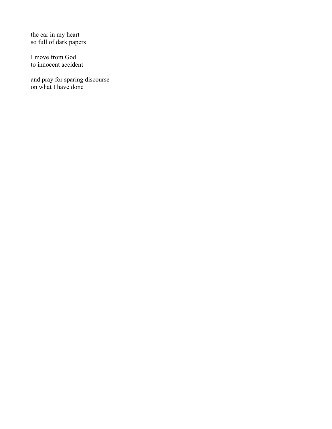the ear in my heart so full of dark papers

I move from God to innocent accident

and pray for sparing discourse on what I have done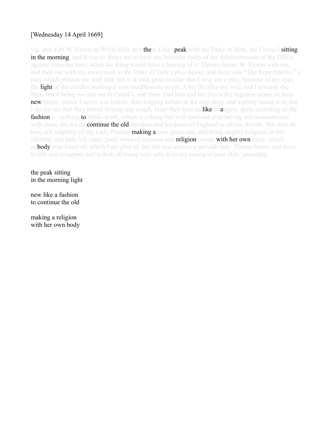### [Wednesday 14 April 1669]

Up, and with W. Hewer to White Hall, and **there I did speak** with the Duke of York, the Council **sitting** in the morning, and it was to direct me to have my business ready of the Administration of the Office against Saturday next, when the King would have a hearing of it. Thence home, W. Hewer with me, and then out with my own coach to the Duke of York's play-house, and there saw "The Impertinents," a play which pleases me well still; but it is with great trouble that I now see a play, because of my eyes, the light of the candles making it very troublesome to me. After the play my wife and I towards the Park, but it being too late we to Creed's, and there find him and her [his wife] together alone, in their **new** house, where I never was before, they lodging before at the next door, and a pretty house it is; but I do not see that they intend to keep any coach. Here they treat us like strangers, quite according to the **fashion** — nothing **to** drink or eat, which is a thing that will spoil our ever having any acquaintance with them; for we **do continue the old** freedom and kindness of England to all our friends. But they do here talk mightily of my Lady Paulina **making a** very good end, and being mighty religious in her lifetime; and hath left many good notes of sermons and **religion**; wrote with her own hand, which nobody ever knew of; which I am glad of; but she was always a peevish lady. Thence home, and there to talk and to supper and to bed, all being very safe as to my seeing of poor Deb. yesterday.

the peak sitting in the morning light

new like a fashion to continue the old

making a religion with her own body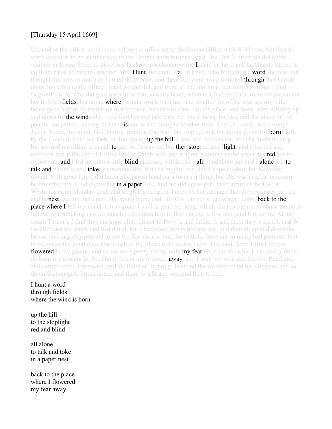#### [Thursday 15 April 1669]

Up, and to the office, and thence before the office sat to the Excise Office with W. Hewer, but found some occasion to go another way to the Temple upon business, and I by Deb.'s direction did know whither in Jewen Street to direct my hackney coachman, while  $\bf{I}$  staid in the coach in Aldgate Street, to go thither just to enquire whether Mrs. **Hunt**, her aunt, was in town, who brought me **word** she was not; thought this was as much as I could do at once, and therefore went away troubled **through** that I could do no more but to the office I must go and did, and there all the morning, but coming thither I find Bagwell's wife, who did give me a little note into my hand, wherein I find her para invite me para meet her in Moor**fields** this noon, where I might speak with her, and so after the office was up, my wife being gone before by invitation to my cozen Turner's to dine, I to the place, and there, after walking up and down by **the windmill**s. I did find her and talk with her, but it being holiday and the place full of people, we parted, leaving further discourse and doing to another time. Thence I away, and through Jewen Street, my mind, God knows, running that way, but stopped not, but going down Holborne hill, by the Conduit, I did see Deb. on foot going **up the hill**. I saw her, and she me, but she made no stop, but seemed unwilling to speak **to** me; so I away on, but **then stopped and 'light**, and after her and overtook her at the end of Hosier lane in Smithfield, and without standing in the street desired her to follow me, and I led her into a little blind alehouse within the walls, and there she and I alone fell to **talk and** baiser la and **toke**r su mammailles, but she mighty coy, and I hope modest; but however, though with great force, did hazer ella par su hand para tocar mi thing, but ella was in great pain para be brought para it. I did give her in a paper 20s., and we did agree para meet again in the Hall at Westminster on Monday next; and so giving me great hopes by her carriage that she continues modest and honest, we did there part, she going home and I to Mrs. Turner's, but when I come back to the **place where I** left my coach it was gone, I having staid too long, which did trouble me to abuse the poor fellow, so that taking another coach I did direct him to find out the fellow and send him to me. At my cozen Turner's I find they are gone all to dinner to Povy's, and thither I, and there they were all, and W. Batelier and his sister, and had dined; but I had good things brought me, and then all up and down the house, and mightily pleased to see the fine rooms: but, the truth is, there are so many bad pictures, that to me make the good ones lose much of the pleasure in seeing them. The. and Betty Turner in new **flowered** tabby gowns, and so we were pretty merry, only **my fear up**on me for what I had newly done, do keep my content in. So, about five or six o'clock, **away**, and I took my wife and the two Bateliers, and carried them homeward, and W. Batelier 'lighting, I carried the women round by Islington, and so down Bishopsgate Street home, and there to talk and sup, and then to bed.

#### I hunt a word through fields where the wind is born

up the hill to the stoplight red and blind

all alone to talk and toke in a paper nest

back to the place where I flowered my fear away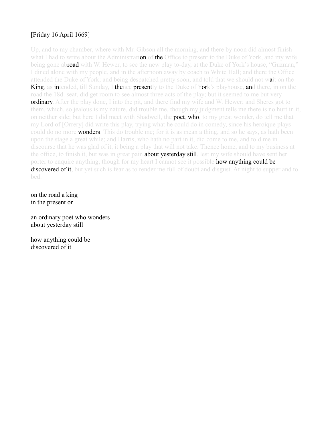### [Friday 16 April 1669]

Up, and to my chamber, where with Mr. Gibson all the morning, and there by noon did almost finish what I had to write about the Administration of the Office to present to the Duke of York, and my wife being gone abroad with W. Hewer, to see the new play to-day, at the Duke of York's house, "Guzman," I dined alone with my people, and in the afternoon away by coach to White Hall; and there the Office attended the Duke of York; and being despatched pretty soon, and told that we should not wait on the King, as intended, till Sunday, I thence presently to the Duke of York's playhouse, and there, in on the road the 18d. seat, did get room to see almost three acts of the play; but it seemed to me but very **ordinary**. After the play done, I into the pit, and there find my wife and W. Hewer; and Sheres got to them, which, so jealous is my nature, did trouble me, though my judgment tells me there is no hurt in it, on neither side; but here I did meet with Shadwell, the **poet, who**, to my great wonder, do tell me that my Lord of [Orrery] did write this play, trying what he could do in comedy, since his heroique plays could do no more **wonders**. This do trouble me; for it is as mean a thing, and so he says, as hath been upon the stage a great while; and Harris, who hath no part in it, did come to me, and told me in discourse that he was glad of it, it being a play that will not take. Thence home, and to my business at the office, to finish it, but was in great pain **about yesterday still**, lest my wife should have sent her porter to enquire anything, though for my heart I cannot see it possible how anything could be **discovered of it**, but yet such is fear as to render me full of doubt and disgust. At night to supper and to bed.

on the road a king in the present or

an ordinary poet who wonders about yesterday still

how anything could be discovered of it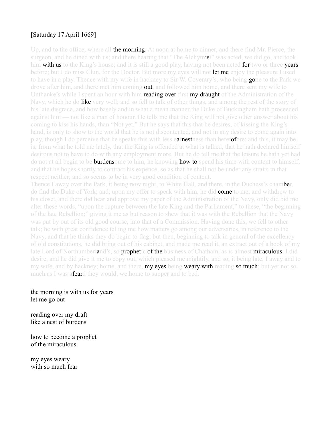#### [Saturday 17 April 1669]

Up, and to the office, where all **the morning**. At noon at home to dinner, and there find Mr. Pierce, the surgeon, and he dined with us; and there hearing that "The Alchymist" was acted, we did go, and took him with us to the King's house; and it is still a good play, having not been acted for two or three years before; but I do miss Clun, for the Doctor. But more my eyes will not **let me** enjoy the pleasure I used to have in a play. Thence with my wife in hackney to Sir W. Coventry's, who being **go**ne to the Park we drove after him, and there met him coming **out**, and followed him home, and there sent my wife to Unthanke's while I spent an hour with him **reading over first my draught** of the Administration of the Navy, which he do **like** very well; and so fell to talk of other things, and among the rest of the story of his late disgrace, and how basely and in what a mean manner the Duke of Buckingham hath proceeded against him — not like a man of honour. He tells me that the King will not give other answer about his coming to kiss his hands, than "Not yet." But he says that this that he desires, of kissing the King's hand, is only to show to the world that he is not discontented, and not in any desire to come again into play, though I do perceive that he speaks this with less earnestness than heretofore: and this, it may be, is, from what he told me lately, that the King is offended at what is talked, that he hath declared himself desirous not to have to do with any employment more. But he do tell me that the leisure he hath yet had do not at all begin to be **burdens** ome to him, he knowing **how to** spend his time with content to himself; and that he hopes shortly to contract his expence, so as that he shall not be under any straits in that respect neither; and so seems to be in very good condition of content.

Thence I away over the Park, it being now night, to White Hall, and there, in the Duchess's chamber, do find the Duke of York; and, upon my offer to speak with him, he did **come** to me, and withdrew to his closet, and there did hear and approve my paper of the Administration of the Navy, only did bid me alter these words, "upon the rupture between the late King and the Parliament," to these, "the beginning of the late Rebellion;" giving it me as but reason to shew that it was with the Rebellion that the Navy was put by out of its old good course, into that of a Commission. Having done this, we fell to other talk; he with great confidence telling me how matters go among our adversaries, in reference to the Navy, and that he thinks they do begin to flag; but then, beginning to talk in general of the excellency of old constitutions, he did bring out of his cabinet, and made me read it, an extract out of a book of my late Lord of Northumberland's, so **prophetic of the** business of Chatham, as is almost **miraculous**. I did desire, and he did give it me to copy out, which pleased me mightily, and so, it being late, I away and to my wife, and by hackney; home, and there, **my eyes** being **weary with** reading **so much**: but yet not so much as I was a**fear**d they would, we home to supper and to bed.

#### the morning is with us for years let me go out

reading over my draft like a nest of burdens

how to become a prophet of the miraculous

my eyes weary with so much fear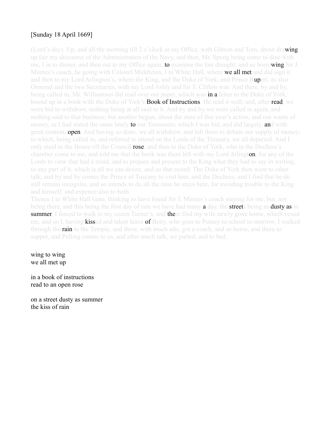### [Sunday 18 April 1669]

(Lord's day). Up, and all the morning till 2 o'clock at my Office, with Gibson and Tom, about drawing up fair my discourse of the Administration of the Navy, and then, Mr. Spong being come to dine with me, I in to dinner, and then out to my Office again, to examine the fair draught; and so borrowing Sir J. Minnes's coach, he going with Colonel Middleton, I to White Hall, where **we all met** and did sign it and then to my Lord Arlington's, where the King, and the Duke of York, and Prince Rupert, as also Ormond and the two Secretaries, with my Lord Ashly and Sir T. Clifton was. And there, by and by, being called in, Mr. Williamson did read over our paper, which was **in a** letter to the Duke of York, bound up in a book with the Duke of York's **Book of Instructions**. He read it well; and, after **read**, we were bid to withdraw, nothing being at all said to it. And by and by we were called in again, and nothing said to that business; but another begun, about the state of this year's action, and our wants of money, as I had stated the same lately **to** our Treasurers; which I was bid, and did largely, and with great content, **open**. And having so done, we all withdrew, and left them to debate our supply of money; to which, being called in, and referred to attend on the Lords of the Treasury, we all departed. And I only staid in the House till the Council rose; and then to the Duke of York, who in the Duchess's chamber come to me, and told me that the book was there left with my Lord Arlington, for any of the Lords to view that had a mind, and to prepare and present to the King what they had to say in writing, to any part of it, which is all we can desire, and so that rested. The Duke of York then went to other talk; and by and by comes the Prince of Tuscany to visit him, and the Duchess; and I find that he do still remain incognito, and so intends to do all the time he stays here, for avoiding trouble to the King and himself, and expence also to both.

Thence I to White Hall Gate, thinking to have found Sir J. Minnes's coach staying for me; but, not being there, and this being the first day of rain we have had many a day, the streets being as dusty as in **summer**, I forced to walk to my cozen Turner's, and **there find** my wife newly gone home, which vexed me, and so I, having **kisse**d and taken leave **of** Betty, who goes to Putney to school to-morrow, I walked through the **rain** to the Temple, and there, with much ado, got a coach, and so home, and there to supper, and Pelling comes to us, and after much talk, we parted, and to bed.

wing to wing we all met up

in a book of instructions read to an open rose

on a street dusty as summer the kiss of rain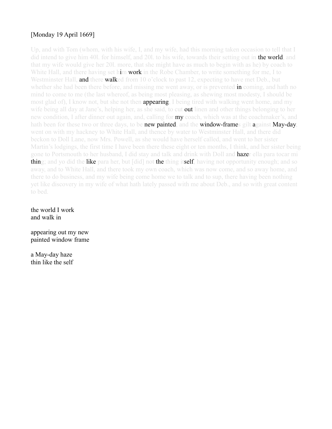#### [Monday 19 April 1669]

Up, and with Tom (whom, with his wife, I, and my wife, had this morning taken occasion to tell that I did intend to give him 401, for himself, and 201, to his wife, towards their setting out in **the world**, and that my wife would give her 20l. more, that she might have as much to begin with as he) by coach to White Hall, and there having set him work in the Robe Chamber, to write something for me, I to Westminster Hall, **and there walke**d from 10 o'clock to past 12, expecting to have met Deb., but whether she had been there before, and missing me went away, or is prevented **in** coming, and hath no mind to come to me (the last whereof, as being most pleasing, as shewing most modesty, I should be most glad of), I know not, but she not then **appearing**, I being tired with walking went home, and my wife being all day at Jane's, helping her, as she said, to cut out linen and other things belonging to her new condition, I after dinner out again, and, calling for **my** coach, which was at the coachmaker's, and hath been for these two or three days, to be **new painted**, and the **window-frame**s gilt **a**gainst **May-day**, went on with my hackney to White Hall, and thence by water to Westminster Hall, and there did beckon to Doll Lane, now Mrs. Powell, as she would have herself called, and went to her sister Martin's lodgings, the first time I have been there these eight or ten months, I think, and her sister being gone to Portsmouth to her husband, I did stay and talk and drink with Doll and **haze**r ella para tocar mi thing; and yo did the like para her, but [did] not the thing itself, having not opportunity enough; and so away, and to White Hall, and there took my own coach, which was now come, and so away home, and there to do business, and my wife being come home we to talk and to sup, there having been nothing yet like discovery in my wife of what hath lately passed with me about Deb., and so with great content to bed.

the world I work and walk in

appearing out my new painted window frame

a May-day haze thin like the self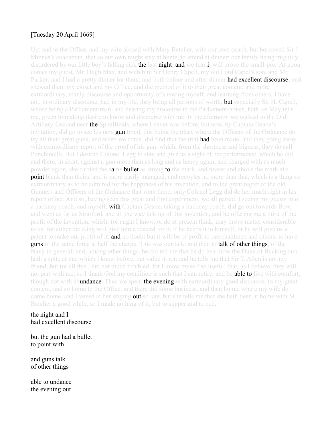#### [Tuesday 20 April 1669]

Up; and to the Office, and my wife abroad with Mary Batelier, with our own coach, but borrowed Sir J Minnes's coachman, that so our own might stay at home, to attend at dinner; our family being mightily disordered by our little boy's falling sick the last night; and we fear it will prove the small-pox. At noon comes my guest, Mr. Hugh May, and with him Sir Henry Capell, my old Lord Capel's son, and Mr. Parker; and I had a pretty dinner for them; and both before and after dinner **had excellent discourse**; and shewed them my closet and my Office, and the method of it to their great content; and more extraordinary, manly discourse and opportunity of shewing myself, and learning from others, I have not, in ordinary discourse, had in my life, they being all persons of worth, **but** especially Sir H. Capell, whose being a Parliament-man, and hearing my discourse in the Parliament-house, hath, as May tells me, given him along desire to know and discourse with me. In the afternoon we walked to the Old Artillery-Ground near the Spitalfields, where I never was before, but now, by Captain Deane's invitation, did go to see his new gun tryed, this being the place where the Officers of the Ordnance do try all their great guns; and when we come, did find that the trial **had** been made; and they going away with extraordinary report of the proof of his gun, which, from the shortness and bigness, they do call Punchinello. But I desired Colonel Legg to stay and give us a sight of her performance, which he did, and there, in short, against a gun more than as long and as heavy again, and charged with as much powder again, she carried the same **bullet** as strong to the mark, and nearer and above the mark at a **point** blank than theirs, and is more easily managed, and recoyles no more than that, which is a thing so extraordinary as to be admired for the happiness of his invention, and to the great regret of the old Gunners and Officers of the Ordnance that were there, only Colonel Legg did do her much right in his report of her. And so, having seen this great and first experiment, we all parted, I seeing my guests into a hackney coach, and myself, with Captain Deane, taking a hackney coach, did go out towards Bow, and went as far as Stratford, and all the way talking of this invention, and he offering me a third of the profit of the invention; which, for aught I know, or do at present think, may prove matter considerable to us: for either the King will give him a reward for it, if he keeps it to himself, or he will give us a patent to make our profit of it: **and** no doubt but it will be of profit to merchantmen and others, to have **guns** of the same force at half the charge. This was our talk: and then to **talk of other things**, of the Navy in general: and, among other things, he did tell me that he do hear how the Duke of Buckingham hath a spite at me, which I knew before, but value it not: and he tells me that Sir T. Allen is not my friend; but for all this I am not much troubled, for I know myself so usefull that, as I believe, they will not part with me; so I thank God my condition is such that I can retire, and be **able to** live with comfort, though not with abundance. Thus we spent the evening with extraordinary good discourse, to my great content, and so home to the Office, and there did some business, and then home, where my wife do come home, and I vexed at her staying **out** so late, but she tells me that she hath been at home with M. Batelier a good while, so I made nothing of it, but to supper and to bed.

the night and I had excellent discourse

but the gun had a bullet to point with

and guns talk of other things

able to undance the evening out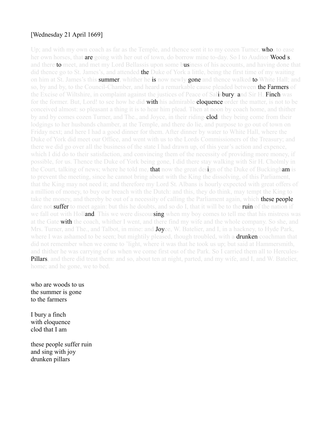#### [Wednesday 21 April 1669]

Up; and with my own coach as far as the Temple, and thence sent it to my cozen Turner, **who**, to ease her own horses, that are going with her out of town, do borrow mine to-day. So I to Auditor **Wood's**, and there **to** meet, and met my Lord Bellassis upon some business of his accounts, and having done that did thence go to St. James's, and attended **the** Duke of York a little, being the first time of my waiting on him at St. James's this **summer**, whither he **is** now newly **gone** and thence walked to White Hall; and so, by and by, to the Council-Chamber, and heard a remarkable cause pleaded between **the Farmers** of the Excise of Wiltshire, in complaint against the justices of Peace of Salisbury: and Sir H. Finch was for the former. But, Lord! to see how he did **with his admirable eloquence order** the matter, is not to be conceived almost: so pleasant a thing it is to hear him plead. Then at noon by coach home, and thither by and by comes cozen Turner, and The., and Joyce, in their riding-**clod**: they being come from their lodgings to her husbands chamber, at the Temple, and there do lie, and purpose to go out of town on Friday next; and here I had a good dinner for them. After dinner by water to White Hall, where the Duke of York did meet our Office, and went with us to the Lords Commissioners of the Treasury; and there we did go over all the business of the state I had drawn up, of this year's action and expence, which I did do to their satisfaction, and convincing them of the necessity of providing more money, if possible, for us. Thence the Duke of York being gone, I did there stay walking with Sir H. Cholmly in the Court, talking of news; where he told me, **that** now the great design of the Duke of Buckingham is to prevent the meeting, since he cannot bring about with the King the dissolving, of this Parliament, that the King may not need it; and therefore my Lord St. Albans is hourly expected with great offers of a million of money, to buy our breach with the Dutch: and this, they do think, may tempt the King to take the money, and thereby be out of a necessity of calling the Parliament again, which **these people** dare not **suffer** to meet again: but this he doubts, and so do I, that it will be to the ruin of the nation if we fall out with Holland. This we were discoursing when my boy comes to tell me that his mistress was at the Gate with the coach, whither I went, and there find my wife and the whole company. So she, and Mrs. Turner, and The., and Talbot, in mine: and **Joy**ce, W. Batelier, and I, in a hackney, to Hyde Park, where I was ashamed to be seen; but mightily pleased, though troubled, with a **drunken** coachman that did not remember when we come to 'light, where it was that he took us up; but said at Hammersmith, and thither he was carrying of us when we come first out of the Park. So I carried them all to Hercules-Pillars, and there did treat them: and so, about ten at night, parted, and my wife, and I, and W. Batelier, home; and he gone, we to bed.

who are woods to us the summer is gone to the farmers

I bury a finch with eloquence clod that I am

these people suffer ruin and sing with joy drunken pillars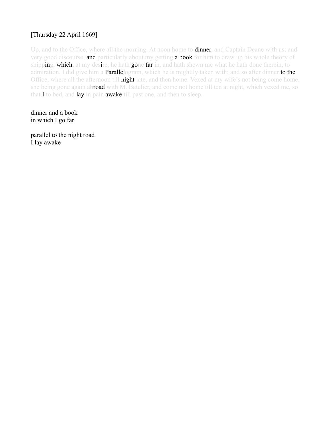## [Thursday 22 April 1669]

Up, and to the Office, where all the morning. At noon home to **dinner**, and Captain Deane with us; and very good discourse, and particularly about my getting a book for him to draw up his whole theory of shipping, which, at my desire, he hath gone far in, and hath shewn me what he hath done therein, to admiration. I did give him a **Parallel**ogram, which he is mightily taken with; and so after dinner **to the** Office, where all the afternoon till **night** late, and then home. Vexed at my wife's not being come home, she being gone again abroad with M. Batelier, and come not home till ten at night, which vexed me, so that I to bed, and lay in pain awake till past one, and then to sleep.

dinner and a book in which I go far

parallel to the night road I lay awake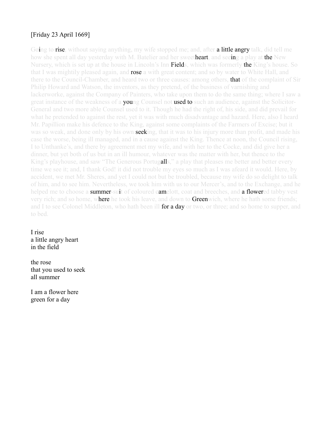### [Friday 23 April 1669]

Going to **rise**, without saying anything, my wife stopped me; and, after **a little angry** talk, did tell me how she spent all day yesterday with M. Batelier and her sweetheart, and seeing a play at the New Nursery, which is set up at the house in Lincoln's Inn **Field**s, which was formerly **the** King's house. So that I was mightily pleased again, and **rose** a with great content; and so by water to White Hall, and there to the Council-Chamber, and heard two or three causes: among others, **that** of the complaint of Sir Philip Howard and Watson, the inventors, as they pretend, of the business of varnishing and lackerworke, against the Company of Painters, who take upon them to do the same thing; where I saw a great instance of the weakness of a **young** Counsel not **used to** such an audience, against the Solicitor-General and two more able Counsel used to it. Though he had the right of, his side, and did prevail for what he pretended to against the rest, yet it was with much disadvantage and hazard. Here, also I heard Mr. Papillion make his defence to the King, against some complaints of the Farmers of Excise; but it was so weak, and done only by his own **seek**ing, that it was to his injury more than profit, and made his case the worse, being ill managed, and in a cause against the King. Thence at noon, the Council rising, I to Unthanke's, and there by agreement met my wife, and with her to the Cocke, and did give her a dinner, but yet both of us but in an ill humour, whatever was the matter with her, but thence to the King's playhouse, and saw "The Generous Portugalls," a play that pleases me better and better every time we see it; and, I thank God! it did not trouble my eyes so much as I was afeard it would. Here, by accident, we met Mr. Sheres, and yet I could not but be troubled, because my wife do so delight to talk of him, and to see him. Nevertheless, we took him with us to our Mercer's, and to the Exchange, and he helped me to choose a **summer-sui**t of coloured camelott, coat and breeches, and a flowered tabby vest very rich; and so home, where he took his leave, and down to **Green**wich, where he hath some friends; and I to see Colonel Middleton, who hath been ill for a day or two, or three; and so home to supper, and to bed.

I rise a little angry heart in the field

the rose that you used to seek all summer

I am a flower here green for a day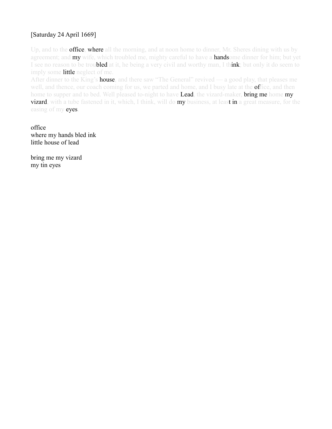#### [Saturday 24 April 1669]

Up, and to the **office, where** all the morning, and at noon home to dinner, Mr. Sheres dining with us by agreement; and **my** wife, which troubled me, mighty careful to have a **handsome** dinner for him; but yet I see no reason to be troubled at it, he being a very civil and worthy man, I think; but only it do seem to imply some **little** neglect of me.

After dinner to the King's **house**, and there saw "The General" revived — a good play, that pleases me well, and thence, our coach coming for us, we parted and home, and I busy late at the **of**fice, and then home to supper and to bed. Well pleased to-night to have Lead, the vizard-maker, bring me home my **vizard**, with a tube fastened in it, which, I think, will do my business, at least in a great measure, for the easing of my eyes.

office where my hands bled ink little house of lead

bring me my vizard my tin eyes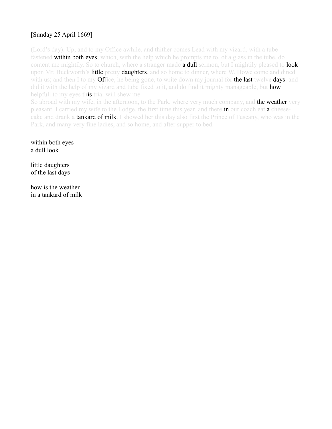# [Sunday 25 April 1669]

(Lord's day). Up, and to my Office awhile, and thither comes Lead with my vizard, with a tube fastened **within both eyes**; which, with the help which he prompts me to, of a glass in the tube, do content me mightily. So to church, where a stranger made **a dull sermon**, but I mightily pleased to **look** upon Mr. Buckworth's **little** pretty **daughters**, and so home to dinner, where W. Howe come and dined with us; and then I to my **Office**, he being gone, to write down my journal for **the last** twelve **days**: and did it with the help of my vizard and tube fixed to it, and do find it mighty manageable, but **how** helpfull to my eyes this trial will shew me.

So abroad with my wife, in the afternoon, to the Park, where very much company, and **the weather** very pleasant. I carried my wife to the Lodge, the first time this year, and there in our coach eat a cheesecake and drank a **tankard of milk**. I showed her this day also first the Prince of Tuscany, who was in the Park, and many very fine ladies, and so home, and after supper to bed.

within both eyes a dull look

little daughters of the last days

how is the weather in a tankard of milk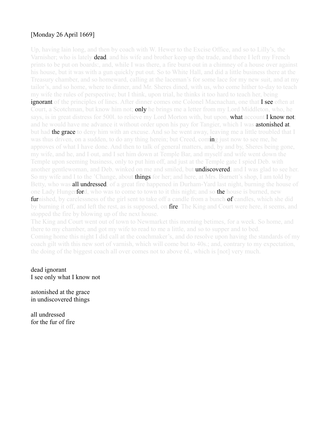#### [Monday 26 April 1669]

Up, having lain long, and then by coach with W. Hewer to the Excise Office, and so to Lilly's, the Varnisher; who is lately **dead**, and his wife and brother keep up the trade, and there I left my French prints to be put on boards:, and, while I was there, a fire burst out in a chimney of a house over against his house, but it was with a gun quickly put out. So to White Hall, and did a little business there at the Treasury chamber, and so homeward, calling at the laceman's for some lace for my new suit, and at my tailor's, and so home, where to dinner, and Mr. Sheres dined, with us, who come hither to-day to teach my wife the rules of perspective; but I think, upon trial, he thinks it too hard to teach her, being **ignorant** of the principles of lines. After dinner comes one Colonel Macnachan, one that **I see** often at Court, a Scotchman, but know him not; **only** he brings me a letter from my Lord Middleton, who, he says, is in great distress for 5001, to relieve my Lord Morton with, but upon, **what account I know not**; and he would have me advance it without order upon his pay for Tangier, which I was **astonished at**, but had **the grace** to deny him with an excuse. And so he went away, leaving me a little troubled that I was thus driven, on a sudden, to do any thing herein; but Creed, coming just now to see me, he approves of what I have done. And then to talk of general matters, and, by and by, Sheres being gone, my wife, and he, and I out, and I set him down at Temple Bar, and myself and wife went down the Temple upon seeming business, only to put him off, and just at the Temple gate I spied Deb. with another gentlewoman, and Deb. winked on me and smiled, but undiscovered, and I was glad to see her. So my wife and I to the 'Change, about **things** for her; and here, at Mrs. Burnett's shop, I am told by Betty, who was **all undressed**, of a great fire happened in Durham-Yard last night, burning the house of one Lady Hunger**ford**, who was to come to town to it this night; and so **the** house is burned, new **furnished**, by carelessness of the girl sent to take off a candle from a bunch **of** candles, which she did by burning it off, and left the rest, as is supposed, on **fire**. The King and Court were here, it seems, and stopped the fire by blowing up of the next house.

The King and Court went out of town to Newmarket this morning betimes, for a week. So home, and there to my chamber, and got my wife to read to me a little, and so to supper and to bed. Coming home this night I did call at the coachmaker's, and do resolve upon having the standards of my coach gilt with this new sort of varnish, which will come but to 40s.; and, contrary to my expectation, the doing of the biggest coach all over comes not to above 6l., which is [not] very much.

dead ignorant I see only what I know not

astonished at the grace in undiscovered things

all undressed for the fur of fire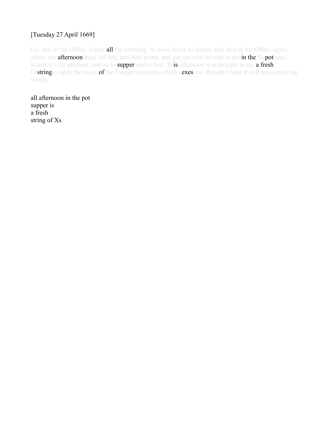## [Tuesday 27 April 1669]

Up, and to the Office, where all the morning. At noon home to dinner, and then to the Office again, where the **afternoon** busy till late, and then home, and got my wife to read to me in the Nepotisme, which is very pleasant, and so to supper and to bed. This afternoon was brought to me a fresh Distringas upon the score of the Tangier accounts which vexes me, though I hope it will not turn to my wrong.

all afternoon in the pot supper is a fresh string of Xs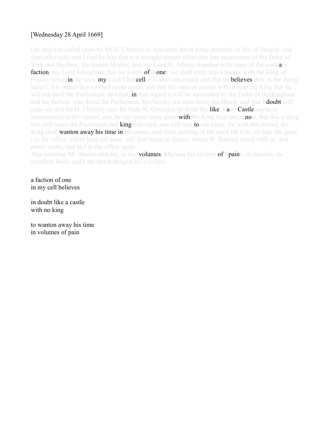#### [Wednesday 28 April 1669]

Up, and was called upon by Sir H. Cholmly to discourse about some accounts of his, of Tangier: and then other talk; and I find by him that it is brought almost effect (the late endeavours of the Duke of York and Duchess, the Queen-Mother, and my Lord St. Albans, together with some of the contrary **faction**, my Lord Arlington), that for a sum **of mone**y we shall enter into a league with the King of France, wherein, he says, my Lord Chancellor is also concerned; and that he **believes** that, in the doing hereof, it is meant that he shall come again, and that this sum of money will so help the King that he will not need the Parliament; and that, **in** that regard it will be forwarded by the Duke of Buckingham and his faction, who dread the Parliament. But hereby we must leave the Dutch, and that I **doubt** will undo us; and Sir H. Cholmly says he finds W. Coventry do think the **like. Lady Castle**mayne is instrumental in this matter, and, he say never more great **with** the King than she is **no**w. But this a thing that will make the Parliament and **kingdom** mad, and will turn **to** our ruine: for with this money the King shall **wanton away his time in** pleasures, and think nothing of the main till it be too late. He gone, I to the office, where busy till noon, and then home to dinner, where W. Batelier dined with us, and pretty merry, and so I to the office again.

This morning Mr. Sheres sent me, in two **volumes**, Mariana his History of Spaine, in Spanish, an excellent book; and I am much obliged for it to him.

a faction of one in my cell believes

in doubt like a castle with no king

to wanton away his time in volumes of pain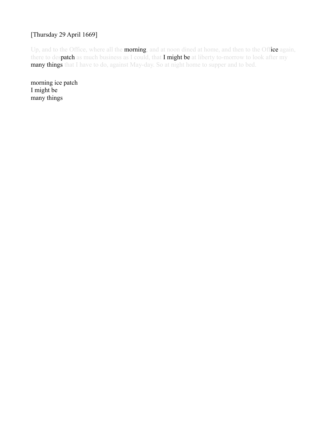#### [Thursday 29 April 1669]

Up, and to the Office, where all the **morning**, and at noon dined at home, and then to the Office again, there to despatch as much business as I could, that I might be at liberty to-morrow to look after my many things that I have to do, against May-day. So at night home to supper and to bed.

morning ice patch I might be many things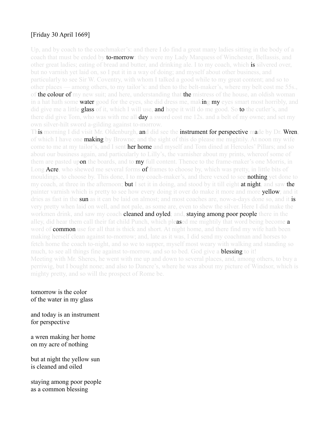#### [Friday 30 April 1669]

Up, and by coach to the coachmaker's: and there I do find a great many ladies sitting in the body of a coach that must be ended by **to-morrow**: they were my Lady Marquess of Winchester, Bellassis, and other great ladies; eating of bread and butter, and drinking ale. I to my coach, which is silvered over, but no varnish yet laid on, so I put it in a way of doing; and myself about other business, and particularly to see Sir W. Coventry, with whom I talked a good while to my great content; and so to other places — among others, to my tailor's: and then to the belt-maker's, where my belt cost me 55s., of the colour of my new suit; and here, understanding that the mistress of the house, an oldish woman in a hat hath some **water** good for the eyes, she did dress me, making my eyes smart most horribly, and did give me a little **glass** of it, which I will use, and hope it will do me good. So to the cutler's, and there did give Tom, who was with me all **day** a sword cost me 12s, and a belt of my owne; and set my own silver-hilt sword a-gilding against to-morrow.

This morning I did visit Mr. Oldenburgh, and did see the instrument for perspective made by Dr. Wren, of which I have one **making** by Browne; and the sight of this do please me mightily. At noon my wife come to me at my tailor's, and I sent her home and myself and Tom dined at Hercules' Pillars; and so about our business again, and particularly to Lilly's, the varnisher about my prints, whereof some of them are pasted upon the boards, and to my full content. Thence to the frame-maker's one Morris, in Long Acre, who shewed me several forms of frames to choose by, which was pretty, in little bits of mouldings, to choose by. This done, I to my coach-maker's, and there vexed to see **nothing** yet done to my coach, at three in the afternoon; **but** I set it in doing, and stood by it till eight **at night**, and saw the painter varnish which is pretty to see how every doing it over do make it more and more **yellow**; and it dries as fast in the sun as it can be laid on almost; and most coaches are, now-a-days done so, and it is very pretty when laid on well, and not pale, as some are, even to shew the silver. Here I did make the workmen drink, and saw my coach **cleaned and oyled**; and, **staying among poor people** there in the alley, did hear them call their fat child Punch, which pleased me mightily that word being become a word of **common** use for all that is thick and short. At night home, and there find my wife hath been making herself clean against to-morrow; and, late as it was, I did send my coachman and horses to fetch home the coach to-night, and so we to supper, myself most weary with walking and standing so much, to see all things fine against to-morrow, and so to bed. God give a **blessing** to it! Meeting with Mr. Sheres, he went with me up and down to several places, and, among others, to buy a perriwig, but I bought none; and also to Dancre's, where he was about my picture of Windsor, which is mighty pretty, and so will the prospect of Rome be.

tomorrow is the color of the water in my glass

and today is an instrument for perspective

a wren making her home on my acre of nothing

but at night the yellow sun is cleaned and oiled

staying among poor people as a common blessing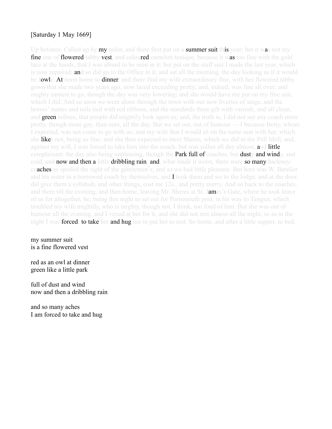#### [Saturday 1 May 1669]

Up betimes. Called up by **my** tailor, and there first put on a **summer suit this** year; but it was not my fine one of flowered tabby vest, and coloured camelott tunique, because it was too fine with the gold lace at the hands, that I was afeard to be seen in it; but put on the stuff suit I made the last year, which is now repaired; **an**d so did go to the Office in it, and sat all the morning, the day looking as if it would be fowle. At noon home to dinner, and there find my wife extraordinary fine, with her flowered tabby gown that she made two years ago, now laced exceeding pretty; and, indeed, was fine all over; and mighty earnest to go, though the day was very lowering; and she would have me put on my fine suit, which I did. And so anon we went alone through the town with our new liveries of serge, and the horses' manes and tails tied with red ribbons, and the standards there gilt with varnish, and all clean, and **green** refines, that people did mightily look upon us; and, the truth is, I did not see any coach more pretty, though more gay, than ours, all the day. But we set out, out of humour — I because Betty, whom I expected, was not come to go with us; and my wife that I would sit on the same seat with her, which she likes not, being so fine: and she then expected to meet Sheres, which we did in the Pell Mell, and, against my will, I was forced to take him into the coach, but was sullen all day almost, and little complaisant: the day also being unpleasing, though the **Park full of** coaches, but **dusty and wind**y, and cold, and **now and then a** little **dribbling rain; and,** what made it worst, there were **so many** hackney**coaches** as spoiled the sight of the gentlemen's; and so we had little pleasure. But here was W. Batelier and his sister in a borrowed coach by themselves, and I took them and we to the lodge; and at the door did give them a syllabub, and other things, cost me 12s., and pretty merry. And so back to the coaches, and there till the evening, and then home, leaving Mr. Sheres at St. James's Gate, where he took leave of us for altogether, he; being this night to set out for Portsmouth post, in his way to Tangier, which troubled my wife mightily, who is mighty, though not, I think, too fond of him. But she was out of humour all the evening, and I vexed at her for it, and she did not rest almost all the night, so as in the night I was **forced; to take her and hug her** to put her to rest. So home, and after a little supper, to bed.

my summer suit is a fine flowered vest

red as an owl at dinner green like a little park

full of dust and wind now and then a dribbling rain

and so many aches I am forced to take and hug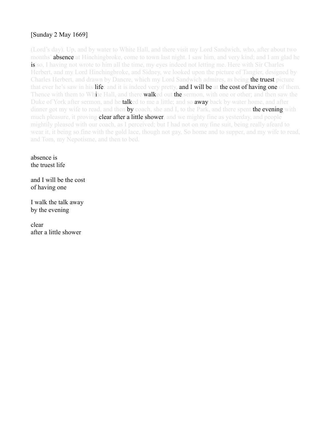## [Sunday 2 May 1669]

(Lord's day). Up, and by water to White Hall, and there visit my Lord Sandwich, who, after about two months' **absence** at Hinchingbroke, come to town last night. I saw him, and very kind; and I am glad he is so, I having not wrote to him all the time, my eyes indeed not letting me. Here with Sir Charles Herbert, and my Lord Hinchingbroke, and Sidney, we looked upon the picture of Tangier, designed by Charles Herbert, and drawn by Dancre, which my Lord Sandwich admires, as being **the truest** picture that ever he's saw in his life: and it is indeed very pretty, and I will be at the cost of having one of them. Thence with them to White Hall, and there **walked out the sermon**, with one or other; and then saw the Duke of York after sermon, and he **talked** to me a little; and so **away** back by water home, and after dinner got my wife to read, and then by coach, she and I, to the Park, and there spent the evening with much pleasure, it proving **clear after a little shower**, and we mighty fine as vesterday, and people mightily pleased with our coach, as I perceived; but I had not on my fine suit, being really afeard to wear it, it being so fine with the gold lace, though not gay. So home and to supper, and my wife to read, and Tom, my Nepotisme, and then to bed.

absence is the truest life

and I will be the cost of having one

I walk the talk away by the evening

clear after a little shower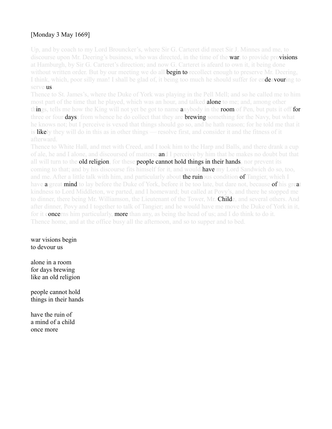## [Monday 3 May 1669]

Up, and by coach to my Lord Brouncker's, where Sir G. Carteret did meet Sir J. Minnes and me, to discourse upon Mr. Deering's business, who was directed, in the time of the **war**, to provide pro**visions** at Hamburgh, by Sir G. Carteret's direction; and now G. Carteret is afeard to own it, it being done without written order. But by our meeting we do all **begin to** recollect enough to preserve Mr. Deering, I think, which, poor silly man! I shall be glad of, it being too much he should suffer for endeavouring to serve us.

Thence to St. James's, where the Duke of York was playing in the Pell Mell; and so he called me to him most part of the time that he played, which was an hour, and talked **alone** to me; and, among other things, tells me how the King will not yet be got to name anybody in the room of Pen, but puts it off for three or four **days**; from whence he do collect that they are **brewing** something for the Navy, but what he knows not; but I perceive is vexed that things should go so, and he hath reason; for he told me that it is likely they will do in this as in other things — resolve first, and consider it and the fitness of it afterward.

Thence to White Hall, and met with Creed, and I took him to the Harp and Balls, and there drank a cup of ale, he and I alone, and discoursed of matters; and I perceive by him that he makes no doubt but that all will turn to the **old religion**, for these **people cannot hold things in their hands**, nor prevent its coming to that; and by his discourse fits himself for it, and would **have** my Lord Sandwich do so, too, and me. After a little talk with him, and particularly about **the ruinous** condition **of** Tangier, which I have **a** great **mind** to lay before the Duke of York, before it be too late, but dare not, because **of** his great kindness to Lord Middleton, we parted, and I homeward; but called at Povy's, and there he stopped me to dinner, there being Mr. Williamson, the Lieutenant of the Tower, Mr. **Child**e, and several others. And after dinner, Povy and I together to talk of Tangier; and he would have me move the Duke of York in it, for it concerns him particularly, more than any, as being the head of us; and I do think to do it. Thence home, and at the office busy all the afternoon, and so to supper and to bed.

war visions begin to devour us

alone in a room for days brewing like an old religion

people cannot hold things in their hands

have the ruin of a mind of a child once more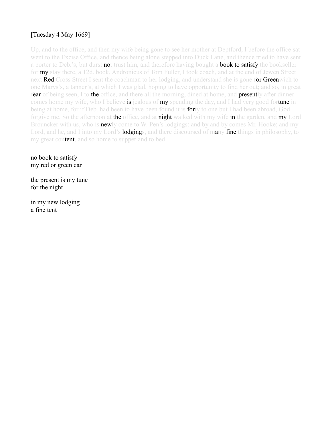## [Tuesday 4 May 1669]

Up, and to the office, and then my wife being gone to see her mother at Deptford, I before the office sat went to the Excise Office, and thence being alone stepped into Duck Lane, and thence tried to have sent a porter to Deb.'s, but durst **no**t trust him, and therefore having bought a **book to satisfy** the bookseller for my stay there, a 12d. book, Andronicus of Tom Fuller, I took coach, and at the end of Jewen Street next Red Cross Street I sent the coachman to her lodging, and understand she is gone for Greenwich to one Marys's, a tanner's, at which I was glad, hoping to have opportunity to find her out; and so, in great fear of being seen, I to the office, and there all the morning, dined at home, and **present**ly after dinner comes home my wife, who I believe is jealous of my spending the day, and I had very good fortune in being at home, for if Deb. had been to have been found it is **for**ty to one but I had been abroad, God forgive me. So the afternoon at the office, and at night walked with my wife in the garden, and my Lord Brouncker with us, who is **new**ly come to W. Pen's lodgings; and by and by comes Mr. Hooke; and my Lord, and he, and I into my Lord's **lodging**s, and there discoursed of many fine things in philosophy, to my great content, and so home to supper and to bed.

no book to satisfy my red or green ear

the present is my tune for the night

in my new lodging a fine tent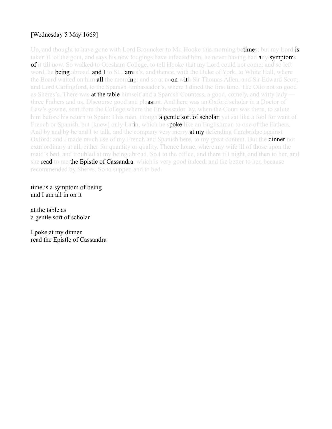#### [Wednesday 5 May 1669]

Up, and thought to have gone with Lord Brouncker to Mr. Hooke this morning betimes; but my Lord is taken ill of the gout, and says his new lodgings have infected him, he never having had **any symptoms** of it till now. So walked to Gresham College, to tell Hooke that my Lord could not come; and so left word, he **being abroad, and I** to St. James's, and thence, with the Duke of York, to White Hall, where the Board waited on him all the morning: and so at noon with Sir Thomas Allen, and Sir Edward Scott, and Lord Carlingford, to the Spanish Embassador's, where I dined the first time. The Olio not so good as Sheres's. There was **at the table** himself and a Spanish Countess, a good, comely, and witty lady three Fathers and us. Discourse good and pleasant. And here was an Oxford scholar in a Doctor of Law's gowne, sent from the College where the Embassador lay, when the Court was there, to salute him before his return to Spain: This man, though **a gentle sort of scholar**, yet sat like a fool for want of French or Spanish, but [knew] only Latin, which he spoke like an Englishman to one of the Fathers. And by and by he and I to talk, and the company very merry **at my** defending Cambridge against Oxford: and I made much use of my French and Spanish here, to my great content. But the **dinner** not extraordinary at all, either for quantity or quality. Thence home, where my wife ill of those upon the maid's bed, and troubled at my being abroad. So I to the office, and there till night, and then to her, and she read to me the Epistle of Cassandra, which is very good indeed; and the better to her, because recommended by Sheres. So to supper, and to bed.

time is a symptom of being and I am all in on it

at the table as a gentle sort of scholar

I poke at my dinner read the Epistle of Cassandra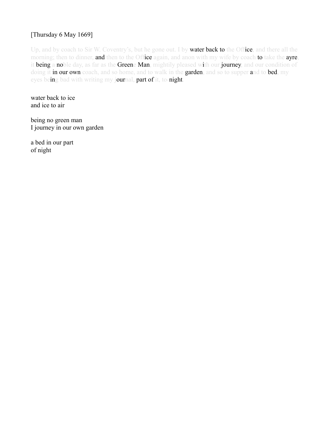#### [Thursday 6 May 1669]

Up, and by coach to Sir W. Coventry's, but he gone out. I by **water back to** the Office, and there all the morning; then to dinner, and then to the Office again, and anon with my wife by coach to take the ayre, it being a noble day, as far as the Greene Man, mightily pleased with our journey, and our condition of doing it in our own coach, and so home, and to walk in the garden, and so to supper and to bed, my eyes being bad with writing my journal, part of it, to-night.

water back to ice and ice to air

being no green man I journey in our own garden

a bed in our part of night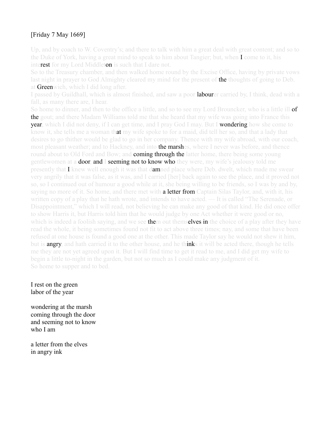## [Friday 7 May 1669]

Up, and by coach to W. Coventry's; and there to talk with him a great deal with great content; and so to the Duke of York, having a great mind to speak to him about Tangier; but, when I come to it, his interest for my Lord Middleton is such that I dare not.

So to the Treasury chamber, and then walked home round by the Excise Office, having by private vows last night in prayer to God Almighty cleared my mind for the present of the thoughts of going to Deb. at Greenwich, which I did long after.

I passed by Guildhall, which is almost finished, and saw a poor **labour**er carried by, I think, dead with a fall, as many there are, I hear.

So home to dinner, and then to the office a little, and so to see my Lord Brouncker, who is a little ill **of** the gout; and there Madam Williams told me that she heard that my wife was going into France this **year**, which I did not deny, if I can get time, and I pray God I may. But I wondering how she come to know it, she tells me a woman that my wife spoke to for a maid, did tell her so, and that a lady that desires to go thither would be glad to go in her company. Thence with my wife abroad, with our coach, most pleasant weather; and to Hackney, and into **the marsh**es, where I never was before, and thence round about to Old Ford and Bow; and **coming through the** latter home, there being some young gentlewomen at a **door, and I seeming not to know who** they were, my wife's jealousy told me presently that I knew well enough it was that **damned** place where Deb. dwelt, which made me swear very angrily that it was false, as it was, and I carried [her] back again to see the place, and it proved not so, so I continued out of humour a good while at it, she being willing to be friends, so I was by and by, saying no more of it. So home, and there met with **a letter from** Captain Silas Taylor, and, with it, his written copy of a play that he hath wrote, and intends to have acted. — It is called "The Serenade, or Disappointment," which I will read, not believing he can make any good of that kind. He did once offer to show Harris it, but Harris told him that he would judge by one Act whether it were good or no, which is indeed a foolish saying, and we see **them** out themselves in the choice of a play after they have read the whole, it being sometimes found not fit to act above three times; nay, and some that have been refused at one house is found a good one at the other. This made Taylor say he would not shew it him, but is **angry**, and hath carried it to the other house, and he thinks it will be acted there, though he tells me they are not yet agreed upon it. But I will find time to get it read to me, and I did get my wife to begin a little to-night in the garden, but not so much as I could make any judgment of it. So home to supper and to bed.

I rest on the green labor of the year

wondering at the marsh coming through the door and seeming not to know who I am

a letter from the elves in angry ink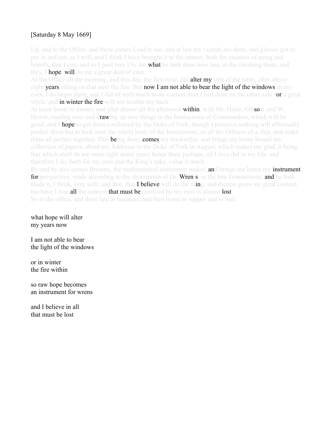## [Saturday 8 May 1669]

Up, and to the Office, and there comes Lead to me, and at last my vizards are done, and glasses got to put in and out, as I will; and I think I have brought it to the utmost, both for easiness of using and benefit, that I can; and so I paid him 15s. for **what** he hath done now last, in the finishing them, and they, I **hope, will** do me a great deal of ease.

At the Office all the morning, and this day, the first time, did **alter my** side of the table, after above eight years sitting on that next the fire. But now I am not able to bear the light of the windows in my eyes, I do begin there, and I did sit with much more content than I had done on the other side for a great while, and in winter the fire will not trouble my back.

At noon home to dinner, and after dinner all the afternoon **within**, with Mr. Hater, Gibson, and W. Hewer, reading over and d**rawing** up new things in the Instructions of Commanders, which will be good, and I hope to get them confirmed by the Duke of York, though I perceive nothing will effectually perfect them but to look over the whole body of the Instructions, of all the Officers of a ship, and make them all perfect together. This **be**ing done, **comes** my bookseller, and brings me home bound my collection of papers, about my Addresse to the Duke of York in August, which makes me glad, it being that which shall do me more right many years hence than, perhaps, all I ever did in my life: and therefore I do, both for my own and the King's sake, value it much.

By and by also comes Browne, the mathematical instrument maker, **an**d brings me home my **instrument** for perspective, made according to the description of Dr. Wren's, in the late Transactions; and he hath made it, I think, very well, and that, that **I believe** will do the thing, and therein gives me great content; but have I fear all the content that must be received by my eyes is almost lost. So to the office, and there late at business, and then home to supper and to bed.

what hope will alter my years now

I am not able to bear the light of the windows

or in winter the fire within

so raw hope becomes an instrument for wrens

and I believe in all that must be lost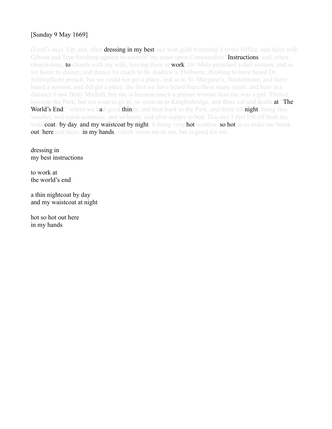## [Sunday 9 May 1669]

(Lord's day). Up; and, after **dressing in my best suit** with gold trimming, I to the Office, and there with Gibson and Tom finishing against to-morrow my notes upon Commanders' **Instructions**; and, when church-time, **to** church with my wife, leaving them at **work**. Dr. Mills preached a dull sermon, and so we home to dinner; and thence by coach to St. Andrew's, Holborne, thinking to have heard Dr. Stillingfleete preach, but we could not get a place, and so to St. Margaret's, Westminster, and there heard a sermon, and did get a place, the first we have heard there these many years, and here at a distance I saw Betty Michell, but she is become much a plainer woman than she was a girl. Thence towards the Park, but too soon to go in, so went on to Knightsbridge, and there eat and drank **at "The** World's End," where we had good things, and then back to the Park, and there till night, being fine weather, and much company, and so home, and after supper to bed. This day I first left off both my waistcoats by day, and my waistcoat by night, it being very hot weather, so hot as to make me break out, here and there, in my hands, which vexes me to see, but is good for me.

dressing in my best instructions

to work at the world's end

a thin nightcoat by day and my waistcoat at night

hot so hot out here in my hands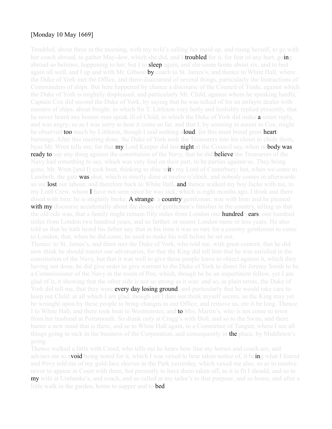#### [Monday 10 May 1669]

Troubled, about three in the morning, with my wife's calling her maid up, and rising herself, to go with her coach abroad, to gather May-dew, which she did, and I **troubled** for it, for fear of any hurt, going abroad so betimes, happening to her; but I to **sleep** again, and she come home about six, and to bed again all well, and I up and with Mr. Gibson **by** coach to St. James's, and thence to White Hall, where the Duke of York met the Office, and there discoursed of several things, particularly the Instructions of Commanders of ships. But here happened by chance a discourse of the Council of Trade, against which the Duke of York is mightily displeased, and particularly Mr. Child, against whom he speaking hardly, Captain Cox did second the Duke of York, by saying that he was talked of for an unfayre dealer with masters of ships, about freight: to which Sir T. Littleton very hotly and foolishly replied presently, that he never heard any honest man speak ill of Child; to which the Duke of York did make **a** smart reply, and was angry; so as I was sorry to hear it come so far, and that I, by seeming to assent to Cox, might be observed too much by Littleton, though I said nothing aloud, for this must breed great heartburnings. After this meeting done, the Duke of York took the Treasurers into his closet to chide them, byas Mr. Wren tells me; for that **my** Lord Keeper did last **night** at the Council say, when no**body was** ready to say any thing against the constitution of the Navy, that he did believe the Treasurers of the Navy had something to say, which was very foul on their part, to be parties against us. They being gone, Mr. Wren [and I] took boat, thinking to dine with my Lord of Canterbury; but, when we come to Lambeth, the gate **was shu**t, which is strictly done at twelve o'clock, and nobody comes in afterwards: so we **lost** our labour, and therefore back to White Hall, and thence walked my boy Jacke with me, to my Lord Crew, whom I have not seen since he was sick, which is eight months ago, I think and there dined with him: he is mightily broke. **A stranger a country** gentleman, was with him: and he pleased with my discourse accidentally about the decay of gentlemen's families in the country, telling us that the old rule was, that a family might remain fifty miles from London one **hundred years**, one hundred miles from London two hundred years, and so farther, or nearer London more or less years. He also told us that he hath heard his father say, that in his time it was so rare for a country gentleman to come to London, that, when he did come, he used to make his will before he set out.

Thence: to St. James's, and there met the Duke of York, who told me, with great content, that he did now think he should master our adversaries, for that the King did tell him that he was satisfied in the constitution of the Navy, but that it was well to give these people leave to object against it, which they having not done, he did give order to give warrant to the Duke of York to direct Sir Jeremy Smith to be a Commissioner of the Navy in the room of Pen; which, though he be an impertinent fellow, yet I am glad of it, it showing that the other side is not so strong as it was: and so, in plain terms, the Duke of York did tell me, that they were **every day losing ground**; and particularly that he would take care to keep out Child: at all which I am glad, though yet I dare not think myself secure, as the King may yet be wrought upon by these people to bring changes in our Office, and remove us, ere it be long. Thence I to White Hall, and there took boat to Westminster, and **to** Mrs. Martin's, who is not come to town from her husband at Portsmouth. So drank only at Cragg's with Doll, and so to the Swan, and there baiser a new maid that is there, and so to White Hall again, to a Committee of Tangier, where I see all things going to rack in the business of the Corporation, and consequently in the place, by Middleton's

Thence walked a little with Creed, who tells me he hears how fine my horses and coach are, and advises me to a**void** being noted for it, which I was vexed to hear taken notice of, it being what I feared and Povy told me of my gold-lace sleeves in the Park yesterday, which vexed me also, so as to resolve never to appear in Court with them, but presently to have them taken off, as it is fit I should, and so to **my** wife at Unthanke's, and coach, and so called at my tailor's to that purpose, and so home, and after a little walk in the garden, home to supper and to **bed**.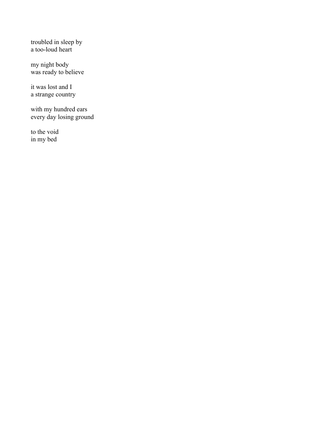troubled in sleep by a too-loud heart

my night body was ready to believe

it was lost and I a strange country

with my hundred ears every day losing ground

to the void in my bed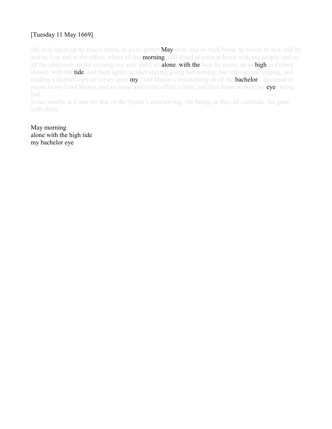# [Tuesday 11 May 1669]

My wife again up by four o'clock, to go to gather **May**-dew; and so back home by seven, to bed, and by and by I up and to the office, where all the **morning**, and dined at noon at home with my people, and so all the afternoon. In the evening my wife and I all **alone, with the** boy, by water, up as **high** as Putney almost, with the **tide**, and back again, neither staying going nor coming; but talking, and singing, and reading a foolish copy of verses upon my Lord Mayor's entertaining of all the **bachelor**s, designed in praise to my Lord Mayor, and so home and to the office a little, and then home to bed, my eyes being bad.

Some trouble at Court for fear of the Queen's miscarrying; she being, as they all conclude, far gone with child.

May morning alone with the high tide my bachelor eye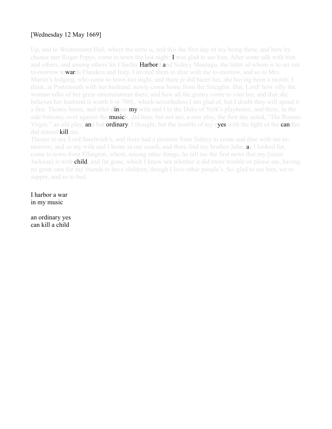## [Wednesday 12 May 1669]

Up, and to Westminster Hall, where the term is, and this the first day of my being there, and here by chance met Roger Pepys, come to town the last night:  $\bf{I}$  was glad to see him. After some talk with him and others, and among others Sir Charles **Harbord a**nd Sidney Montagu, the latter of whom is to set out to-morrow towards Flanders and Italy, I invited them to dine with me to-morrow, and so to Mrs. Martin's lodging, who come to town last night, and there je did hazer her, she having been a month, I think, at Portsmouth with her husband, newly come home from the Streights. But, Lord! how silly the woman talks of her great entertainment there, and how all the gentry come to visit her, and that she believes her husband is worth 6 or 700l., which nevertheless I am glad of, but I doubt they will spend it a fast. Thence home, and after dinner my wife and I to the Duke of York's playhouse, and there, in the side balcony, over against the musick, did hear, but not see, a new play, the first day acted, "The Roman" Virgin," an old play, and but ordinary, I thought; but the trouble of my eyes with the light of the candles did almost kill me.

Thence to my Lord Sandwich's, and there had a promise from Sidney to come and dine with me tomorrow; and so my wife and I home in our coach, and there find my brother John, as I looked for, come to town from Ellington, where, among other things, he tell me the first news that my [sister Jackson] is with **child**, and far gone, which I know not whether it did more trouble or please me, having no great care for my friends to have children; though I love other people's. So, glad to see him, we to supper, and so to bed.

I harbor a war in my music

an ordinary yes can kill a child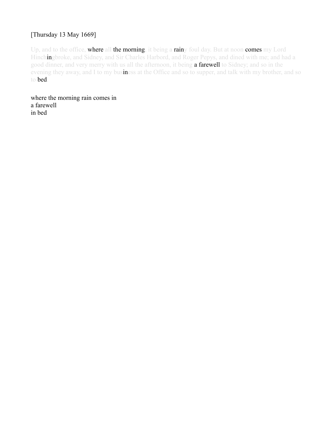#### [Thursday 13 May 1669]

Up, and to the office, where all the morning, it being a rainy foul day. But at noon comes my Lord Hinchingbroke, and Sidney, and Sir Charles Harbord, and Roger Pepys, and dined with me; and had a good dinner, and very merry with us all the afternoon, it being a farewell to Sidney; and so in the evening they away, and I to my business at the Office and so to supper, and talk with my brother, and so to bed.

where the morning rain comes in a farewell in bed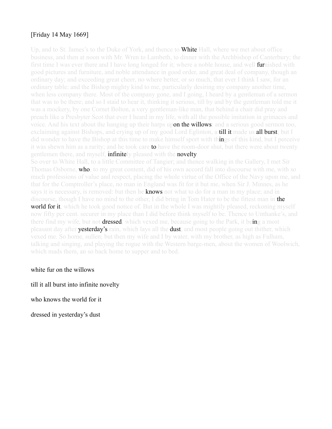## [Friday 14 May 1669]

Up, and to St. James's to the Duke of York, and thence to **White** Hall, where we met about office business, and then at noon with Mr. Wren to Lambeth, to dinner with the Archbishop of Canterbury; the first time I was ever there and I have long longed for it; where a noble house, and well **fur**nished with good pictures and furniture, and noble attendance in good order, and great deal of company, though an ordinary day; and exceeding great cheer, no where better, or so much, that ever I think I saw, for an ordinary table: and the Bishop mighty kind to me, particularly desiring my company another time, when less company there. Most of the company gone, and I going, I heard by a gentleman of a sermon that was to be there; and so I staid to hear it, thinking it serious, till by and by the gentleman told me it was a mockery, by one Cornet Bolton, a very gentleman-like man, that behind a chair did pray and preach like a Presbyter Scot that ever I heard in my life, with all the possible imitation in grimaces and voice. And his text about the hanging up their harps upon the willows: and a serious good sermon too, exclaiming against Bishops, and crying up of my good Lord Eglinton, a **till it** made us **all burst**; but I did wonder to have the Bishop at this time to make himself sport with things of this kind, but I perceive it was shewn him as a rarity; and he took care **to** have the room-door shut, but there were about twenty gentlemen there, and myself, **infinitely** pleased with the **novelty**.

So over to White Hall, to a little Committee of Tangier; and thence walking in the Gallery, I met Sir Thomas Osborne, **who**, to my great content, did of his own accord fall into discourse with me, with so much professions of value and respect, placing the whole virtue of the Office of the Navy upon me, and that for the Comptroller's place, no man in England was fit for it but me, when Sir J. Minnes, as he says it is necessary, is removed: but then he **knows** not what to do for a man in my place; and in discourse, though I have no mind to the other, I did bring in Tom Hater to be the fittest man in **the world for it**, which he took good notice of. But in the whole I was mightily pleased, reckoning myself now fifty per cent. securer in my place than I did before think myself to be. Thence to Unthanke's, and there find my wife, but not **dressed**, which vexed me, because going to the Park, it being a most pleasant day after **yesterday's** rain, which lays all the **dust**, and most people going out thither, which vexed me. So home, sullen; but then my wife and I by water, with my brother, as high as Fulham, talking and singing, and playing the rogue with the Western barge-men, about the women of Woolwich, which mads them, an so back home to supper and to bed.

white fur on the willows

till it all burst into infinite novelty

who knows the world for it

dressed in yesterday's dust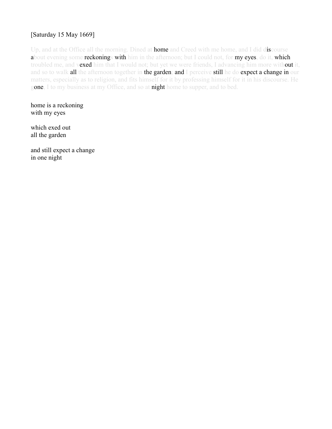## [Saturday 15 May 1669]

Up, and at the Office all the morning. Dined at **home** and Creed with me home, and I did discourse about evening some reckonings with him in the afternoon; but I could not, for my eyes, do it, which troubled me, and vexed him that I would not; but yet we were friends, I advancing him more without it, and so to walk all the afternoon together in the garden; and I perceive still he do expect a change in our matters, especially as to religion, and fits himself for it by professing himself for it in his discourse. He gone, I to my business at my Office, and so at night home to supper, and to bed.

home is a reckoning with my eyes

which exed out all the garden

and still expect a change in one night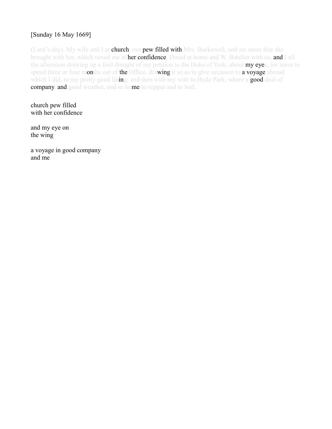## [Sunday 16 May 1669]

(Lord's day). My wife and I at **church**, our **pew filled with** Mrs. Backewell, and six more that she brought with her, which vexed me at her confidence. Dined at home and W. Batelier with us, and I all the afternoon drawing up a foul draught of my petition to the Duke of York, about my eyes, for leave to spend three or four months out of the Office, drawing it so as to give occasion to a voyage abroad which I did, to my pretty good liking; and then with my wife to Hyde Park, where a good deal of company, and good weather, and so home to supper and to bed.

church pew filled with her confidence

and my eye on the wing

a voyage in good company and me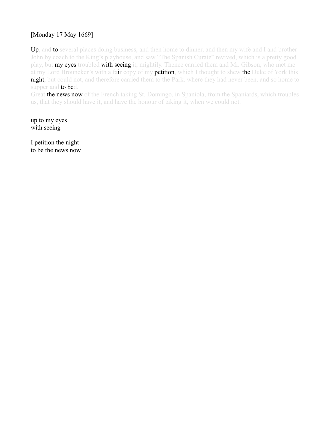## [Monday 17 May 1669]

Up, and to several places doing business, and then home to dinner, and then my wife and I and brother John by coach to the King's playhouse, and saw "The Spanish Curate" revived, which is a pretty good play, but **my eyes** troubled **with seeing** it, mightily. Thence carried them and Mr. Gibson, who met me at my Lord Brouncker's with a fair copy of my **petition**, which I thought to shew the Duke of York this night, but could not, and therefore carried them to the Park, where they had never been, and so home to supper and to bed.

Great the news now of the French taking St. Domingo, in Spaniola, from the Spaniards, which troubles us, that they should have it, and have the honour of taking it, when we could not.

up to my eyes with seeing

I petition the night to be the news now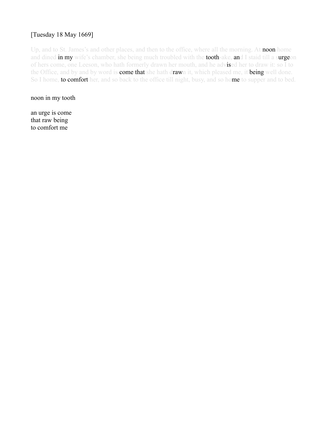## [Tuesday 18 May 1669]

Up, and to St. James's and other places, and then to the office, where all the morning. At noon home and dined in my wife's chamber, she being much troubled with the tooth-ake, and I staid till a surgeon of hers come, one Leeson, who hath formerly drawn her mouth, and he advised her to draw it: so I to the Office, and by and by word is **come that** she hath drawn it, which pleased me, it being well done. So I home, to comfort her, and so back to the office till night, busy, and so home to supper and to bed.

noon in my tooth

an urge is come that raw being to comfort me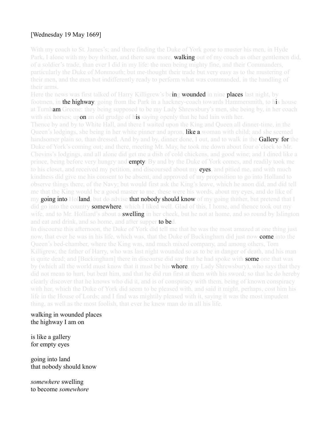## [Wednesday 19 May 1669]

With my coach to St. James's; and there finding the Duke of York gone to muster his men, in Hyde Park, I alone with my boy thither, and there saw more, **walking** out of my coach as other gentlemen did, of a soldier's trade, than ever I did in my life: the men being mighty fine, and their Commanders, particularly the Duke of Monmouth; but me-thought their trade but very easy as to the mustering of their men, and the men but indifferently ready to perform what was commanded, in the handling of their arms.

Here the news was first talked of Harry Killigrew's being **wounded** in nine places last night, by footmen, in the highway, going from the Park in a hackney-coach towards Hammersmith, to his house at Turnham Greene: they being supposed to be my Lady Shrewsbury's men, she being by, in her coach with six horses; upon an old grudge of his saying openly that he had lain with her.

Thence by and by to White Hall, and there I waited upon the King and Queen all dinner-time, in the Queen's lodgings, she being in her white pinner and apron, like a woman with child; and she seemed handsomer plain so, than dressed. And by and by, dinner done, I out, and to walk in the Gallery, for the Duke of York's coming out; and there, meeting Mr. May, he took me down about four o'clock to Mr. Chevins's lodgings, and all alone did get me a dish of cold chickens, and good wine; and I dined like a prince, being before very hungry and **empty**. By and by the Duke of York comes, and readily took me to his closet, and received my petition, and discoursed about my eyes, and pitied me, and with much kindness did give me his consent to be absent, and approved of my proposition to go into Holland to observe things there, of the Navy; but would first ask the King's leave, which he anon did, and did tell me that the King would be a good master to me, these were his words, about my eyes, and do like of my going into Holland, but do advise that nobody should know of my going thither, but pretend that I did go into the country **somewhere**, which I liked well. Glad of this, I home, and thence took out my wife, and to Mr. Holliard's about a **swelling** in her cheek, but he not at home, and so round by Islington and eat and drink, and so home, and after supper to bed.

In discourse this afternoon, the Duke of York did tell me that he was the most amazed at one thing just now, that ever he was in his life, which was, that the Duke of Buckingham did just now **come** into the Queen's bed-chamber, where the King was, and much mixed company, and among others, Tom Killigrew, the father of Harry, who was last night wounded so as to be in danger of death, and his man is quite dead; and [Buckingham] there in discourse did say that he had spoke with **some** one that was by (which all the world must know that it must be his **whore**, my Lady Shrewsbury), who says that they did not mean to hurt, but beat him, and that he did run first at them with his sword; so that he do hereby clearly discover that he knows who did it, and is of conspiracy with them, being of known conspiracy with her, which the Duke of York did seem to be pleased with, and said it might, perhaps, cost him his life in the House of Lords; and I find was mightily pleased with it, saying it was the most impudent thing, as well as the most foolish, that ever he knew man do in all his life.

walking in wounded places the highway I am on

is like a gallery for empty eyes

going into land that nobody should know

*somewhere* swelling to become *somewhore*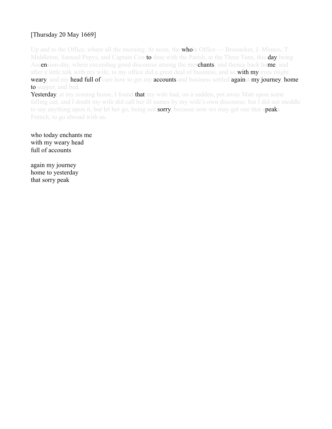## [Thursday 20 May 1669]

Up and to the Office, where all the morning. At noon, the **whole** Office — Brouncker, J. Minnes, T. Middleton, Samuel Pepys, and Captain Cox to dine with the Parish, at the Three Tuns, this day being Ascension-day, where exceeding good discourse among the merchants, and thence back home, and after a little talk with my wife, to my office did a great deal of business, and so **with my** eyes might weary, and my head full of care how to get my accounts and business settled against my journey, home to supper, and bed.

Yesterday, at my coming home, I found that my wife had, on a sudden, put away Matt upon some falling out, and I doubt my wife did call her ill names by my wife's own discourse; but I did not meddle to say anything upon it, but let her go, being not sorry, because now we may get one that speaks French, to go abroad with us.

who today enchants me with my weary head full of accounts

again my journey home to yesterday that sorry peak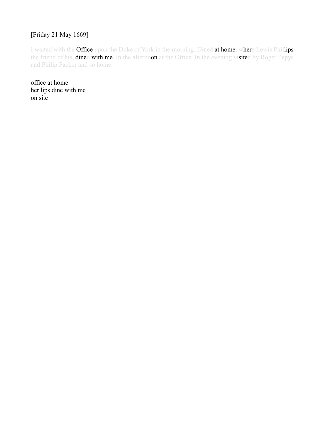#### [Friday 21 May 1669]

I waited with the Office upon the Duke of York in the morning. Dined at home, where Lewis Phillips the friend of his, **dined with me**. In the afternoon at the Office. In the evening visited by Roger Pepys and Philip Packer and so home.

office at home her lips dine with me on site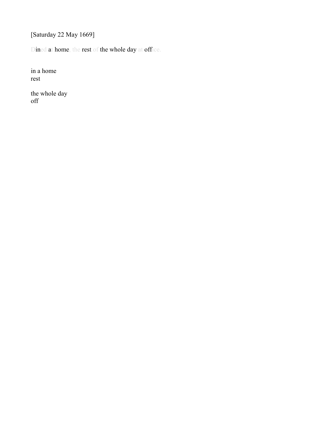[Saturday 22 May 1669]

Dined at home, the rest of the whole day at office.

in a home rest

the whole day off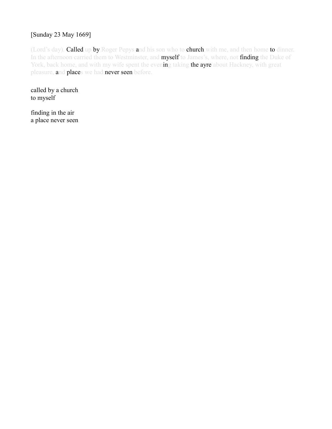## [Sunday 23 May 1669]

(Lord's day). Called up by Roger Pepys and his son who to church with me, and then home to dinner. In the afternoon carried them to Westminster, and myself to James's, where, not finding the Duke of York, back home, and with my wife spent the evening taking the ayre about Hackney, with great pleasure, and places we had never seen before.

called by a church to myself

finding in the air a place never seen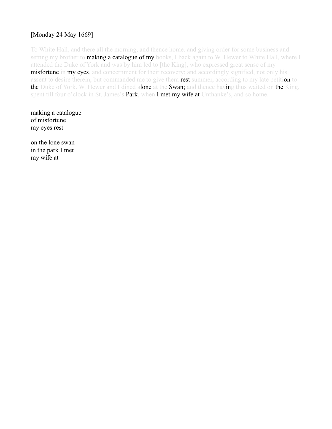## [Monday 24 May 1669]

To White Hall, and there all the morning, and thence home, and giving order for some business and setting my brother to **making a catalogue of my** books, I back again to W. Hewer to White Hall, where I attended the Duke of York and was by him led to [the King], who expressed great sense of my **misfortune in my eyes, and concernment for their recovery; and accordingly signified, not only his** assent to desire therein, but commanded me to give them rest summer, according to my late petition to the Duke of York. W. Hewer and I dined alone at the Swan; and thence having thus waited on the King, spent till four o'clock in St. James's Park, when I met my wife at Unthanke's, and so home.

making a catalogue of misfortune my eyes rest

on the lone swan in the park I met my wife at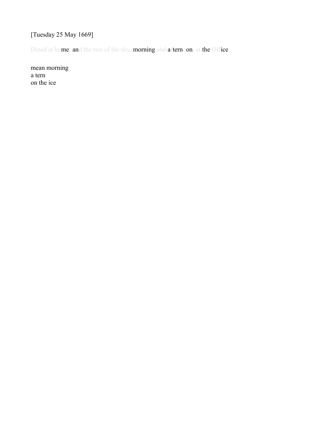# [Tuesday 25 May 1669]

Dined at home; and the rest of the day, morning and afternoon, at the Office.

mean morning a tern on the ice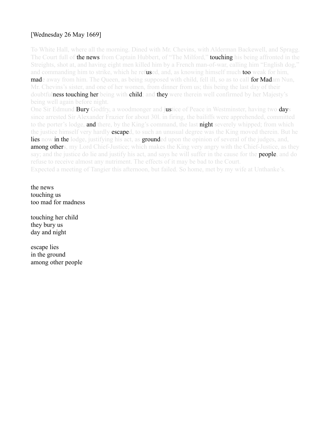## [Wednesday 26 May 1669]

To White Hall, where all the morning. Dined with Mr. Chevins, with Alderman Backewell, and Spragg. The Court full of **the news** from Captain Hubbert, of "The Milford," **touching** his being affronted in the Streights, shot at, and having eight men killed him by a French man-of-war, calling him "English dog," and commanding him to strike, which he refused, and, as knowing himself much too weak for him, **made** away from him. The Queen, as being supposed with child, fell ill, so as to call **for Mad**am Nun, Mr. Chevins's sister, and one of her women, from dinner from us; this being the last day of their doubtfulness touching her being with child; and they were therein well confirmed by her Majesty's being well again before night.

One Sir Edmund Bury Godfry, a woodmonger and justice of Peace in Westminster, having two days since arrested Sir Alexander Frazier for about 30l. in firing, the bailiffs were apprehended, committed to the porter's lodge, and there, by the King's command, the last night severely whipped; from which the justice himself very hardly **escape**d, to such an unusual degree was the King moved therein. But he lies now in the lodge, justifying his act, as grounded upon the opinion of several of the judges, and, **among others,** my Lord Chief-Justice; which makes the King very angry with the Chief-Justice, as they say; and the justice do lie and justify his act, and says he will suffer in the cause for the **people**, and do refuse to receive almost any nutriment. The effects of it may be bad to the Court. Expected a meeting of Tangier this afternoon, but failed. So home, met by my wife at Unthanke's.

the news touching us too mad for madness

touching her child they bury us day and night

escape lies in the ground among other people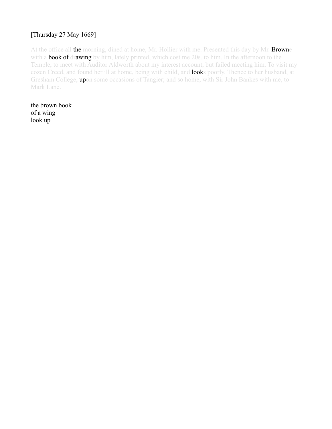## [Thursday 27 May 1669]

At the office all the morning, dined at home, Mr. Hollier with me. Presented this day by Mr. Browne with a **book of drawing** by him, lately printed, which cost me 20s. to him. In the afternoon to the Temple, to meet with Auditor Aldworth about my interest account, but failed meeting him. To visit my cozen Creed, and found her ill at home, being with child, and **look**s poorly. Thence to her husband, at Gresham College, upon some occasions of Tangier; and so home, with Sir John Bankes with me, to Mark Lane.

the brown book of a wing look up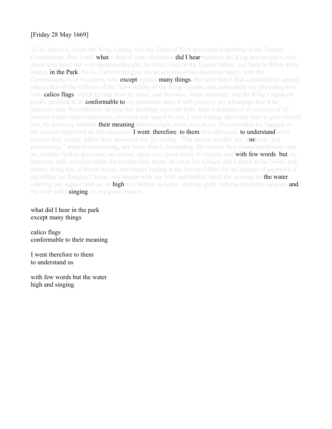## [Friday 28 May 1669]

To St. James's, where the King's being with the Duke of York prevented a meeting of the Tangier Commission. But, Lord! what a deal of sorry discourse did I hear between the King and several Lords about him here! but very mean methought. So with Creed to the Excise Office, and back to White Hall, where, **in the Park**, Sir G. Carteret did give me an account of his discourse lately, with the Commissioners of Accounts, who **except against many things**, but none that I find considerable; among others, that of the Officers of the Navy selling of the King's goods, and particularly my providing him with **calico flags**, which having been by order, and but once, when necessity, and the King's apparent profit, justified it, as **conformable to** my particular duty, it will prove to my advantage that it be enquired into. Nevertheless, having this morning received from them a demand of an account of all monies within their cognizance, received and issued by me, I was willing, upon this hint, to give myself rest, by knowing whether **their meaning** therein might reach only to my Treasurership for Tangier, or the monies employed on this occasion. **I went, therefore, to them** this afternoon, **to understand** what monies they meant, where they answered me, by saying, "The eleven months' tax, customs, and prizemoney," without mentioning, any more than I demanding, the service they respected therein; and so, without further discourse, we parted, upon very good terms of respect, and **with few words, but** my mind not fully satisfied about the monies they mean. At noon Mr. Gibson and I dined at the Swan, and thence doing this at Brook house, and thence calling at the Excise Office for an account of payment of my tallies for Tangier, I home, and thence with my wife and brother spent the evening on **the water**, carrying our supper with us, as high as Chelsea; so home, making sport with the Westerne bargees, and my wife and I **singing**, to my great content.

what did I hear in the park except many things

calico flags conformable to their meaning

I went therefore to them to understand us

with few words but the water high and singing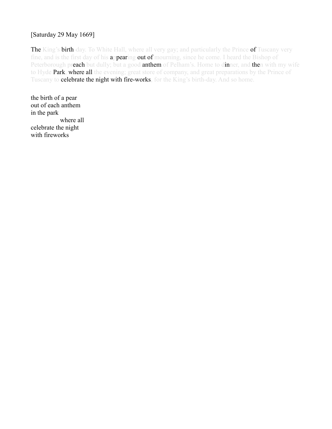#### [Saturday 29 May 1669]

The King's birth-day. To White Hall, where all very gay; and particularly the Prince of Tuscany very fine, and is the first day of his appearing out of mourning, since he come. I heard the Bishop of Peterborough preach but dully; but a good anthem of Pelham's. Home to dinner, and then with my wife to Hyde **Park, where all** the evening; great store of company, and great preparations by the Prince of Tuscany to celebrate the night with fire-works, for the King's birth-day. And so home.

the birth of a pear out of each anthem in the park where all celebrate the night with fireworks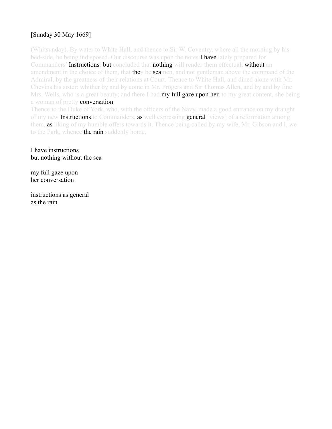## [Sunday 30 May 1669]

(Whitsunday). By water to White Hall, and thence to Sir W. Coventry, where all the morning by his bed-side, he being indisposed. Our discourse was upon the notes **I have** lately prepared for Commanders' Instructions; but concluded that nothing will render them effectual, without an amendment in the choice of them, that they be seamen, and not gentleman above the command of the Admiral, by the greatness of their relations at Court. Thence to White Hall, and dined alone with Mr. Chevins his sister: whither by and by come in Mr. Progers and Sir Thomas Allen, and by and by fine Mrs. Wells, who is a great beauty; and there I had **my full gaze upon her**, to my great content, she being a woman of pretty conversation.

Thence to the Duke of York, who, with the officers of the Navy, made a good entrance on my draught of my new **Instructions** to Commanders, **as** well expressing **general** [views] of a reformation among them, as liking of my humble offers towards it. Thence being called by my wife, Mr. Gibson and I, we to the Park, whence the rain suddenly home.

I have instructions but nothing without the sea

my full gaze upon her conversation

instructions as general as the rain